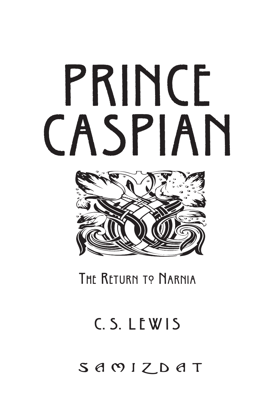

### THE RETURN TO NARNIA

### $C. S. L E W I S$

Samizdat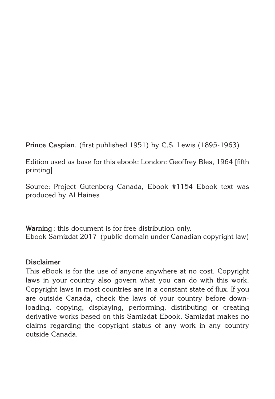**Prince Caspian**. (first published 1951) by C.S. Lewis (1895-1963)

Edition used as base for this ebook: London: Geoffrey Bles, 1964 [fifth printing]

Source: [Project Gutenberg Canada](http://www.gutenberg.ca/), Ebook #1154 Ebook text was produced by Al Haines

**Warning** : this document is for free distribution only. [Ebook Samizdat](http://www.samizdat.qc.ca/Ebooks/) 2017 (public domain under [Canadian copyright law\)](http://laws-lois.justice.gc.ca/eng/acts/C-42/page-3.html#h-6)

#### **Disclaimer**

This eBook is for the use of anyone anywhere at no cost. Copyright laws in your country also govern what you can do with this work. Copyright laws in most countries are in a constant state of flux. If you are outside Canada, check the laws of your country before downloading, copying, displaying, performing, distributing or creating derivative works based on this Samizdat Ebook. Samizdat makes no claims regarding the copyright status of any work in any country outside Canada.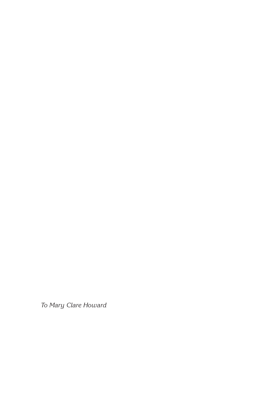*To Mary Clare Howard*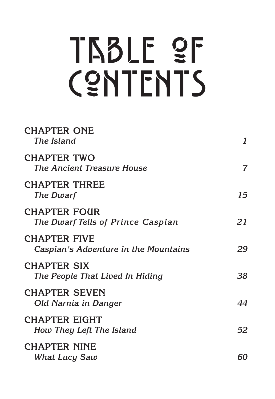# TABLE OF **CONTENTS**

| <b>CHAPTER ONE</b><br>The Island                            | 1  |
|-------------------------------------------------------------|----|
| <b>CHAPTER TWO</b><br>The Ancient Treasure House            | 7  |
| <b>CHAPTER THREE</b><br>The Dwarf                           | 15 |
| <b>CHAPTER FOUR</b><br>The Dwarf Tells of Prince Caspian    | 21 |
| <b>CHAPTER FIVE</b><br>Caspian's Adventure in the Mountains | 29 |
| <b>CHAPTER SIX</b><br>The People That Lived In Hiding       | 38 |
| <b>CHAPTER SEVEN</b><br>Old Narnia in Danger                | 44 |
| <b>CHAPTER EIGHT</b><br>How They Left The Island            | 52 |
| <b>CHAPTER NINE</b><br><b>What Lucy Saw</b>                 | 60 |
|                                                             |    |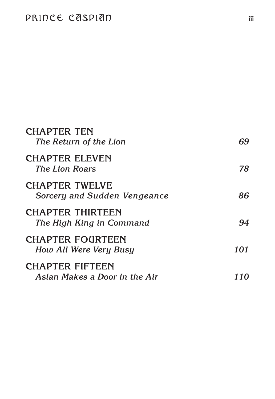#### PRINCE CASPIAN **iii**

| <b>CHAPTER TEN</b><br>The Return of the Lion            | 69  |
|---------------------------------------------------------|-----|
| <b>CHAPTER ELEVEN</b><br>The Lion Roars                 | 78  |
| <b>CHAPTER TWELVE</b><br>Sorcery and Sudden Vengeance   | 86  |
| <b>CHAPTER THIRTEEN</b><br>The High King in Command     | 94  |
| <b>CHAPTER FOURTEEN</b><br>How All Were Very Busy       | 101 |
| <b>CHAPTER FIFTEEN</b><br>Aslan Makes a Door in the Air |     |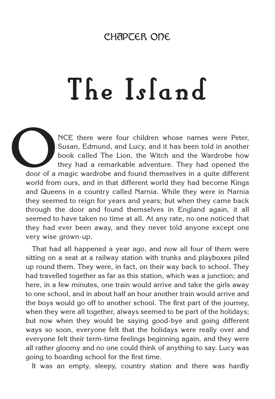#### CHAPTER ONE

### <span id="page-6-0"></span>The Island

NCE there were four children whose names were Peter,<br>Susan, Edmund, and Lucy, and it has been told in another<br>book called The Lion, the Witch and the Wardrobe how<br>they had a remarkable adventure. They had opened the<br>door o Susan, Edmund, and Lucy, and it has been told in another book called The Lion, the Witch and the Wardrobe how they had a remarkable adventure. They had opened the door of a magic wardrobe and found themselves in a quite different world from ours, and in that different world they had become Kings and Queens in a country called Narnia. While they were in Narnia they seemed to reign for years and years; but when they came back through the door and found themselves in England again, it all seemed to have taken no time at all. At any rate, no one noticed that they had ever been away, and they never told anyone except one very wise grown-up.

That had all happened a year ago, and now all four of them were sitting on a seat at a railway station with trunks and playboxes piled up round them. They were, in fact, on their way back to school. They had travelled together as far as this station, which was a junction; and here, in a few minutes, one train would arrive and take the girls away to one school, and in about half an hour another train would arrive and the boys would go off to another school. The first part of the journey, when they were all together, always seemed to be part of the holidays; but now when they would be saying good-bye and going different ways so soon, everyone felt that the holidays were really over and everyone felt their term-time feelings beginning again, and they were all rather gloomy and no one could think of anything to say. Lucy was going to boarding school for the first time.

It was an empty, sleepy, country station and there was hardly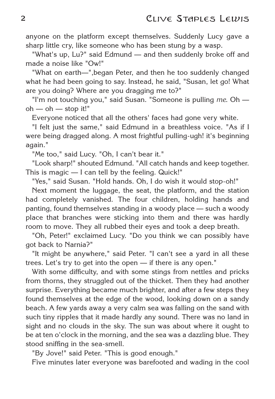anyone on the platform except themselves. Suddenly Lucy gave a sharp little cry, like someone who has been stung by a wasp.

"What's up, Lu?" said Edmund — and then suddenly broke off and made a noise like "Ow!"

"What on earth—",began Peter, and then he too suddenly changed what he had been going to say. Instead, he said, "Susan, let go! What are you doing? Where are you dragging me to?"

"I'm not touching you," said Susan. "Someone is pulling *me*. Oh  $oh$  —  $oh$  — stop it!"

Everyone noticed that all the others' faces had gone very white.

"I felt just the same," said Edmund in a breathless voice. "As if I were being dragged along. A most frightful pulling-ugh! it's beginning again."

"Me too," said Lucy. "Oh, I can't bear it."

"Look sharp!" shouted Edmund. "All catch hands and keep together. This is magic — I can tell by the feeling. Quick!"

"Yes," said Susan. "Hold hands. Oh, I do wish it would stop-oh!"

Next moment the luggage, the seat, the platform, and the station had completely vanished. The four children, holding hands and panting, found themselves standing in a woody place — such a woody place that branches were sticking into them and there was hardly room to move. They all rubbed their eyes and took a deep breath.

"Oh, Peter!" exclaimed Lucy. "Do you think we can possibly have got back to Narnia?"

"It might be anywhere," said Peter. "I can't see a yard in all these trees. Let's try to get into the open — if there is any open."

With some difficulty, and with some stings from nettles and pricks from thorns, they struggled out of the thicket. Then they had another surprise. Everything became much brighter, and after a few steps they found themselves at the edge of the wood, looking down on a sandy beach. A few yards away a very calm sea was falling on the sand with such tiny ripples that it made hardly any sound. There was no land in sight and no clouds in the sky. The sun was about where it ought to be at ten o'clock in the morning, and the sea was a dazzling blue. They stood sniffing in the sea-smell.

"By Jove!" said Peter. "This is good enough."

Five minutes later everyone was barefooted and wading in the cool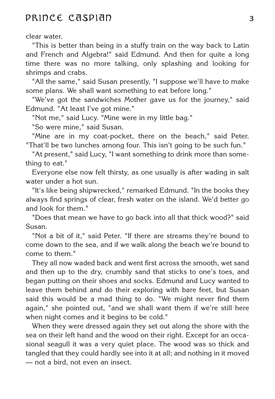clear water.

"This is better than being in a stuffy train on the way back to Latin and French and Algebra!" said Edmund. And then for quite a long time there was no more talking, only splashing and looking for shrimps and crabs.

"All the same," said Susan presently, "I suppose we'll have to make some plans. We shall want something to eat before long."

"We've got the sandwiches Mother gave us for the journey," said Edmund. "At least I've got mine."

"Not me," said Lucy. "Mine were in my little bag."

"So were mine," said Susan.

"Mine are in my coat-pocket, there on the beach," said Peter. "That'll be two lunches among four. This isn't going to be such fun."

"At present," said Lucy, "I want something to drink more than something to eat."

Everyone else now felt thirsty, as one usually is after wading in salt water under a hot sun.

"It's like being shipwrecked," remarked Edmund. "In the books they always find springs of clear, fresh water on the island. We'd better go and look for them."

"Does that mean we have to go back into all that thick wood?" said Susan.

"Not a bit of it," said Peter. "If there are streams they're bound to come down to the sea, and if we walk along the beach we're bound to come to them."

They all now waded back and went first across the smooth, wet sand and then up to the dry, crumbly sand that sticks to one's toes, and began putting on their shoes and socks. Edmund and Lucy wanted to leave them behind and do their exploring with bare feet, but Susan said this would be a mad thing to do. "We might never find them again," she pointed out, "and we shall want them if we're still here when night comes and it begins to be cold."

When they were dressed again they set out along the shore with the sea on their left hand and the wood on their right. Except for an occasional seagull it was a very quiet place. The wood was so thick and tangled that they could hardly see into it at all; and nothing in it moved — not a bird, not even an insect.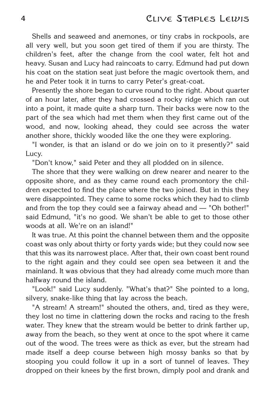Shells and seaweed and anemones, or tiny crabs in rockpools, are all very well, but you soon get tired of them if you are thirsty. The children's feet, after the change from the cool water, felt hot and heavy. Susan and Lucy had raincoats to carry. Edmund had put down his coat on the station seat just before the magic overtook them, and he and Peter took it in turns to carry Peter's great-coat.

Presently the shore began to curve round to the right. About quarter of an hour later, after they had crossed a rocky ridge which ran out into a point, it made quite a sharp turn. Their backs were now to the part of the sea which had met them when they first came out of the wood, and now, looking ahead, they could see across the water another shore, thickly wooded like the one they were exploring.

"I wonder, is that an island or do we join on to it presently?" said Lucy.

"Don't know," said Peter and they all plodded on in silence.

The shore that they were walking on drew nearer and nearer to the opposite shore, and as they came round each promontory the children expected to find the place where the two joined. But in this they were disappointed. They came to some rocks which they had to climb and from the top they could see a fairway ahead and — "Oh bother!" said Edmund, "it's no good. We shan't be able to get to those other woods at all. We're on an island!"

It was true. At this point the channel between them and the opposite coast was only about thirty or forty yards wide; but they could now see that this was its narrowest place. After that, their own coast bent round to the right again and they could see open sea between it and the mainland. It was obvious that they had already come much more than halfway round the island.

"Look!" said Lucy suddenly. "What's that?" She pointed to a long, silvery, snake-like thing that lay across the beach.

"A stream! A stream!" shouted the others, and, tired as they were, they lost no time in clattering down the rocks and racing to the fresh water. They knew that the stream would be better to drink farther up, away from the beach, so they went at once to the spot where it came out of the wood. The trees were as thick as ever, but the stream had made itself a deep course between high mossy banks so that by stooping you could follow it up in a sort of tunnel of leaves. They dropped on their knees by the first brown, dimply pool and drank and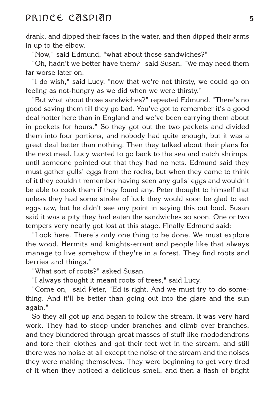drank, and dipped their faces in the water, and then dipped their arms in up to the elbow.

"Now," said Edmund, "what about those sandwiches?"

"Oh, hadn't we better have them?" said Susan. "We may need them far worse later on."

"I do wish," said Lucy, "now that we're not thirsty, we could go on feeling as not-hungry as we did when we were thirsty."

"But what about those sandwiches?" repeated Edmund. "There's no good saving them till they go bad. You've got to remember it's a good deal hotter here than in England and we've been carrying them about in pockets for hours." So they got out the two packets and divided them into four portions, and nobody had quite enough, but it was a great deal better than nothing. Then they talked about their plans for the next meal. Lucy wanted to go back to the sea and catch shrimps, until someone pointed out that they had no nets. Edmund said they must gather gulls' eggs from the rocks, but when they came to think of it they couldn't remember having seen any gulls' eggs and wouldn't be able to cook them if they found any. Peter thought to himself that unless they had some stroke of luck they would soon be glad to eat eggs raw, but he didn't see any point in saying this out loud. Susan said it was a pity they had eaten the sandwiches so soon. One or two tempers very nearly got lost at this stage. Finally Edmund said:

"Look here. There's only one thing to be done. We must explore the wood. Hermits and knights-errant and people like that always manage to live somehow if they're in a forest. They find roots and berries and things."

"What sort of roots?" asked Susan.

"I always thought it meant roots of trees," said Lucy.

"Come on," said Peter, "Ed is right. And we must try to do something. And it'll be better than going out into the glare and the sun again."

So they all got up and began to follow the stream. It was very hard work. They had to stoop under branches and climb over branches, and they blundered through great masses of stuff like rhododendrons and tore their clothes and got their feet wet in the stream; and still there was no noise at all except the noise of the stream and the noises they were making themselves. They were beginning to get very tired of it when they noticed a delicious smell, and then a flash of bright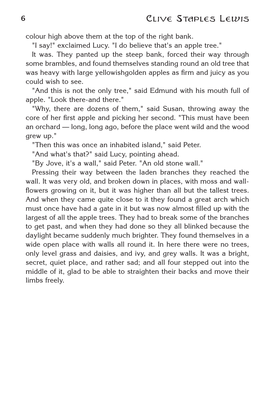colour high above them at the top of the right bank.

"I say!" exclaimed Lucy. "I do believe that's an apple tree."

It was. They panted up the steep bank, forced their way through some brambles, and found themselves standing round an old tree that was heavy with large yellowishgolden apples as firm and juicy as you could wish to see.

"And this is not the only tree," said Edmund with his mouth full of apple. "Look there-and there."

"Why, there are dozens of them," said Susan, throwing away the core of her first apple and picking her second. "This must have been an orchard — long, long ago, before the place went wild and the wood grew up."

"Then this was once an inhabited island," said Peter.

"And what's that?" said Lucy, pointing ahead.

"By Jove, it's a wall," said Peter. "An old stone wall."

Pressing their way between the laden branches they reached the wall. It was very old, and broken down in places, with moss and wallflowers growing on it, but it was higher than all but the tallest trees. And when they came quite close to it they found a great arch which must once have had a gate in it but was now almost filled up with the largest of all the apple trees. They had to break some of the branches to get past, and when they had done so they all blinked because the daylight became suddenly much brighter. They found themselves in a wide open place with walls all round it. In here there were no trees, only level grass and daisies, and ivy, and grey walls. It was a bright, secret, quiet place, and rather sad; and all four stepped out into the middle of it, glad to be able to straighten their backs and move their limbs freely.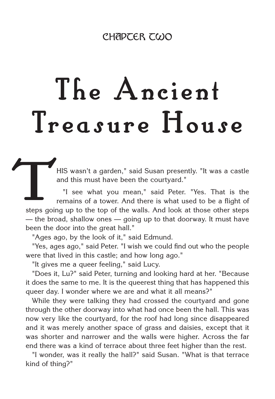#### CHAPTER TWO

### <span id="page-12-0"></span>The Ancient Treasure House

HIS wasn't a garden," said Susan presently. "It was a castle and this must have been the courtyard."

"I see what you mean," said Peter. "Yes. That is the remains of a tower. And there is what used to be a flight of steps going up to the top of the walls. And look at those other steps — the broad, shallow ones — going up to that doorway. It must have been the door into the great hall."

"Ages ago, by the look of it," said Edmund.

"Yes, ages ago," said Peter. "I wish we could find out who the people were that lived in this castle; and how long ago."

"It gives me a queer feeling," said Lucy.

"Does it, Lu?" said Peter, turning and looking hard at her. "Because it does the same to me. It is the queerest thing that has happened this queer day. I wonder where we are and what it all means?"

While they were talking they had crossed the courtyard and gone through the other doorway into what had once been the hall. This was now very like the courtyard, for the roof had long since disappeared and it was merely another space of grass and daisies, except that it was shorter and narrower and the walls were higher. Across the far end there was a kind of terrace about three feet higher than the rest.

"I wonder, was it really the hall?" said Susan. "What is that terrace kind of thing?"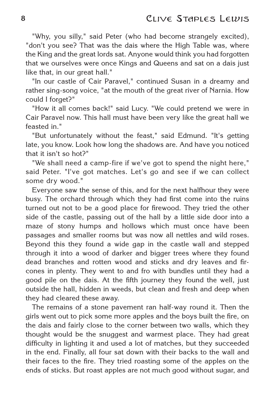#### **8** Clive Staples Lewis

"Why, you silly," said Peter (who had become strangely excited), "don't you see? That was the dais where the High Table was, where the King and the great lords sat. Anyone would think you had forgotten that we ourselves were once Kings and Queens and sat on a dais just like that, in our great hall."

"In our castle of Cair Paravel," continued Susan in a dreamy and rather sing-song voice, "at the mouth of the great river of Narnia. How could I forget?"

"How it all comes back!" said Lucy. "We could pretend we were in Cair Paravel now. This hall must have been very like the great hall we feasted in."

"But unfortunately without the feast," said Edmund. "It's getting late, you know. Look how long the shadows are. And have you noticed that it isn't so hot?"

"We shall need a camp-fire if we've got to spend the night here," said Peter. "I've got matches. Let's go and see if we can collect some dry wood."

Everyone saw the sense of this, and for the next halfhour they were busy. The orchard through which they had first come into the ruins turned out not to be a good place for firewood. They tried the other side of the castle, passing out of the hall by a little side door into a maze of stony humps and hollows which must once have been passages and smaller rooms but was now all nettles and wild roses. Beyond this they found a wide gap in the castle wall and stepped through it into a wood of darker and bigger trees where they found dead branches and rotten wood and sticks and dry leaves and fircones in plenty. They went to and fro with bundles until they had a good pile on the dais. At the fifth journey they found the well, just outside the hall, hidden in weeds, but clean and fresh and deep when they had cleared these away.

The remains of a stone pavement ran half-way round it. Then the girls went out to pick some more apples and the boys built the fire, on the dais and fairly close to the corner between two walls, which they thought would be the snuggest and warmest place. They had great difficulty in lighting it and used a lot of matches, but they succeeded in the end. Finally, all four sat down with their backs to the wall and their faces to the fire. They tried roasting some of the apples on the ends of sticks. But roast apples are not much good without sugar, and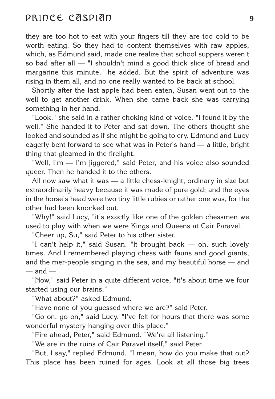they are too hot to eat with your fingers till they are too cold to be worth eating. So they had to content themselves with raw apples, which, as Edmund said, made one realize that school suppers weren't so bad after all — "I shouldn't mind a good thick slice of bread and margarine this minute," he added. But the spirit of adventure was rising in them all, and no one really wanted to be back at school.

Shortly after the last apple had been eaten, Susan went out to the well to get another drink. When she came back she was carrying something in her hand.

"Look," she said in a rather choking kind of voice. "I found it by the well." She handed it to Peter and sat down. The others thought she looked and sounded as if she might be going to cry. Edmund and Lucy eagerly bent forward to see what was in Peter's hand — a little, bright thing that gleamed in the firelight.

"Well, I'm — I'm jiggered," said Peter, and his voice also sounded queer. Then he handed it to the others.

All now saw what it was — a little chess-knight, ordinary in size but extraordinarily heavy because it was made of pure gold; and the eyes in the horse's head were two tiny little rubies or rather one was, for the other had been knocked out.

"Why!" said Lucy, "it's exactly like one of the golden chessmen we used to play with when we were Kings and Queens at Cair Paravel."

"Cheer up, Su," said Peter to his other sister.

"I can't help it," said Susan. "It brought back — oh, such lovely times. And I remembered playing chess with fauns and good giants, and the mer-people singing in the sea, and my beautiful horse — and  $-$  and  $-$ "

"Now," said Peter in a quite different voice, "it's about time we four started using our brains."

"What about?" asked Edmund.

"Have none of you guessed where we are?" said Peter.

"Go on, go on," said Lucy. "I've felt for hours that there was some wonderful mystery hanging over this place."

"Fire ahead, Peter," said Edmund. "We're all listening."

"We are in the ruins of Cair Paravel itself," said Peter.

"But, I say," replied Edmund. "I mean, how do you make that out? This place has been ruined for ages. Look at all those big trees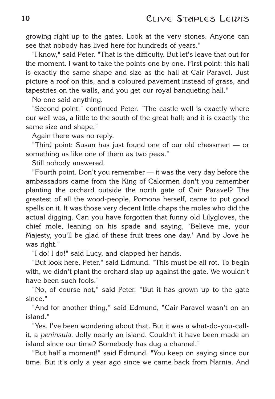growing right up to the gates. Look at the very stones. Anyone can see that nobody has lived here for hundreds of years."

"I know," said Peter. "That is the difficulty. But let's leave that out for the moment. I want to take the points one by one. First point: this hall is exactly the same shape and size as the hall at Cair Paravel. Just picture a roof on this, and a coloured pavement instead of grass, and tapestries on the walls, and you get our royal banqueting hall."

No one said anything.

"Second point," continued Peter. "The castle well is exactly where our well was, a little to the south of the great hall; and it is exactly the same size and shape."

Again there was no reply.

"Third point: Susan has just found one of our old chessmen — or something as like one of them as two peas."

Still nobody answered.

"Fourth point. Don't you remember — it was the very day before the ambassadors came from the King of Calormen don't you remember planting the orchard outside the north gate of Cair Paravel? The greatest of all the wood-people, Pomona herself, came to put good spells on it. It was those very decent little chaps the moles who did the actual digging. Can you have forgotten that funny old Lilygloves, the chief mole, leaning on his spade and saying, `Believe me, your Majesty, you'll be glad of these fruit trees one day.' And by Jove he was right."

"I do! I do!" said Lucy, and clapped her hands.

"But look here, Peter," said Edmund. "This must be all rot. To begin with, we didn't plant the orchard slap up against the gate. We wouldn't have been such fools."

"No, of course not," said Peter. "But it has grown up to the gate since."

"And for another thing," said Edmund, "Cair Paravel wasn't on an island."

"Yes, I've been wondering about that. But it was a what-do-you-callit, a *peninsula*. Jolly nearly an island. Couldn't it have been made an island since our time? Somebody has dug a channel."

"But half a moment!" said Edmund. "You keep on saying since our time. But it's only a year ago since we came back from Narnia. And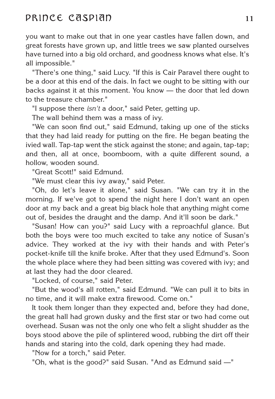you want to make out that in one year castles have fallen down, and great forests have grown up, and little trees we saw planted ourselves have turned into a big old orchard, and goodness knows what else. It's all impossible."

"There's one thing," said Lucy. "If this is Cair Paravel there ought to be a door at this end of the dais. In fact we ought to be sitting with our backs against it at this moment. You know — the door that led down to the treasure chamber."

"I suppose there *isn't* a door," said Peter, getting up.

The wall behind them was a mass of ivy.

"We can soon find out," said Edmund, taking up one of the sticks that they had laid ready for putting on the fire. He began beating the ivied wall. Tap-tap went the stick against the stone; and again, tap-tap; and then, all at once, boomboom, with a quite different sound, a hollow, wooden sound.

"Great Scott!" said Edmund.

"We must clear this ivy away," said Peter.

"Oh, do let's leave it alone," said Susan. "We can try it in the morning. If we've got to spend the night here I don't want an open door at my back and a great big black hole that anything might come out of, besides the draught and the damp. And it'll soon be dark."

"Susan! How can you?" said Lucy with a reproachful glance. But both the boys were too much excited to take any notice of Susan's advice. They worked at the ivy with their hands and with Peter's pocket-knife till the knife broke. After that they used Edmund's. Soon the whole place where they had been sitting was covered with ivy; and at last they had the door cleared.

"Locked, of course," said Peter.

"But the wood's all rotten," said Edmund. "We can pull it to bits in no time, and it will make extra firewood. Come on."

It took them longer than they expected and, before they had done, the great hall had grown dusky and the first star or two had come out overhead. Susan was not the only one who felt a slight shudder as the boys stood above the pile of splintered wood, rubbing the dirt off their hands and staring into the cold, dark opening they had made.

"Now for a torch," said Peter.

"Oh, what is the good?" said Susan. "And as Edmund said —"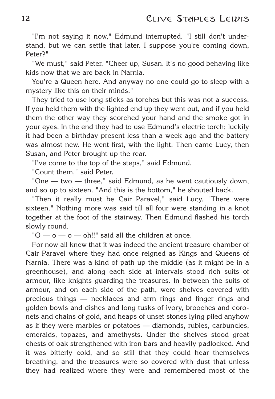"I'm not saying it now," Edmund interrupted. "I still don't understand, but we can settle that later. I suppose you're coming down, Peter?"

"We must," said Peter. "Cheer up, Susan. It's no good behaving like kids now that we are back in Narnia.

You're a Queen here. And anyway no one could go to sleep with a mystery like this on their minds."

They tried to use long sticks as torches but this was not a success. If you held them with the lighted end up they went out, and if you held them the other way they scorched your hand and the smoke got in your eyes. In the end they had to use Edmund's electric torch; luckily it had been a birthday present less than a week ago and the battery was almost new. He went first, with the light. Then came Lucy, then Susan, and Peter brought up the rear.

"I've come to the top of the steps," said Edmund.

"Count them," said Peter.

"One — two — three," said Edmund, as he went cautiously down, and so up to sixteen. "And this is the bottom," he shouted back.

"Then it really must be Cair Paravel," said Lucy. "There were sixteen." Nothing more was said till all four were standing in a knot together at the foot of the stairway. Then Edmund flashed his torch slowly round.

 $"O - o - o - oh!!"$  said all the children at once.

For now all knew that it was indeed the ancient treasure chamber of Cair Paravel where they had once reigned as Kings and Queens of Narnia. There was a kind of path up the middle (as it might be in a greenhouse), and along each side at intervals stood rich suits of armour, like knights guarding the treasures. In between the suits of armour, and on each side of the path, were shelves covered with precious things — necklaces and arm rings and finger rings and golden bowls and dishes and long tusks of ivory, brooches and coronets and chains of gold, and heaps of unset stones lying piled anyhow as if they were marbles or potatoes — diamonds, rubies, carbuncles, emeralds, topazes, and amethysts. Under the shelves stood great chests of oak strengthened with iron bars and heavily padlocked. And it was bitterly cold, and so still that they could hear themselves breathing, and the treasures were so covered with dust that unless they had realized where they were and remembered most of the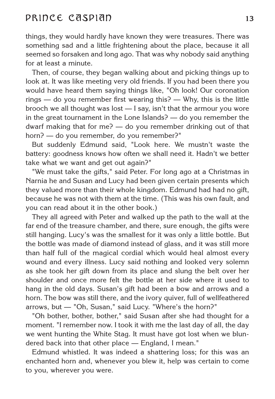things, they would hardly have known they were treasures. There was something sad and a little frightening about the place, because it all seemed so forsaken and long ago. That was why nobody said anything for at least a minute.

Then, of course, they began walking about and picking things up to look at. It was like meeting very old friends. If you had been there you would have heard them saying things like, "Oh look! Our coronation rings — do you remember first wearing this? — Why, this is the little brooch we all thought was lost — I say, isn't that the armour you wore in the great tournament in the Lone Islands? — do you remember the dwarf making that for me? — do you remember drinking out of that horn? — do you remember, do you remember?"

But suddenly Edmund said, "Look here. We mustn't waste the battery: goodness knows how often we shall need it. Hadn't we better take what we want and get out again?"

"We must take the gifts," said Peter. For long ago at a Christmas in Narnia he and Susan and Lucy had been given certain presents which they valued more than their whole kingdom. Edmund had had no gift, because he was not with them at the time. (This was his own fault, and you can read about it in the other book.)

They all agreed with Peter and walked up the path to the wall at the far end of the treasure chamber, and there, sure enough, the gifts were still hanging. Lucy's was the smallest for it was only a little bottle. But the bottle was made of diamond instead of glass, and it was still more than half full of the magical cordial which would heal almost every wound and every illness. Lucy said nothing and looked very solemn as she took her gift down from its place and slung the belt over her shoulder and once more felt the bottle at her side where it used to hang in the old days. Susan's gift had been a bow and arrows and a horn. The bow was still there, and the ivory quiver, full of wellfeathered arrows, but — "Oh, Susan," said Lucy. "Where's the horn?"

"Oh bother, bother, bother," said Susan after she had thought for a moment. "I remember now. I took it with me the last day of all, the day we went hunting the White Stag. It must have got lost when we blundered back into that other place — England, I mean."

Edmund whistled. It was indeed a shattering loss; for this was an enchanted horn and, whenever you blew it, help was certain to come to you, wherever you were.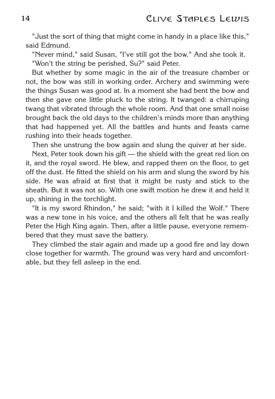"Just the sort of thing that might come in handy in a place like this," said Edmund.

"Never mind," said Susan, "I've still got the bow." And she took it. "Won't the string be perished, Su?" said Peter.

But whether by some magic in the air of the treasure chamber or not, the bow was still in working order. Archery and swimming were the things Susan was good at. In a moment she had bent the bow and then she gave one little pluck to the string. It twanged: a chirruping twang that vibrated through the whole room. And that one small noise brought back the old days to the children's minds more than anything that had happened yet. All the battles and hunts and feasts came rushing into their heads together.

Then she unstrung the bow again and slung the quiver at her side.

Next, Peter took down his gift — the shield with the great red lion on it, and the royal sword. He blew, and rapped them on the floor, to get off the dust. He fitted the shield on his arm and slung the sword by his side. He was afraid at first that it might be rusty and stick to the sheath. But it was not so. With one swift motion he drew it and held it up, shining in the torchlight.

"It is my sword Rhindon," he said; "with it I killed the Wolf." There was a new tone in his voice, and the others all felt that he was really Peter the High King again. Then, after a little pause, everyone remembered that they must save the battery.

They climbed the stair again and made up a good fire and lay down close together for warmth. The ground was very hard and uncomfortable, but they fell asleep in the end.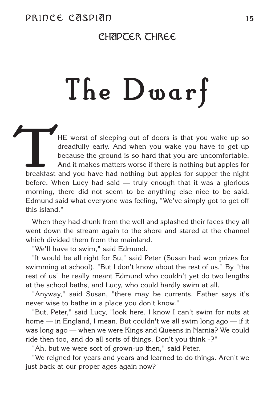#### CHAPTER THREE

### <span id="page-20-0"></span>The Dwarf

HE worst of sleeping out of doors is that you wake up so dreadfully early. And when you wake you have to get up because the ground is so hard that you are uncomfortable. And it makes matters worse if there is nothing but apples for breakfast and you have had nothing but apples for supper the night before. When Lucy had said — truly enough that it was a glorious morning, there did not seem to be anything else nice to be said. Edmund said what everyone was feeling, "We've simply got to get off this island."

When they had drunk from the well and splashed their faces they all went down the stream again to the shore and stared at the channel which divided them from the mainland.

"We'll have to swim," said Edmund.

"It would be all right for Su," said Peter (Susan had won prizes for swimming at school). "But I don't know about the rest of us." By "the rest of us" he really meant Edmund who couldn't yet do two lengths at the school baths, and Lucy, who could hardly swim at all.

"Anyway," said Susan, "there may be currents. Father says it's never wise to bathe in a place you don't know."

"But, Peter," said Lucy, "look here. I know I can't swim for nuts at home — in England, I mean. But couldn't we all swim long ago — if it was long ago — when we were Kings and Queens in Narnia? We could ride then too, and do all sorts of things. Don't you think -?"

"Ah, but we were sort of grown-up then," said Peter.

"We reigned for years and years and learned to do things. Aren't we just back at our proper ages again now?"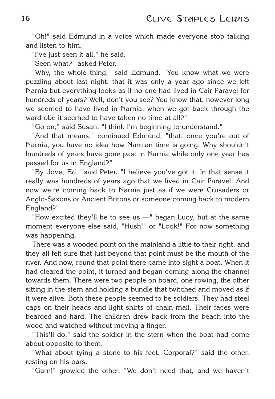"Oh!" said Edmund in a voice which made everyone stop talking and listen to him.

"I've just seen it all," he said.

"Seen what?" asked Peter.

"Why, the whole thing," said Edmund. "You know what we were puzzling about last night, that it was only a year ago since we left Narnia but everything looks as if no one had lived in Cair Paravel for hundreds of years? Well, don't you see? You know that, however long we seemed to have lived in Narnia, when we got back through the wardrobe it seemed to have taken no time at all?"

"Go on," said Susan. "I think I'm beginning to understand."

"And that means," continued Edmund, "that, once you're out of Narnia, you have no idea how Narnian time is going. Why shouldn't hundreds of years have gone past in Narnia while only one year has passed for us in England?"

"By Jove, Ed," said Peter. "I believe you've got it. In that sense it really was hundreds of years ago that we lived in Cair Paravel. And now we're coming back to Narnia just as if we were Crusaders or Anglo-Saxons or Ancient Britons or someone coming back to modern England?"

"How excited they'll be to see us —" began Lucy, but at the same moment everyone else said, "Hush!" or "Look!" For now something was happening.

There was a wooded point on the mainland a little to their right, and they all felt sure that just beyond that point must be the mouth of the river. And now, round that point there came into sight a boat. When it had cleared the point, it turned and began coming along the channel towards them. There were two people on board, one rowing, the other sitting in the stern and holding a bundle that twitched and moved as if it were alive. Both these people seemed to be soldiers. They had steel caps on their heads and light shirts of chain-mail. Their faces were bearded and hard. The children drew back from the beach into the wood and watched without moving a finger.

"This'll do," said the soldier in the stern when the boat had come about opposite to them.

"What about tying a stone to his feet, Corporal?" said the other, resting on his oars.

"Garn!" growled the other. "We don't need that, and we haven't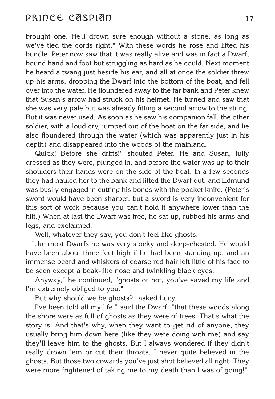brought one. He'll drown sure enough without a stone, as long as we've tied the cords right." With these words he rose and lifted his bundle. Peter now saw that it was really alive and was in fact a Dwarf, bound hand and foot but struggling as hard as he could. Next moment he heard a twang just beside his ear, and all at once the soldier threw up his arms, dropping the Dwarf into the bottom of the boat, and fell over into the water. He floundered away to the far bank and Peter knew that Susan's arrow had struck on his helmet. He turned and saw that she was very pale but was already fitting a second arrow to the string. But it was never used. As soon as he saw his companion fall, the other soldier, with a loud cry, jumped out of the boat on the far side, and lie also floundered through the water (which was apparently just in his depth) and disappeared into the woods of the mainland.

"Quick! Before she drifts!" shouted Peter. He and Susan, fully dressed as they were, plunged in, and before the water was up to their shoulders their hands were on the side of the boat. In a few seconds they had hauled her to the bank and lifted the Dwarf out, and Edmund was busily engaged in cutting his bonds with the pocket knife. (Peter's sword would have been sharper, but a sword is very inconvenient for this sort of work because you can't hold it anywhere lower than the hilt.) When at last the Dwarf was free, he sat up, rubbed his arms and legs, and exclaimed:

"Well, whatever they say, you don't feel like ghosts."

Like most Dwarfs he was very stocky and deep-chested. He would have been about three feet high if he had been standing up, and an immense beard and whiskers of coarse red hair left little of his face to be seen except a beak-like nose and twinkling black eyes.

"Anyway," he continued, "ghosts or not, you've saved my life and I'm extremely obliged to you."

"But why should we be ghosts?" asked Lucy.

"I've been told all my life," said the Dwarf, "that these woods along the shore were as full of ghosts as they were of trees. That's what the story is. And that's why, when they want to get rid of anyone, they usually bring him down here (like they were doing with me) and say they'll leave him to the ghosts. But I always wondered if they didn't really drown 'em or cut their throats. I never quite believed in the ghosts. But those two cowards you've just shot believed all right. They were more frightened of taking me to my death than I was of going!"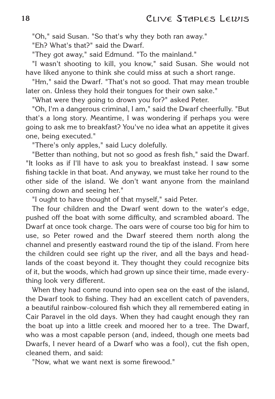"Oh," said Susan. "So that's why they both ran away."

"Eh? What's that?" said the Dwarf.

"They got away," said Edmund. "To the mainland."

"I wasn't shooting to kill, you know," said Susan. She would not have liked anyone to think she could miss at such a short range.

"Hm," said the Dwarf. "That's not so good. That may mean trouble later on. Unless they hold their tongues for their own sake."

"What were they going to drown you for?" asked Peter.

"Oh, I'm a dangerous criminal, I am," said the Dwarf cheerfully. "But that's a long story. Meantime, I was wondering if perhaps you were going to ask me to breakfast? You've no idea what an appetite it gives one, being executed."

"There's only apples," said Lucy dolefully.

"Better than nothing, but not so good as fresh fish," said the Dwarf. "It looks as if I'll have to ask you to breakfast instead. I saw some fishing tackle in that boat. And anyway, we must take her round to the other side of the island. We don't want anyone from the mainland coming down and seeing her."

"I ought to have thought of that myself," said Peter.

The four children and the Dwarf went down to the water's edge, pushed off the boat with some difficulty, and scrambled aboard. The Dwarf at once took charge. The oars were of course too big for him to use, so Peter rowed and the Dwarf steered them north along the channel and presently eastward round the tip of the island. From here the children could see right up the river, and all the bays and headlands of the coast beyond it. They thought they could recognize bits of it, but the woods, which had grown up since their time, made everything look very different.

When they had come round into open sea on the east of the island, the Dwarf took to fishing. They had an excellent catch of pavenders, a beautiful rainbow-coloured fish which they all remembered eating in Cair Paravel in the old days. When they had caught enough they ran the boat up into a little creek and moored her to a tree. The Dwarf, who was a most capable person (and, indeed, though one meets bad Dwarfs, I never heard of a Dwarf who was a fool), cut the fish open, cleaned them, and said:

"Now, what we want next is some firewood."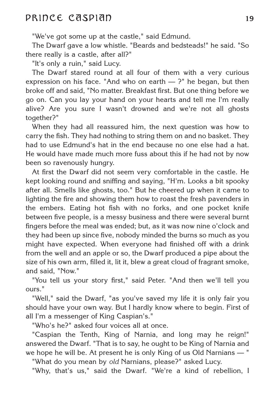"We've got some up at the castle," said Edmund.

The Dwarf gave a low whistle. "Beards and bedsteads!" he said. "So there really is a castle, after all?"

"It's only a ruin," said Lucy.

The Dwarf stared round at all four of them with a very curious expression on his face. "And who on earth  $-$  ?" he began, but then broke off and said, "No matter. Breakfast first. But one thing before we go on. Can you lay your hand on your hearts and tell me I'm really alive? Are you sure I wasn't drowned and we're not all ghosts together?"

When they had all reassured him, the next question was how to carry the fish. They had nothing to string them on and no basket. They had to use Edmund's hat in the end because no one else had a hat. He would have made much more fuss about this if he had not by now been so ravenously hungry.

At first the Dwarf did not seem very comfortable in the castle. He kept looking round and sniffing and saying, "H'm. Looks a bit spooky after all. Smells like ghosts, too." But he cheered up when it came to lighting the fire and showing them how to roast the fresh pavenders in the embers. Eating hot fish with no forks, and one pocket knife between five people, is a messy business and there were several burnt fingers before the meal was ended; but, as it was now nine o'clock and they had been up since five, nobody minded the burns so much as you might have expected. When everyone had finished off with a drink from the well and an apple or so, the Dwarf produced a pipe about the size of his own arm, filled it, lit it, blew a great cloud of fragrant smoke, and said, "Now."

"You tell us your story first," said Peter. "And then we'll tell you ours."

"Well," said the Dwarf, "as you've saved my life it is only fair you should have your own way. But I hardly know where to begin. First of all I'm a messenger of King Caspian's."

"Who's he?" asked four voices all at once.

"Caspian the Tenth, King of Narnia, and long may he reign!" answered the Dwarf. "That is to say, he ought to be King of Narnia and we hope he will be. At present he is only King of us Old Narnians — "

"What do you mean by *old* Narnians, please?" asked Lucy.

"Why, that's us," said the Dwarf. "We're a kind of rebellion, I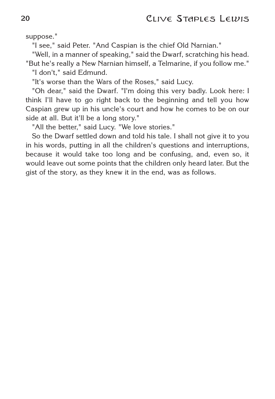suppose."

"I see," said Peter. "And Caspian is the chief Old Narnian."

"Well, in a manner of speaking," said the Dwarf, scratching his head.

"But he's really a New Narnian himself, a Telmarine, if you follow me." "I don't," said Edmund.

"It's worse than the Wars of the Roses," said Lucy.

"Oh dear," said the Dwarf. "I'm doing this very badly. Look here: I think I'll have to go right back to the beginning and tell you how Caspian grew up in his uncle's court and how he comes to be on our side at all. But it'll be a long story."

"All the better," said Lucy. "We love stories."

So the Dwarf settled down and told his tale. I shall not give it to you in his words, putting in all the children's questions and interruptions, because it would take too long and be confusing, and, even so, it would leave out some points that the children only heard later. But the gist of the story, as they knew it in the end, was as follows.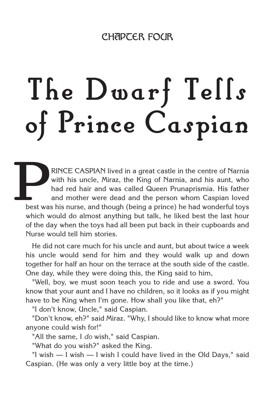#### CHAPTER FOLIR

## <span id="page-26-0"></span>The Dwarf Tells of Prince Caspian

PRINCE CASPIAN lived in a great castle in the centre of Narnia with his uncle, Miraz, the King of Narnia, and his aunt, who had red hair and was called Queen Prunaprismia. His father and mother were dead and the person whom Caspian loved best was his nurse, and though (being a prince) he had wonderful toys which would do almost anything but talk, he liked best the last hour of the day when the toys had all been put back in their cupboards and Nurse would tell him stories.

He did not care much for his uncle and aunt, but about twice a week his uncle would send for him and they would walk up and down together for half an hour on the terrace at the south side of the castle. One day, while they were doing this, the King said to him,

"Well, boy, we must soon teach you to ride and use a sword. You know that your aunt and I have no children, so it looks as if you might have to be King when I'm gone. How shall you like that, eh?"

"I don't know, Uncle," said Caspian.

"Don't know, eh?" said Miraz. "Why, I should like to know what more anyone could wish for!"

"All the same, I *do* wish," said Caspian.

"What do you wish?" asked the King.

"I wish — I wish — I wish I could have lived in the Old Days," said Caspian. (He was only a very little boy at the time.)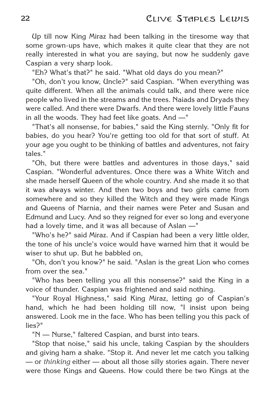Up till now King Miraz had been talking in the tiresome way that some grown-ups have, which makes it quite clear that they are not really interested in what you are saying, but now he suddenly gave Caspian a very sharp look.

"Eh? What's that?" he said. "What old days do you mean?"

"Oh, don't you know, Uncle?" said Caspian. "When everything was quite different. When all the animals could talk, and there were nice people who lived in the streams and the trees. Naiads and Dryads they were called. And there were Dwarfs. And there were lovely little Fauns in all the woods. They had feet like goats. And —"

"That's all nonsense, for babies," said the King sternly. "Only fit for babies, do you hear? You're getting too old for that sort of stuff. At your age you ought to be thinking of battles and adventures, not fairy tales."

"Oh, but there were battles and adventures in those days," said Caspian. "Wonderful adventures. Once there was a White Witch and she made herself Queen of the whole country. And she made it so that it was always winter. And then two boys and two girls came from somewhere and so they killed the Witch and they were made Kings and Queens of Narnia, and their names were Peter and Susan and Edmund and Lucy. And so they reigned for ever so long and everyone had a lovely time, and it was all because of Aslan —"

"Who's he?" said Miraz. And if Caspian had been a very little older, the tone of his uncle's voice would have warned him that it would be wiser to shut up. But he babbled on,

"Oh, don't you know?" he said. "Aslan is the great Lion who comes from over the sea."

"Who has been telling you all this nonsense?" said the King in a voice of thunder. Caspian was frightened and said nothing.

"Your Royal Highness," said King Miraz, letting go of Caspian's hand, which he had been holding till now, "I insist upon being answered. Look me in the face. Who has been telling you this pack of lies?"

"N — Nurse," faltered Caspian, and burst into tears.

"Stop that noise," said his uncle, taking Caspian by the shoulders and giving ham a shake. "Stop it. And never let me catch you talking — or *thinking* either — about all those silly stories again. There never were those Kings and Queens. How could there be two Kings at the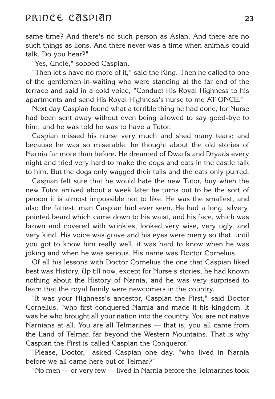same time? And there's no such person as Aslan. And there are no such things as lions. And there never was a time when animals could talk. Do you hear?"

"Yes, Uncle," sobbed Caspian.

"Then let's have no more of it," said the King. Then he called to one of the gentlemen-in-waiting who were standing at the far end of the terrace and said in a cold voice, "Conduct His Royal Highness to his apartments and send His Royal Highness's nurse to me AT ONCE."

Next day Caspian found what a terrible thing he had done, for Nurse had been sent away without even being allowed to say good-bye to him, and he was told he was to have a Tutor.

Caspian missed his nurse very much and shed many tears; and because he was so miserable, he thought about the old stories of Narnia far more than before. He dreamed of Dwarfs and Dryads every night and tried very hard to make the dogs and cats in the castle talk to him. But the dogs only wagged their tails and the cats only purred.

Caspian felt sure that he would hate the new Tutor, buy when the new Tutor arrived about a week later he turns out to be the sort of person it is almost impossible not to like. He was the smallest, and also the fattest, man Caspian had ever seen. He had a long, silvery, pointed beard which came down to his waist, and his face, which was brown and covered with wrinkles, looked very wise, very ugly, and very kind. His voice was grave and his eyes were merry so that, until you got to know him really well, it was hard to know when he was joking and when he was serious. His name was Doctor Cornelius.

Of all his lessons with Doctor Cornelius the one that Caspian liked best was History. Up till now, except for Nurse's stories, he had known nothing about the History of Narnia, and he was very surprised to learn that the royal family were newcomers in the country.

"It was your Highness's ancestor, Caspian the First," said Doctor Cornelius, "who first conquered Narnia and made it his kingdom. It was he who brought all your nation into the country. You are not native Narnians at all. You are all Telmarines — that is, you all came from the Land of Telmar, far beyond the Western Mountains. That is why Caspian the First is called Caspian the Conqueror."

"Please, Doctor," asked Caspian one day, "who lived in Narnia before we all came here out of Telmar?"

"No men — or very few — lived in Narnia before the Telmarines took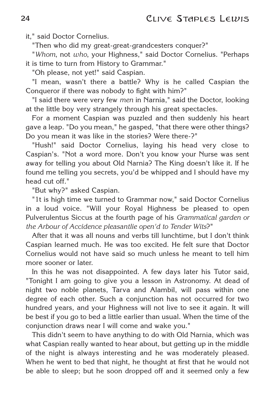it," said Doctor Cornelius.

"Then who did my great-great-grandcesters conquer?"

"*Whom*, not *who*, your Highness," said Doctor Cornelius. "Perhaps it is time to turn from History to Grammar."

"Oh please, not yet!" said Caspian.

"I mean, wasn't there a battle? Why is he called Caspian the Conqueror if there was nobody to fight with him?"

"I said there were very few *men* in Narnia," said the Doctor, looking at the little boy very strangely through his great spectacles.

For a moment Caspian was puzzled and then suddenly his heart gave a leap. "Do you mean," he gasped, "that there were other things? Do you mean it was like in the stories? Were there-?"

"Hush!" said Doctor Cornelius, laying his head very close to Caspian's. "Not a word more. Don't you know your Nurse was sent away for telling you about Old Narnia? The King doesn't like it. If he found me telling you secrets, you'd be whipped and I should have my head cut off."

"But why?" asked Caspian.

"1t is high time we turned to Grammar now," said Doctor Cornelius in a loud voice. "Will your Royal Highness be pleased to open Pulverulentus Siccus at the fourth page of his *Grammatical garden or the Arbour of Accidence pleasantlie open'd to Tender Wits*?"

After that it was all nouns and verbs till lunchtime, but I don't think Caspian learned much. He was too excited. He felt sure that Doctor Cornelius would not have said so much unless he meant to tell him more sooner or later.

In this he was not disappointed. A few days later his Tutor said, "Tonight I am going to give you a lesson in Astronomy. At dead of night two noble planets, Tarva and Alambil, will pass within one degree of each other. Such a conjunction has not occurred for two hundred years, and your Highness will not live to see it again. It will be best if you go to bed a little earlier than usual. When the time of the conjunction draws near I will come and wake you."

This didn't seem to have anything to do with Old Narnia, which was what Caspian really wanted to hear about, but getting up in the middle of the night is always interesting and he was moderately pleased. When he went to bed that night, he thought at first that he would not be able to sleep; but he soon dropped off and it seemed only a few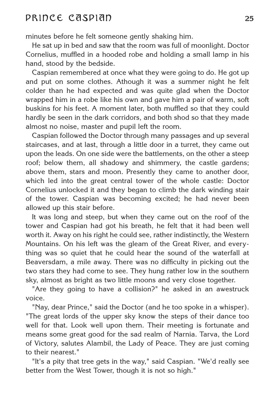minutes before he felt someone gently shaking him.

He sat up in bed and saw that the room was full of moonlight. Doctor Cornelius, muffled in a hooded robe and holding a small lamp in his hand, stood by the bedside.

Caspian remembered at once what they were going to do. He got up and put on some clothes. Athough it was a summer night he felt colder than he had expected and was quite glad when the Doctor wrapped him in a robe like his own and gave him a pair of warm, soft buskins for his feet. A moment later, both muffled so that they could hardly be seen in the dark corridors, and both shod so that they made almost no noise, master and pupil left the room.

Caspian followed the Doctor through many passages and up several staircases, and at last, through a little door in a turret, they came out upon the leads. On one side were the battlements, on the other a steep roof; below them, all shadowy and shimmery, the castle gardens; above them, stars and moon. Presently they came to another door, which led into the great central tower of the whole castle: Doctor Cornelius unlocked it and they began to climb the dark winding stair of the tower. Caspian was becoming excited; he had never been allowed up this stair before.

It was long and steep, but when they came out on the roof of the tower and Caspian had got his breath, he felt that it had been well worth it. Away on his right he could see, rather indistinctly, the Western Mountains. On his left was the gleam of the Great River, and everything was so quiet that he could hear the sound of the waterfall at Beaversdam, a mile away. There was no difficulty in picking out the two stars they had come to see. They hung rather low in the southern sky, almost as bright as two little moons and very close together.

"Are they going to have a collision?" he asked in an awestruck voice.

"Nay, dear Prince," said the Doctor (and he too spoke in a whisper). "The great lords of the upper sky know the steps of their dance too well for that. Look well upon them. Their meeting is fortunate and means some great good for the sad realm of Narnia. Tarva, the Lord of Victory, salutes Alambil, the Lady of Peace. They are just coming to their nearest."

"It's a pity that tree gets in the way," said Caspian. "We'd really see better from the West Tower, though it is not so high."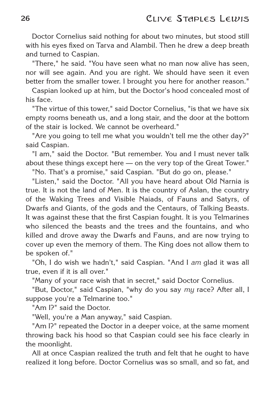Doctor Cornelius said nothing for about two minutes, but stood still with his eyes fixed on Tarva and Alambil. Then he drew a deep breath and turned to Caspian.

"There," he said. "You have seen what no man now alive has seen, nor will see again. And you are right. We should have seen it even better from the smaller tower. I brought you here for another reason."

Caspian looked up at him, but the Doctor's hood concealed most of his face.

"The virtue of this tower," said Doctor Cornelius, "is that we have six empty rooms beneath us, and a long stair, and the door at the bottom of the stair is locked. We cannot be overheard."

"Are you going to tell me what you wouldn't tell me the other day?" said Caspian.

"I am," said the Doctor. "But remember. You and I must never talk about these things except here — on the very top of the Great Tower."

"No. That's a promise," said Caspian. "But do go on, please."

"Listen," said the Doctor. "All you have heard about Old Narnia is true. It is not the land of Men. It is the country of Aslan, the country of the Waking Trees and Visible Naiads, of Fauns and Satyrs, of Dwarfs and Giants, of the gods and the Centaurs, of Talking Beasts. It was against these that the first Caspian fought. It is you Telmarines who silenced the beasts and the trees and the fountains, and who killed and drove away the Dwarfs and Fauns, and are now trying to cover up even the memory of them. The King does not allow them to be spoken of."

"Oh, I do wish we hadn't," said Caspian. "And I *am* glad it was all true, even if it is all over."

"Many of your race wish that in secret," said Doctor Cornelius.

"But, Doctor," said Caspian, "why do you say *my* race? After all, I suppose you're a Telmarine too."

"Am I?" said the Doctor.

"Well, you're a Man anyway," said Caspian.

"Am I?" repeated the Doctor in a deeper voice, at the same moment throwing back his hood so that Caspian could see his face clearly in the moonlight.

All at once Caspian realized the truth and felt that he ought to have realized it long before. Doctor Cornelius was so small, and so fat, and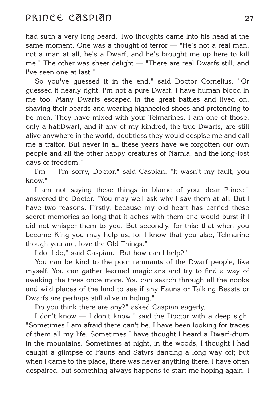had such a very long beard. Two thoughts came into his head at the same moment. One was a thought of terror — "He's not a real man, not a man at all, he's a Dwarf, and he's brought me up here to kill me." The other was sheer delight — "There are real Dwarfs still, and I've seen one at last."

"So you've guessed it in the end," said Doctor Cornelius. "Or guessed it nearly right. I'm not a pure Dwarf. I have human blood in me too. Many Dwarfs escaped in the great battles and lived on, shaving their beards and wearing highheeled shoes and pretending to be men. They have mixed with your Telmarines. I am one of those, only a halfDwarf, and if any of my kindred, the true Dwarfs, are still alive anywhere in the world, doubtless they would despise me and call me a traitor. But never in all these years have we forgotten our own people and all the other happy creatures of Narnia, and the long-lost days of freedom."

"I'm — I'm sorry, Doctor," said Caspian. "It wasn't my fault, you know."

"I am not saying these things in blame of you, dear Prince," answered the Doctor. "You may well ask why I say them at all. But I have two reasons. Firstly, because my old heart has carried these secret memories so long that it aches with them and would burst if I did not whisper them to you. But secondly, for this: that when you become King you may help us, for I know that you also, Telmarine though you are, love the Old Things."

"I do, I do," said Caspian. "But how can I help?"

"You can be kind to the poor remnants of the Dwarf people, like myself. You can gather learned magicians and try to find a way of awaking the trees once more. You can search through all the nooks and wild places of the land to see if any Fauns or Talking Beasts or Dwarfs are perhaps still alive in hiding."

"Do you think there are any?" asked Caspian eagerly.

"I don't know — I don't know," said the Doctor with a deep sigh. "Sometimes I am afraid there can't be. I have been looking for traces of them all my life. Sometimes I have thought I heard a Dwarf-drum in the mountains. Sometimes at night, in the woods, I thought I had caught a glimpse of Fauns and Satyrs dancing a long way off; but when I came to the place, there was never anything there. I have often despaired; but something always happens to start me hoping again. I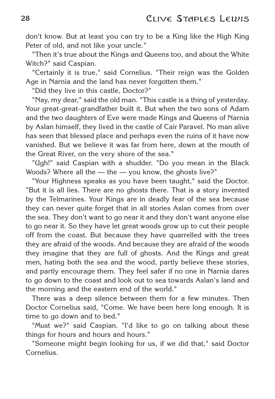don't know. But at least you can try to be a King like the High King Peter of old, and not like your uncle."

"Then it's true about the Kings and Queens too, and about the White Witch?" said Caspian.

"Certainly it is true," said Cornelius. "Their reign was the Golden Age in Narnia and the land has never forgotten them."

"Did they live in this castle, Doctor?"

"Nay, my dear," said the old man. "This castle is a thing of yesterday. Your great-great-grandfather built it. But when the two sons of Adam and the two daughters of Eve were made Kings and Queens of Narnia by Aslan himself, they lived in the castle of Cair Paravel. No man alive has seen that blessed place and perhaps even the ruins of it have now vanished. But we believe it was far from here, down at the mouth of the Great River, on the very shore of the sea."

"Ugh!" said Caspian with a shudder. "Do you mean in the Black Woods? Where all the  $-$  the  $-$  you know, the ghosts live?"

"Your Highness speaks as you have been taught," said the Doctor. "But it is all lies. There are no ghosts there. That is a story invented by the Telmarines. Your Kings are in deadly fear of the sea because they can never quite forget that in all stories Aslan comes from over the sea. They don't want to go near it and they don't want anyone else to go near it. So they have let great woods grow up to cut their people off from the coast. But because they have quarrelled with the trees they are afraid of the woods. And because they are afraid of the woods they imagine that they are full of ghosts. And the Kings and great men, hating both the sea and the wood, partly believe these stories, and partly encourage them. They feel safer if no one in Narnia dares to go down to the coast and look out to sea towards Aslan's land and the morning and the eastern end of the world."

There was a deep silence between them for a few minutes. Then Doctor Cornelius said, "Come. We have been here long enough. It is time to go down and to bed."

"Must we?" said Caspian. "I'd like to go on talking about these things for hours and hours and hours."

"Someone might begin looking for us, if we did that," said Doctor Cornelius.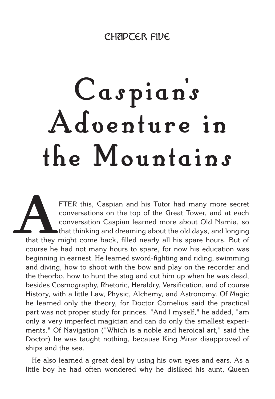#### CHADTER FILLE

### <span id="page-34-0"></span>Caspian's Advent ure in the Mountains

FTER this, Caspian and his Tutor had many more secret conversations on the top of the Great Tower, and at each conversation Caspian learned more about Old Narnia, so that thinking and dreaming about the old days, and longi conversations on the top of the Great Tower, and at each conversation Caspian learned more about Old Narnia, so that thinking and dreaming about the old days, and longing course he had not many hours to spare, for now his education was beginning in earnest. He learned sword-fighting and riding, swimming and diving, how to shoot with the bow and play on the recorder and the theorbo, how to hunt the stag and cut him up when he was dead, besides Cosmography, Rhetoric, Heraldry, Versification, and of course History, with a little Law, Physic, Alchemy, and Astronomy. Of Magic he learned only the theory, for Doctor Cornelius said the practical part was not proper study for princes. "And I myself," he added, "am only a very imperfect magician and can do only the smallest experiments." Of Navigation ("Which is a noble and heroical art," said the Doctor) he was taught nothing, because King Miraz disapproved of ships and the sea.

He also learned a great deal by using his own eyes and ears. As a little boy he had often wondered why he disliked his aunt, Queen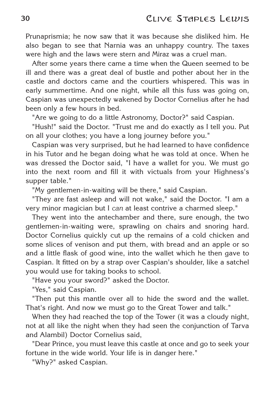Prunaprismia; he now saw that it was because she disliked him. He also began to see that Narnia was an unhappy country. The taxes were high and the laws were stern and Miraz was a cruel man.

After some years there came a time when the Queen seemed to be ill and there was a great deal of bustle and pother about her in the castle and doctors came and the courtiers whispered. This was in early summertime. And one night, while all this fuss was going on, Caspian was unexpectedly wakened by Doctor Cornelius after he had been only a few hours in bed.

"Are we going to do a little Astronomy, Doctor?" said Caspian.

"Hush!" said the Doctor. "Trust me and do exactly as I tell you. Put on all your clothes; you have a long journey before you."

Caspian was very surprised, but he had learned to have confidence in his Tutor and he began doing what he was told at once. When he was dressed the Doctor said, "I have a wallet for you. We must go into the next room and fill it with victuals from your Highness's supper table."

"My gentlemen-in-waiting will be there," said Caspian.

"They are fast asleep and will not wake," said the Doctor. "I am a very minor magician but I *can* at least contrive a charmed sleep."

They went into the antechamber and there, sure enough, the two gentlemen-in-waiting were, sprawling on chairs and snoring hard. Doctor Cornelius quickly cut up the remains of a cold chicken and some slices of venison and put them, with bread and an apple or so and a little flask of good wine, into the wallet which he then gave to Caspian. It fitted on by a strap over Caspian's shoulder, like a satchel you would use for taking books to school.

"Have you your sword?" asked the Doctor.

"Yes," said Caspian.

"Then put this mantle over all to hide the sword and the wallet. That's right. And now we must go to the Great Tower and talk."

When they had reached the top of the Tower (it was a cloudy night, not at all like the night when they had seen the conjunction of Tarva and Alambil) Doctor Cornelius said,

"Dear Prince, you must leave this castle at once and go to seek your fortune in the wide world. Your life is in danger here."

"Why?" asked Caspian.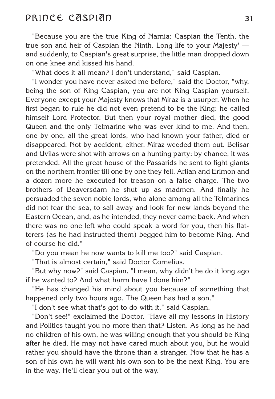"Because you are the true King of Narnia: Caspian the Tenth, the true son and heir of Caspian the Ninth. Long life to your Majesty' and suddenly, to Caspian's great surprise, the little man dropped down on one knee and kissed his hand.

"What does it all mean? I don't understand," said Caspian.

"I wonder you have never asked me before," said the Doctor, "why, being the son of King Caspian, you are not King Caspian yourself. Everyone except your Majesty knows that Miraz is a usurper. When he first began to rule he did not even pretend to be the King: he called himself Lord Protector. But then your royal mother died, the good Queen and the only Telmarine who was ever kind to me. And then, one by one, all the great lords, who had known your father, died or disappeared. Not by accident, either. Miraz weeded them out. Belisar and Uvilas were shot with arrows on a hunting party: by chance, it was pretended. All the great house of the Passarids he sent to fight giants on the northern frontier till one by one they fell. Arlian and Erimon and a dozen more he executed for treason on a false charge. The two brothers of Beaversdam he shut up as madmen. And finally he persuaded the seven noble lords, who alone among all the Telmarines did not fear the sea, to sail away and look for new lands beyond the Eastern Ocean, and, as he intended, they never came back. And when there was no one left who could speak a word for you, then his flatterers (as he had instructed them) begged him to become King. And of course he did."

"Do you mean he now wants to kill me too?" said Caspian.

"That is almost certain," said Doctor Cornelius.

"But why now?" said Caspian. "I mean, why didn't he do it long ago if he wanted to? And what harm have I done him?"

"He has changed his mind about you because of something that happened only two hours ago. The Queen has had a son."

"I don't see what that's got to do with it," said Caspian.

"Don't see!" exclaimed the Doctor. "Have all my lessons in History and Politics taught you no more than that? Listen. As long as he had no children of his own, he was willing enough that you should be King after he died. He may not have cared much about you, but he would rather you should have the throne than a stranger. Now that he has a son of his own he will want his own son to be the next King. You are in the way. He'll clear you out of the way."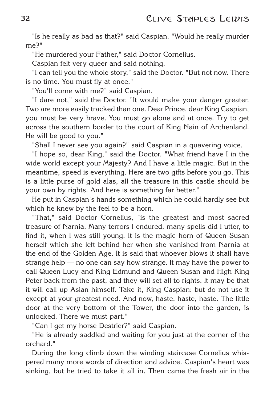"Is he really as bad as that?" said Caspian. "Would he really murder me?"

"He murdered your Father," said Doctor Cornelius.

Caspian felt very queer and said nothing.

"I can tell you the whole story," said the Doctor. "But not now. There is no time. You must fly at once."

"You'll come with me?" said Caspian.

"I dare not," said the Doctor. "It would make your danger greater. Two are more easily tracked than one. Dear Prince, dear King Caspian, you must be very brave. You must go alone and at once. Try to get across the southern border to the court of King Nain of Archenland. He will be good to you."

"Shall I never see you again?" said Caspian in a quavering voice.

"I hope so, dear King," said the Doctor. "What friend have I in the wide world except your Majesty? And I have a little magic. But in the meantime, speed is everything. Here are two gifts before you go. This is a little purse of gold alas, all the treasure in this castle should be your own by rights. And here is something far better."

He put in Caspian's hands something which he could hardly see but which he knew by the feel to be a horn.

"That," said Doctor Cornelius, "is the greatest and most sacred treasure of Narnia. Many terrors I endured, many spells did I utter, to find it, when I was still young. It is the magic horn of Queen Susan herself which she left behind her when she vanished from Narnia at the end of the Golden Age. It is said that whoever blows it shall have strange help — no one can say how strange. It may have the power to call Queen Lucy and King Edmund and Queen Susan and High King Peter back from the past, and they will set all to rights. It may be that it will call up Asian himself. Take it, King Caspian: but do not use it except at your greatest need. And now, haste, haste, haste. The little door at the very bottom of the Tower, the door into the garden, is unlocked. There we must part."

"Can I get my horse Destrier?" said Caspian.

"He is already saddled and waiting for you just at the corner of the orchard."

During the long climb down the winding staircase Cornelius whispered many more words of direction and advice. Caspian's heart was sinking, but he tried to take it all in. Then came the fresh air in the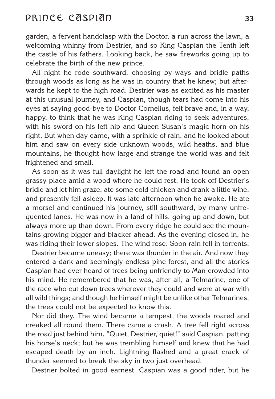garden, a fervent handclasp with the Doctor, a run across the lawn, a welcoming whinny from Destrier, and so King Caspian the Tenth left the castle of his fathers. Looking back, he saw fireworks going up to celebrate the birth of the new prince.

All night he rode southward, choosing by-ways and bridle paths through woods as long as he was in country that he knew; but afterwards he kept to the high road. Destrier was as excited as his master at this unusual journey, and Caspian, though tears had come into his eyes at saying good-bye to Doctor Cornelius, felt brave and, in a way, happy, to think that he was King Caspian riding to seek adventures, with his sword on his left hip and Queen Susan's magic horn on his right. But when day came, with a sprinkle of rain, and he looked about him and saw on every side unknown woods, wild heaths, and blue mountains, he thought how large and strange the world was and felt frightened and small.

As soon as it was full daylight he left the road and found an open grassy place amid a wood where he could rest. He took off Destrier's bridle and let him graze, ate some cold chicken and drank a little wine, and presently fell asleep. It was late afternoon when he awoke. He ate a morsel and continued his journey, still southward, by many unfrequented lanes. He was now in a land of hills, going up and down, but always more up than down. From every ridge he could see the mountains growing bigger and blacker ahead. As the evening closed in, he was riding their lower slopes. The wind rose. Soon rain fell in torrents.

Destrier became uneasy; there was thunder in the air. And now they entered a dark and seemingly endless pine forest, and all the stories Caspian had ever heard of trees being unfriendly to Man crowded into his mind. He remembered that he was, after all, a Telmarine, one of the race who cut down trees wherever they could and were at war with all wild things; and though he himself might be unlike other Telmarines, the trees could not be expected to know this.

Nor did they. The wind became a tempest, the woods roared and creaked all round them. There came a crash. A tree fell right across the road just behind him. "Quiet, Destrier, quiet!" said Caspian, patting his horse's neck; but he was trembling himself and knew that he had escaped death by an inch. Lightning flashed and a great crack of thunder seemed to break the sky in two just overhead.

Destrier bolted in good earnest. Caspian was a good rider, but he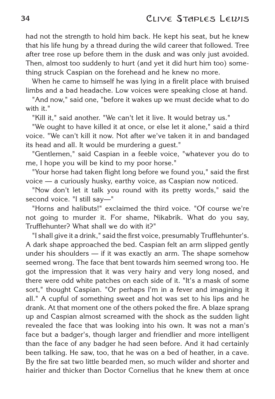had not the strength to hold him back. He kept his seat, but he knew that his life hung by a thread during the wild career that followed. Tree after tree rose up before them in the dusk and was only just avoided. Then, almost too suddenly to hurt (and yet it did hurt him too) something struck Caspian on the forehead and he knew no more.

When he came to himself he was lying in a firelit place with bruised limbs and a bad headache. Low voices were speaking close at hand.

"And now," said one, "before it wakes up we must decide what to do with it."

"Kill it," said another. "We can't let it live. It would betray us."

"We ought to have killed it at once, or else let it alone," said a third voice. "We can't kill it now. Not after we've taken it in and bandaged its head and all. It would be murdering a guest."

"Gentlemen," said Caspian in a feeble voice, "whatever you do to me, I hope you will be kind to my poor horse."

"Your horse had taken flight long before we found you," said the first voice — a curiously husky, earthy voice, as Caspian now noticed.

"Now don't let it talk you round with its pretty words," said the second voice. "I still say—"

"Horns and halibuts!" exclaimed the third voice. "Of course we're not going to murder it. For shame, Nikabrik. What do you say, Trufflehunter? What shall we do with it?"

"I shall give it a drink," said the first voice, presumably Trufflehunter's. A dark shape approached the bed. Caspian felt an arm slipped gently under his shoulders — if it was exactly an arm. The shape somehow seemed wrong. The face that bent towards him seemed wrong too. He got the impression that it was very hairy and very long nosed, and there were odd white patches on each side of it. "It's a mask of some sort," thought Caspian. "Or perhaps I'm in a fever and imagining it all." A cupful of something sweet and hot was set to his lips and he drank. At that moment one of the others poked the fire. A blaze sprang up and Caspian almost screamed with the shock as the sudden light revealed the face that was looking into his own. It was not a man's face but a badger's, though larger and friendlier and more intelligent than the face of any badger he had seen before. And it had certainly been talking. He saw, too, that he was on a bed of heather, in a cave. By the fire sat two little bearded men, so much wilder and shorter and hairier and thicker than Doctor Cornelius that he knew them at once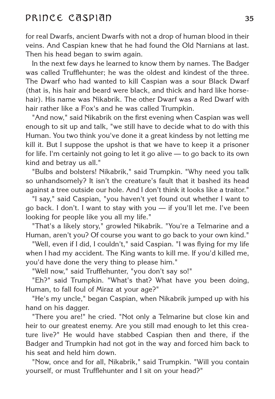for real Dwarfs, ancient Dwarfs with not a drop of human blood in their veins. And Caspian knew that he had found the Old Narnians at last. Then his head began to swim again.

In the next few days he learned to know them by names. The Badger was called Trufflehunter; he was the oldest and kindest of the three. The Dwarf who had wanted to kill Caspian was a sour Black Dwarf (that is, his hair and beard were black, and thick and hard like horsehair). His name was Nikabrik. The other Dwarf was a Red Dwarf with hair rather like a Fox's and he was called Trumpkin.

"And now," said Nikabrik on the first evening when Caspian was well enough to sit up and talk, "we still have to decide what to do with this Human. You two think you've done it a great kindess by not letting me kill it. But I suppose the upshot is that we have to keep it a prisoner for life. I'm certainly not going to let it go alive — to go back to its own kind and betray us all."

"Bulbs and bolsters! Nikabrik," said Trumpkin. "Why need you talk so unhandsomely? It isn't the creature's fault that it bashed its head against a tree outside our hole. And I don't think it looks like a traitor."

"I say," said Caspian, "you haven't yet found out whether I want to go back. I don't. I want to stay with you — if you'll let me. I've been looking for people like you all my life."

"That's a likely story," growled Nikabrik. "You're a Telmarine and a Human, aren't you? Of course you want to go back to your own kind."

"Well, even if I did, I couldn't," said Caspian. "I was flying for my life when I had my accident. The King wants to kill me. If you'd killed me, you'd have done the very thing to please him."

"Well now," said Trufflehunter, "you don't say so!"

"Eh?" said Trumpkin. "What's that? What have you been doing, Human, to fall foul of Miraz at your age?"

"He's my uncle," began Caspian, when Nikabrik jumped up with his hand on his dagger.

"There you are!" he cried. "Not only a Telmarine but close kin and heir to our greatest enemy. Are you still mad enough to let this creature live?" He would have stabbed Caspian then and there, if the Badger and Trumpkin had not got in the way and forced him back to his seat and held him down.

"Now, once and for all, Nikabrik," said Trumpkin. "Will you contain yourself, or must Trufflehunter and I sit on your head?"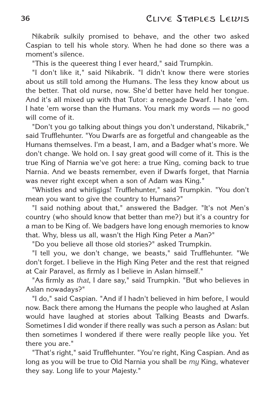Nikabrik sulkily promised to behave, and the other two asked Caspian to tell his whole story. When he had done so there was a moment's silence.

"This is the queerest thing I ever heard," said Trumpkin.

"I don't like it," said Nikabrik. "I didn't know there were stories about us still told among the Humans. The less they know about us the better. That old nurse, now. She'd better have held her tongue. And it's all mixed up with that Tutor: a renegade Dwarf. I hate 'em. I hate 'em worse than the Humans. You mark my words — no good will come of it.

"Don't you go talking about things you don't understand, Nikabrik," said Trufflehunter. "You Dwarfs are as forgetful and changeable as the Humans themselves. I'm a beast, I am, and a Badger what's more. We don't change. We hold on. I say great good will come of it. This is the true King of Narnia we've got here: a true King, coming back to true Narnia. And we beasts remember, even if Dwarfs forget, that Narnia was never right except when a son of Adam was King."

"Whistles and whirligigs! Trufflehunter," said Trumpkin. "You don't mean you want to give the country to Humans?"

"I said nothing about that," answered the Badger. "It's not Men's country (who should know that better than me?) but it's a country for a man to be King of. We badgers have long enough memories to know that. Why, bless us all, wasn't the High King Peter a Man?"

"Do you believe all those old stories?" asked Trumpkin.

"I tell you, we don't change, we beasts," said Trufflehunter. "We don't forget. I believe in the High King Peter and the rest that reigned at Cair Paravel, as firmly as I believe in Aslan himself."

"As firmly as *that*, I dare say," said Trumpkin. "But who believes in Aslan nowadays?"

"I do," said Caspian. "And if I hadn't believed in him before, I would now. Back there among the Humans the people who laughed at Aslan would have laughed at stories about Talking Beasts and Dwarfs. Sometimes I did wonder if there really was such a person as Aslan: but then sometimes I wondered if there were really people like you. Yet there you are."

"That's right," said Trufflehunter. "You're right, King Caspian. And as long as you will be true to Old Narnia you shall be *my* King, whatever they say. Long life to your Majesty."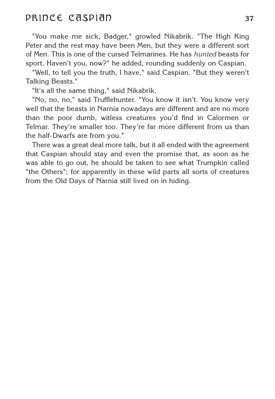"You make me sick, Badger," growled Nikabrik. "The High King Peter and the rest may have been Men, but they were a different sort of Men. This is one of the cursed Telmarines. He has *hunted* beasts for sport. Haven't you, now?" he added, rounding suddenly on Caspian.

"Well, to tell you the truth, I have," said Caspian. "But they weren't Talking Beasts."

"It's all the same thing," said Nikabrik.

"No, no, no," said Trufflehunter. "You know it isn't. You know very well that the beasts in Narnia nowadays are different and are no more than the poor dumb, witless creatures you'd find in Calormen or Telmar. They're smaller too. They're far more different from us than the half-Dwarfs are from you."

There was a great deal more talk, but it all ended with the agreement that Caspian should stay and even the promise that, as soon as he was able to go out, he should be taken to see what Trumpkin called "the Others"; for apparently in these wild parts all sorts of creatures from the Old Days of Narnia still lived on in hiding.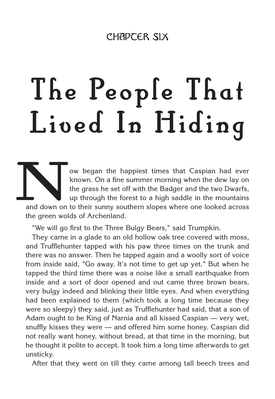# CHAPTER SIX

# The People That Lived In Hiding

Now began the happiest times that Caspian had ever known. On a fine summer morning when the dew lay on the grass he set off with the Badger and the two Dwarfs, up through the forest to a high saddle in the mountains and do known. On a fine summer morning when the dew lay on the grass he set off with the Badger and the two Dwarfs, up through the forest to a high saddle in the mountains the green wolds of Archenland.

"We will go first to the Three Bulgy Bears," said Trumpkin.

They came in a glade to an old hollow oak tree covered with moss, and Trufflehunter tapped with his paw three times on the trunk and there was no answer. Then he tapped again and a woolly sort of voice from inside said, "Go away. It's not time to get up yet." But when he tapped the third time there was a noise like a small earthquake from inside and a sort of door opened and out came three brown bears, very bulgy indeed and blinking their little eyes. And when everything had been explained to them (which took a long time because they were so sleepy) they said, just as Trufflehunter had said, that a son of Adam ought to be King of Narnia and all kissed Caspian — very wet, snuffly kisses they were — and offered him some honey. Caspian did not really want honey, without bread, at that time in the morning, but he thought it polite to accept. It took him a long time afterwards to get unsticky.

After that they went on till they came among tall beech trees and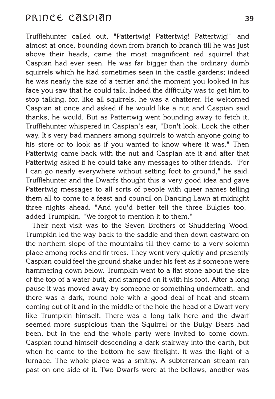Trufflehunter called out, "Pattertwig! Pattertwig! Pattertwig!" and almost at once, bounding down from branch to branch till he was just above their heads, came the most magnificent red squirrel that Caspian had ever seen. He was far bigger than the ordinary dumb squirrels which he had sometimes seen in the castle gardens; indeed he was nearly the size of a terrier and the moment you looked in his face you saw that he could talk. Indeed the difficulty was to get him to stop talking, for, like all squirrels, he was a chatterer. He welcomed Caspian at once and asked if he would like a nut and Caspian said thanks, he would. But as Pattertwig went bounding away to fetch it, Trufflehunter whispered in Caspian's ear, "Don't look. Look the other way. It's very bad manners among squirrels to watch anyone going to his store or to look as if you wanted to know where it was." Then Pattertwig came back with the nut and Caspian ate it and after that Pattertwig asked if he could take any messages to other friends. "For I can go nearly everywhere without setting foot to ground," he said. Trufflehunter and the Dwarfs thought this a very good idea and gave Pattertwig messages to all sorts of people with queer names telling them all to come to a feast and council on Dancing Lawn at midnight three nights ahead. "And you'd better tell the three Bulgies too," added Trumpkin. "We forgot to mention it to them."

Their next visit was to the Seven Brothers of Shuddering Wood. Trumpkin led the way back to the saddle and then down eastward on the northern slope of the mountains till they came to a very solemn place among rocks and fir trees. They went very quietly and presently Caspian could feel the ground shake under his feet as if someone were hammering down below. Trumpkin went to a flat stone about the size of the top of a water-butt, and stamped on it with his foot. After a long pause it was moved away by someone or something underneath, and there was a dark, round hole with a good deal of heat and steam coming out of it and in the middle of the hole the head of a Dwarf very like Trumpkin himself. There was a long talk here and the dwarf seemed more suspicious than the Squirrel or the Bulgy Bears had been, but in the end the whole party were invited to come down. Caspian found himself descending a dark stairway into the earth, but when he came to the bottom he saw firelight. It was the light of a furnace. The whole place was a smithy. A subterranean stream ran past on one side of it. Two Dwarfs were at the bellows, another was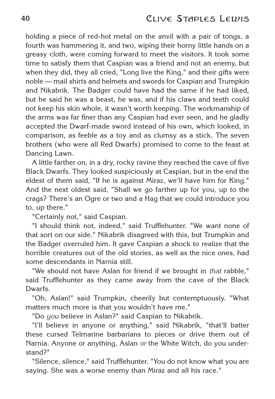holding a piece of red-hot metal on the anvil with a pair of tongs, a fourth was hammering it, and two, wiping their horny little hands on a greasy cloth, were coming forward to meet the visitors. It took some time to satisfy them that Caspian was a friend and not an enemy, but when they did, they all cried, "Long live the King," and their gifts were noble — mail shirts and helmets and swords for Caspian and Trumpkin and Nikabrik. The Badger could have had the same if he had liked, but he said he was a beast, he was, and if his claws and teeth could not keep his skin whole, it wasn't worth keeping. The workmanship of the arms was far finer than any Caspian had ever seen, and he gladly accepted the Dwarf-made sword instead of his own, which looked, in comparison, as feeble as a toy and as clumsy as a stick. The seven brothers (who were all Red Dwarfs) promised to come to the feast at Dancing Lawn.

A little farther on, in a dry, rocky ravine they reached the cave of five Black Dwarfs. They looked suspiciously at Caspian, but in the end the eldest of them said, "If he is against Miraz, we'll have him for King." And the next oldest said, "Shall we go farther up for you, up to the crags? There's an Ogre or two and a Hag that we could introduce you to, up there."

"Certainly not," said Caspian.

"I should think not, indeed," said Trufflehunter. "We want none of that sort on our side." Nikabrik disagreed with this, but Trumpkin and the Badger overruled him. It gave Caspian a shock to realize that the horrible creatures out of the old stories, as well as the nice ones, had some descendants in Narnia still.

"We should not have Aslan for friend if we brought in *that* rabble," said Trufflehunter as they came away from the cave of the Black Dwarfs.

"Oh, Aslan!" said Trumpkin, cheerily but contemptuously. "What matters much more is that you wouldn't have me."

"Do *you* believe in Aslan?" said Caspian to Nikabrik.

"I'll believe in anyone or anything," said Nikabrik, "that'll batter these cursed Telmarine barbarians to pieces or drive them out of Narnia. Anyone or anything, Aslan *or* the White Witch, do you understand?"

"Silence, silence," said Trufflehunter. "You do not know what you are saying. She was a worse enemy than Miraz and all his race."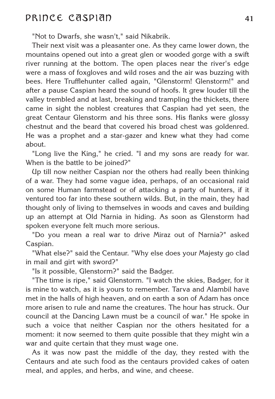"Not to Dwarfs, she wasn't," said Nikabrik.

Their next visit was a pleasanter one. As they came lower down, the mountains opened out into a great glen or wooded gorge with a swift river running at the bottom. The open places near the river's edge were a mass of foxgloves and wild roses and the air was buzzing with bees. Here Trufflehunter called again, "Glenstorm! Glenstorm!" and after a pause Caspian heard the sound of hoofs. It grew louder till the valley trembled and at last, breaking and trampling the thickets, there came in sight the noblest creatures that Caspian had yet seen, the great Centaur Glenstorm and his three sons. His flanks were glossy chestnut and the beard that covered his broad chest was goldenred. He was a prophet and a star-gazer and knew what they had come about.

"Long live the King," he cried. "I and my sons are ready for war. When is the battle to be joined?"

Up till now neither Caspian nor the others had really been thinking of a war. They had some vague idea, perhaps, of an occasional raid on some Human farmstead or of attacking a party of hunters, if it ventured too far into these southern wilds. But, in the main, they had thought only of living to themselves in woods and caves and building up an attempt at Old Narnia in hiding. As soon as Glenstorm had spoken everyone felt much more serious.

"Do you mean a real war to drive Miraz out of Narnia?" asked Caspian.

"What else?" said the Centaur. "Why else does your Majesty go clad in mail and girt with sword?"

"Is it possible, Glenstorm?" said the Badger.

"The time is ripe," said Glenstorm. "I watch the skies, Badger, for it is mine to watch, as it is yours to remember. Tarva and Alambil have met in the halls of high heaven, and on earth a son of Adam has once more arisen to rule and name the creatures. The hour has struck. Our council at the Dancing Lawn must be a council of war." He spoke in such a voice that neither Caspian nor the others hesitated for a moment: it now seemed to them quite possible that they might win a war and quite certain that they must wage one.

As it was now past the middle of the day, they rested with the Centaurs and ate such food as the centaurs provided cakes of oaten meal, and apples, and herbs, and wine, and cheese.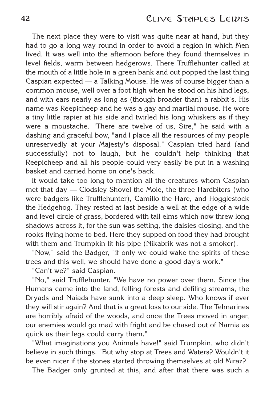The next place they were to visit was quite near at hand, but they had to go a long way round in order to avoid a region in which Men lived. It was well into the afternoon before they found themselves in level fields, warm between hedgerows. There Trufflehunter called at the mouth of a little hole in a green bank and out popped the last thing Caspian expected — a Talking Mouse. He was of course bigger than a common mouse, well over a foot high when he stood on his hind legs, and with ears nearly as long as (though broader than) a rabbit's. His name was Reepicheep and he was a gay and martial mouse. He wore a tiny little rapier at his side and twirled his long whiskers as if they were a moustache. "There are twelve of us, Sire," he said with a dashing and graceful bow, "and I place all the resources of my people unreservedly at your Majesty's disposal." Caspian tried hard (and successfully) not to laugh, but he couldn't help thinking that Reepicheep and all his people could very easily be put in a washing basket and carried home on one's back.

It would take too long to mention all the creatures whom Caspian met that day — Clodsley Shovel the Mole, the three Hardbiters (who were badgers like Trufflehunter), Camillo the Hare, and Hogglestock the Hedgehog. They rested at last beside a well at the edge of a wide and level circle of grass, bordered with tall elms which now threw long shadows across it, for the sun was setting, the daisies closing, and the rooks flying home to bed. Here they supped on food they had brought with them and Trumpkin lit his pipe (Nikabrik was not a smoker).

"Now," said the Badger, "if only we could wake the spirits of these trees and this well, we should have done a good day's work."

"Can't we?" said Caspian.

"No," said Trufflehunter. "We have no power over them. Since the Humans came into the land, felling forests and defiling streams, the Dryads and Naiads have sunk into a deep sleep. Who knows if ever they will stir again? And that is a great loss to our side. The Telmarines are horribly afraid of the woods, and once the Trees moved in anger, our enemies would go mad with fright and be chased out of Narnia as quick as their legs could carry them."

"What imaginations you Animals have!" said Trumpkin, who didn't believe in such things. "But why stop at Trees and Waters? Wouldn't it be even nicer if the stones started throwing themselves at old Miraz?"

The Badger only grunted at this, and after that there was such a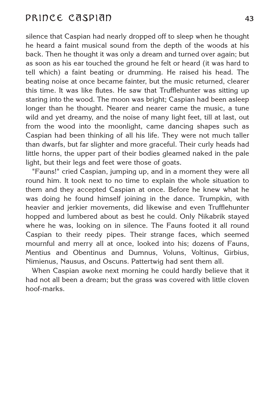silence that Caspian had nearly dropped off to sleep when he thought he heard a faint musical sound from the depth of the woods at his back. Then he thought it was only a dream and turned over again; but as soon as his ear touched the ground he felt or heard (it was hard to tell which) a faint beating or drumming. He raised his head. The beating noise at once became fainter, but the music returned, clearer this time. It was like flutes. He saw that Trufflehunter was sitting up staring into the wood. The moon was bright; Caspian had been asleep longer than he thought. Nearer and nearer came the music, a tune wild and yet dreamy, and the noise of many light feet, till at last, out from the wood into the moonlight, came dancing shapes such as Caspian had been thinking of all his life. They were not much taller than dwarfs, but far slighter and more graceful. Their curly heads had little horns, the upper part of their bodies gleamed naked in the pale light, but their legs and feet were those of goats.

"Fauns!" cried Caspian, jumping up, and in a moment they were all round him. It took next to no time to explain the whole situation to them and they accepted Caspian at once. Before he knew what he was doing he found himself joining in the dance. Trumpkin, with heavier and jerkier movements, did likewise and even Trufflehunter hopped and lumbered about as best he could. Only Nikabrik stayed where he was, looking on in silence. The Fauns footed it all round Caspian to their reedy pipes. Their strange faces, which seemed mournful and merry all at once, looked into his; dozens of Fauns, Mentius and Obentinus and Dumnus, Voluns, Voltinus, Girbius, Nimienus, Nausus, and Oscuns. Pattertwig had sent them all.

When Caspian awoke next morning he could hardly believe that it had not all been a dream; but the grass was covered with little cloven hoof-marks.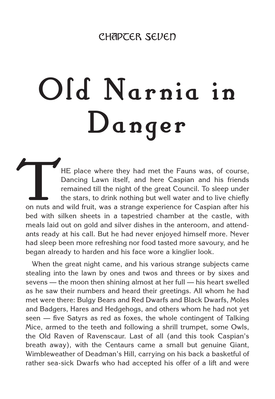# CHAPTER SEVEN

# Old Narnia in Danger

THE place where they had met the Fauns was, of course, Dancing Lawn itself, and here Caspian and his friends remained till the night of the great Council. To sleep under the stars, to drink nothing but well water and to li Dancing Lawn itself, and here Caspian and his friends remained till the night of the great Council. To sleep under the stars, to drink nothing but well water and to live chiefly bed with silken sheets in a tapestried chamber at the castle, with meals laid out on gold and silver dishes in the anteroom, and attendants ready at his call. But he had never enjoyed himself more. Never had sleep been more refreshing nor food tasted more savoury, and he began already to harden and his face wore a kinglier look.

When the great night came, and his various strange subjects came stealing into the lawn by ones and twos and threes or by sixes and sevens — the moon then shining almost at her full — his heart swelled as he saw their numbers and heard their greetings. All whom he had met were there: Bulgy Bears and Red Dwarfs and Black Dwarfs, Moles and Badgers, Hares and Hedgehogs, and others whom he had not yet seen — five Satyrs as red as foxes, the whole contingent of Talking Mice, armed to the teeth and following a shrill trumpet, some Owls, the Old Raven of Ravenscaur. Last of all (and this took Caspian's breath away), with the Centaurs came a small but genuine Giant, Wimbleweather of Deadman's Hill, carrying on his back a basketful of rather sea-sick Dwarfs who had accepted his offer of a lift and were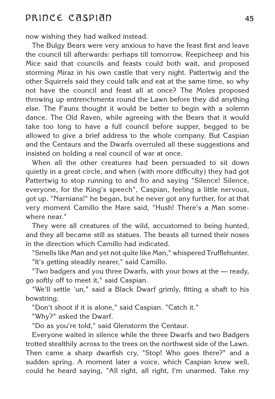now wishing they had walked instead.

The Bulgy Bears were very anxious to have the feast first and leave the council till afterwards: perhaps till tomorrow. Reepicheep and his Mice said that councils and feasts could both wait, and proposed storming Miraz in his own castle that very night. Pattertwig and the other Squirrels said they could talk and eat at the same time, so why not have the council and feast all at once? The Moles proposed throwing up entrenchments round the Lawn before they did anything else. The Fauns thought it would be better to begin with a solemn dance. The Old Raven, while agreeing with the Bears that it would take too long to have a full council before supper, begged to be allowed to give a brief address to the whole company. But Caspian and the Centaurs and the Dwarfs overruled all these suggestions and insisted on holding a real council of war at once.

When all the other creatures had been persuaded to sit down quietly in a great circle, and when (with more difficulty) they had got Pattertwig to stop running to and fro and saying "Silence! Silence, everyone, for the King's speech", Caspian, feeling a little nervous, got up. "Narnians!" he began, but he never got any further, for at that very moment Camillo the Hare said, "Hush! There's a Man somewhere near."

They were all creatures of the wild, accustomed to being hunted, and they all became still as statues. The beasts all turned their noses in the direction which Camillo had indicated.

"Smells like Man and yet not quite like Man," whispered Trufflehunter. "It's getting steadily nearer," said Camillo.

"Two badgers and you three Dwarfs, with your bows at the — ready, go softly off to meet it," said Caspian.

"We'll settle 'un," said a Black Dwarf grimly, fitting a shaft to his bowstring.

"Don't shoot if it is alone," said Caspian. "Catch it."

"Why?" asked the Dwarf.

"Do as you're told," said Glenstorm the Centaur.

Everyone waited in silence while the three Dwarfs and two Badgers trotted stealthily across to the trees on the northwest side of the Lawn. Then came a sharp dwarfish cry, "Stop! Who goes there?" and a sudden spring. A moment later a voice, which Caspian knew well, could he heard saying, "All right, all right, I'm unarmed. Take my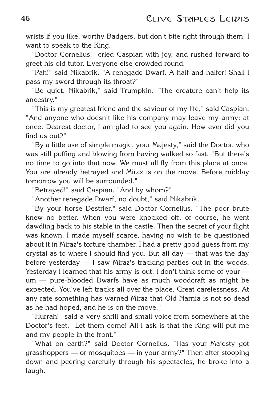wrists if you like, worthy Badgers, but don't bite right through them. I want to speak to the King."

"Doctor Cornelius!" cried Caspian with joy, and rushed forward to greet his old tutor. Everyone else crowded round.

"Pah!" said Nikabrik. "A renegade Dwarf. A half-and-halfer! Shall I pass my sword through its throat?"

"Be quiet, Nikabrik," said Trumpkin. "The creature can't help its ancestry."

"This is my greatest friend and the saviour of my life," said Caspian. "And anyone who doesn't like his company may leave my army: at once. Dearest doctor, I am glad to see you again. How ever did you find us out?"

"By a little use of simple magic, your Majesty," said the Doctor, who was still puffing and blowing from having walked so fast. "But there's no time to go into that now. We must all fly from this place at once. You are already betrayed and Miraz is on the move. Before midday tomorrow you will be surrounded."

"Betrayed!" said Caspian. "And by whom?"

"Another renegade Dwarf, no doubt," said Nikabrik.

"By your horse Destrier," said Doctor Cornelius. "The poor brute knew no better. When you were knocked off, of course, he went dawdling back to his stable in the castle. Then the secret of your flight was known. I made myself scarce, having no wish to be questioned about it in Miraz's torture chamber. I had a pretty good guess from my crystal as to where I should find you. But all day — that was the day before yesterday — I saw Miraz's tracking parties out in the woods. Yesterday I learned that his army is out. I don't think some of your um — pure-blooded Dwarfs have as much woodcraft as might be expected. You've left tracks all over the place. Great carelessness. At any rate something has warned Miraz that Old Narnia is not so dead as he had hoped, and he is on the move."

"Hurrah!" said a very shrill and small voice from somewhere at the Doctor's feet. "Let them come! All I ask is that the King will put me and my people in the front."

"What on earth?" said Doctor Cornelius. "Has your Majesty got grasshoppers — or mosquitoes — in your army?" Then after stooping down and peering carefully through his spectacles, he broke into a laugh.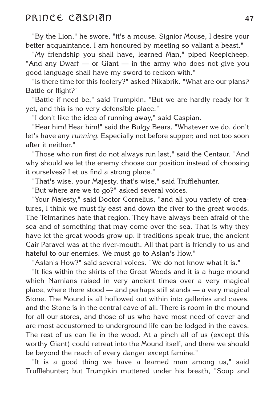"By the Lion," he swore, "it's a mouse. Signior Mouse, I desire your better acquaintance. I am honoured by meeting so valiant a beast."

"My friendship you shall have, learned Man," piped Reepicheep. "And any Dwarf  $-$  or Giant  $-$  in the army who does not give you good language shall have my sword to reckon with."

"Is there time for this foolery?" asked Nikabrik. "What are our plans? Battle or flight?"

"Battle if need be," said Trumpkin. "But we are hardly ready for it yet, and this is no very defensible place."

"I don't like the idea of running away," said Caspian.

"Hear him! Hear him!" said the Bulgy Bears. "Whatever we do, don't let's have any *running*. Especially not before supper; and not too soon after it neither."

"Those who run first do not always run last," said the Centaur. "And why should we let the enemy choose our position instead of choosing it ourselves? Let us find a strong place."

"That's wise, your Majesty, that's wise," said Trufflehunter.

"But where are we to go?" asked several voices.

"Your Majesty," said Doctor Cornelius, "and all you variety of creatures, I think we must fly east and down the river to the great woods. The Telmarines hate that region. They have always been afraid of the sea and of something that may come over the sea. That is why they have let the great woods grow up. If traditions speak true, the ancient Cair Paravel was at the river-mouth. All that part is friendly to us and hateful to our enemies. We must go to Aslan's How."

"Aslan's How?" said several voices. "We do not know what it is."

"It lies within the skirts of the Great Woods and it is a huge mound which Narnians raised in very ancient times over a very magical place, where there stood — and perhaps still stands — a very magical Stone. The Mound is all hollowed out within into galleries and caves, and the Stone is in the central cave of all. There is room in the mound for all our stores, and those of us who have most need of cover and are most accustomed to underground life can be lodged in the caves. The rest of us can lie in the wood. At a pinch all of us (except this worthy Giant) could retreat into the Mound itself, and there we should be beyond the reach of every danger except famine."

"It is a good thing we have a learned man among us," said Trufflehunter; but Trumpkin muttered under his breath, "Soup and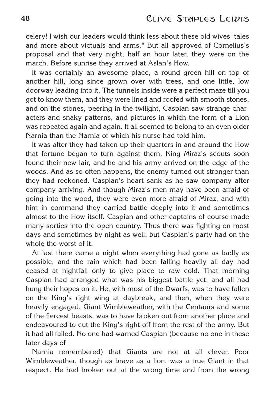celery! I wish our leaders would think less about these old wives' tales and more about victuals and arms." But all approved of Cornelius's proposal and that very night, half an hour later, they were on the march. Before sunrise they arrived at Aslan's How.

It was certainly an awesome place, a round green hill on top of another hill, long since grown over with trees, and one little, low doorway leading into it. The tunnels inside were a perfect maze till you got to know them, and they were lined and roofed with smooth stones, and on the stones, peering in the twilight, Caspian saw strange characters and snaky patterns, and pictures in which the form of a Lion was repeated again and again. It all seemed to belong to an even older Narnia than the Narnia of which his nurse had told him.

It was after they had taken up their quarters in and around the How that fortune began to turn against them. King Miraz's scouts soon found their new lair, and he and his army arrived on the edge of the woods. And as so often happens, the enemy turned out stronger than they had reckoned. Caspian's heart sank as he saw company after company arriving. And though Miraz's men may have been afraid of going into the wood, they were even more afraid of Miraz, and with him in command they carried battle deeply into it and sometimes almost to the How itself. Caspian and other captains of course made many sorties into the open country. Thus there was fighting on most days and sometimes by night as well; but Caspian's party had on the whole the worst of it.

At last there came a night when everything had gone as badly as possible, and the rain which had been falling heavily all day had ceased at nightfall only to give place to raw cold. That morning Caspian had arranged what was his biggest battle yet, and all had hung their hopes on it. He, with most of the Dwarfs, was to have fallen on the King's right wing at daybreak, and then, when they were heavily engaged, Giant Wimbleweather, with the Centaurs and some of the fiercest beasts, was to have broken out from another place and endeavoured to cut the King's right off from the rest of the army. But it had all failed. No one had warned Caspian (because no one in these later days of

Narnia remembered) that Giants are not at all clever. Poor Wimbleweather, though as brave as a lion, was a true Giant in that respect. He had broken out at the wrong time and from the wrong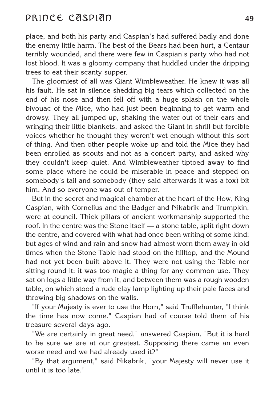place, and both his party and Caspian's had suffered badly and done the enemy little harm. The best of the Bears had been hurt, a Centaur terribly wounded, and there were few in Caspian's party who had not lost blood. It was a gloomy company that huddled under the dripping trees to eat their scanty supper.

The gloomiest of all was Giant Wimbleweather. He knew it was all his fault. He sat in silence shedding big tears which collected on the end of his nose and then fell off with a huge splash on the whole bivouac of the Mice, who had just been beginning to get warm and drowsy. They all jumped up, shaking the water out of their ears and wringing their little blankets, and asked the Giant in shrill but forcible voices whether he thought they weren't wet enough without this sort of thing. And then other people woke up and told the Mice they had been enrolled as scouts and not as a concert party, and asked why they couldn't keep quiet. And Wimbleweather tiptoed away to find some place where he could be miserable in peace and stepped on somebody's tail and somebody (they said afterwards it was a fox) bit him. And so everyone was out of temper.

But in the secret and magical chamber at the heart of the How, King Caspian, with Cornelius and the Badger and Nikabrik and Trumpkin, were at council. Thick pillars of ancient workmanship supported the roof. In the centre was the Stone itself — a stone table, split right down the centre, and covered with what had once been writing of some kind: but ages of wind and rain and snow had almost worn them away in old times when the Stone Table had stood on the hilltop, and the Mound had not yet been built above it. They were not using the Table nor sitting round it: it was too magic a thing for any common use. They sat on logs a little way from it, and between them was a rough wooden table, on which stood a rude clay lamp lighting up their pale faces and throwing big shadows on the walls.

"If your Majesty is ever to use the Horn," said Trufflehunter, "I think the time has now come." Caspian had of course told them of his treasure several days ago.

"We are certainly in great need," answered Caspian. "But it is hard to be sure we are at our greatest. Supposing there came an even worse need and we had already used it?"

"By that argument," said Nikabrik, "your Majesty will never use it until it is too late."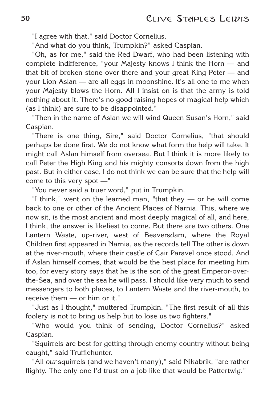"I agree with that," said Doctor Cornelius.

"And what do you think, Trumpkin?" asked Caspian.

"Oh, as for me," said the Red Dwarf, who had been listening with complete indifference, "your Majesty knows I think the Horn — and that bit of broken stone over there and your great King Peter — and your Lion Aslan — are all eggs in moonshine. It's all one to me when your Majesty blows the Horn. All I insist on is that the army is told nothing about it. There's no good raising hopes of magical help which (as I think) are sure to be disappointed."

"Then in the name of Aslan we will wind Queen Susan's Horn," said Caspian.

"There is one thing, Sire," said Doctor Cornelius, "that should perhaps be done first. We do not know what form the help will take. It might call Aslan himself from oversea. But I think it is more likely to call Peter the High King and his mighty consorts down from the high past. But in either case, I do not think we can be sure that the help will come to this very spot —"

"You never said a truer word," put in Trumpkin.

"I think," went on the learned man, "that they — or he will come back to one or other of the Ancient Places of Narnia. This, where we now sit, is the most ancient and most deeply magical of all, and here, I think, the answer is likeliest to come. But there are two others. One Lantern Waste, up-river, west of Beaversdam, where the Royal Children first appeared in Narnia, as the records tell The other is down at the river-mouth, where their castle of Cair Paravel once stood. And if Aslan himself comes, that would be the best place for meeting him too, for every story says that he is the son of the great Emperor-overthe-Sea, and over the sea he will pass. I should like very much to send messengers to both places, to Lantern Waste and the river-mouth, to receive them — or him or it."

"Just as I thought," muttered Trumpkin. "The first result of all this foolery is not to bring us help but to lose us two fighters."

"Who would you think of sending, Doctor Cornelius?" asked Caspian.

"Squirrels are best for getting through enemy country without being caught," said Trufflehunter.

"All *our* squirrels (and we haven't many)," said Nikabrik, "are rather flighty. The only one I'd trust on a job like that would be Pattertwig."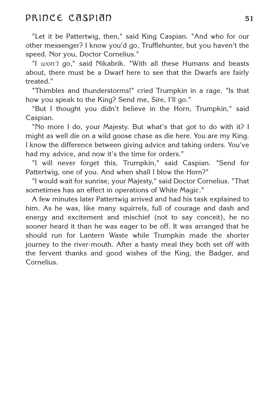"Let it be Pattertwig, then," said King Caspian. "And who for our other messenger? I know you'd go, Trufflehunter, but you haven't the speed. Nor you, Doctor Cornelius."

"I *won't* go," said Nikabrik. "With all these Humans and beasts about, there must be a Dwarf here to see that the Dwarfs are fairly treated."

"Thimbles and thunderstorms!" cried Trumpkin in a rage. "Is that how you speak to the King? Send me, Sire, I'll go."

"But I thought you didn't believe in the Horn, Trumpkin," said Caspian.

"No more I do, your Majesty. But what's that got to do with it? I might as well die on a wild goose chase as die here. You are my King. I know the difference between giving advice and taking orders. You've had my advice, and now it's the time for orders."

"I will never forget this, Trumpkin," said Caspian. "Send for Pattertwig, one of you. And when shall I blow the Horn?"

"I would wait for sunrise, your Majesty," said Doctor Cornelius. "That sometimes has an effect in operations of White Magic."

A few minutes later Pattertwig arrived and had his task explained to him. As he was, like many squirrels, full of courage and dash and energy and excitement and mischief (not to say conceit), he no sooner heard it than he was eager to be off. It was arranged that he should run for Lantern Waste while Trumpkin made the shorter journey to the river-mouth. After a hasty meal they both set off with the fervent thanks and good wishes of the King, the Badger, and **Cornelius**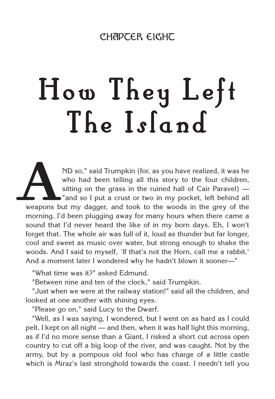# CHAPTER EIGHT

# How They Left The Island

AND so," said Trumpkin (for, as you have realized, it was he who had been telling all this story to the four children, sitting on the grass in the ruined hall of Cair Paravel) — "and so I put a crust or two in my pocket, l who had been telling all this story to the four children, sitting on the grass in the ruined hall of Cair Paravel) — "and so I put a crust or two in my pocket, left behind all

morning. I'd been plugging away for many hours when there came a sound that I'd never heard the like of in my born days. Eh, I won't forget that. The whole air was full of it, loud as thunder but far longer, cool and sweet as music over water, but strong enough to shake the woods. And I said to myself, `If that's not the Horn, call me a rabbit.' And a moment later I wondered why he hadn't blown it sooner—"

"What time was it?" asked Edmund.

"Between nine and ten of the clock," said Trumpkin.

"Just when we were at the railway station!" said all the children, and looked at one another with shining eyes.

"Please go on," said Lucy to the Dwarf.

"Well, as I was saying, I wondered, but I went on as hard as I could pelt. I kept on all night — and then, when it was half light this morning, as if I'd no more sense than a Giant, I risked a short cut across open country to cut off a big loop of the river, and was caught. Not by the army, but by a pompous old fool who has charge of a little castle which is Miraz's last stronghold towards the coast. I needn't tell you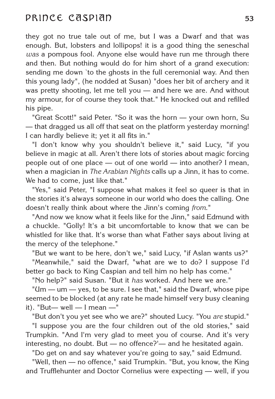they got no true tale out of me, but I was a Dwarf and that was enough. But, lobsters and lollipops! it is a good thing the seneschal *was* a pompous fool. Anyone else would have run me through there and then. But nothing would do for him short of a grand execution: sending me down `to the ghosts in the full ceremonial way. And then this young lady", (he nodded at Susan) "does her bit of archery and it was pretty shooting, let me tell you — and here we are. And without my armour, for of course they took that." He knocked out and refilled his pipe.

"Great Scott!" said Peter. "So it was the horn — your own horn, Su — that dragged us all off that seat on the platform yesterday morning! I can hardly believe it; yet it all fits in."

"I don't know why you shouldn't believe it," said Lucy, "if you believe in magic at all. Aren't there lots of stories about magic forcing people out of one place — out of one world — into another? I mean, when a magician in *The Arabian Nights* calls up a Jinn, it has to come. We had to come, just like that."

"Yes," said Peter, "I suppose what makes it feel so queer is that in the stories it's always someone in our world who does the calling. One doesn't really think about where the Jinn's coming *from*."

"And now we know what it feels like for the Jinn," said Edmund with a chuckle. "Golly! It's a bit uncomfortable to know that we can be whistled for like that. It's worse than what Father says about living at the mercy of the telephone."

"But we want to be here, don't we," said Lucy, "if Aslan wants us?" "Meanwhile," said the Dwarf, "what are we to do? I suppose I'd better go back to King Caspian and tell him no help has come."

"No help?" said Susan. "But it *has* worked. And here we are."

 $"$ Um — um — yes, to be sure. I see that," said the Dwarf, whose pipe seemed to be blocked (at any rate he made himself very busy cleaning it). "But— well — I mean —"

"But don't you yet see who we are?" shouted Lucy. "You *are* stupid."

"I suppose you are the four children out of the old stories," said Trumpkin. "And I'm very glad to meet you of course. And it's very interesting, no doubt. But — no offence?'— and he hesitated again.

"Do get on and say whatever you're going to say," said Edmund.

"Well, then — no offence," said Trumpkin. "But, you know, the King and Trufflehunter and Doctor Cornelius were expecting — well, if you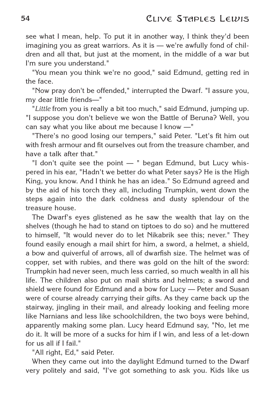see what I mean, help. To put it in another way, I think they'd been imagining you as great warriors. As it is — we're awfully fond of children and all that, but just at the moment, in the middle of a war but I'm sure you understand."

"You mean you think we're no good," said Edmund, getting red in the face.

"Now pray don't be offended," interrupted the Dwarf. "I assure you, my dear little friends—"

"*Little* from you is really a bit too much," said Edmund, jumping up. "I suppose you don't believe we won the Battle of Beruna? Well, you can say what you like about me because I know —"

"There's no good losing our tempers," said Peter. "Let's fit him out with fresh armour and fit ourselves out from the treasure chamber, and have a talk after that."

"I don't quite see the point — " began Edmund, but Lucy whispered in his ear, "Hadn't we better do what Peter says? He is the High King, you know. And I think he has an idea." So Edmund agreed and by the aid of his torch they all, including Trumpkin, went down the steps again into the dark coldness and dusty splendour of the treasure house.

The Dwarf's eyes glistened as he saw the wealth that lay on the shelves (though he had to stand on tiptoes to do so) and he muttered to himself, "It would never do to let Nikabrik see this; never." They found easily enough a mail shirt for him, a sword, a helmet, a shield, a bow and quiverful of arrows, all of dwarfish size. The helmet was of copper, set with rubies, and there was gold on the hilt of the sword: Trumpkin had never seen, much less carried, so much wealth in all his life. The children also put on mail shirts and helmets; a sword and shield were found for Edmund and a bow for Lucy — Peter and Susan were of course already carrying their gifts. As they came back up the stairway, jingling in their mail, and already looking and feeling more like Narnians and less like schoolchildren, the two boys were behind, apparently making some plan. Lucy heard Edmund say, "No, let me do it. It will be more of a sucks for him if I win, and less of a let-down for us all if I fail."

"All right, Ed," said Peter.

When they came out into the daylight Edmund turned to the Dwarf very politely and said, "I've got something to ask you. Kids like us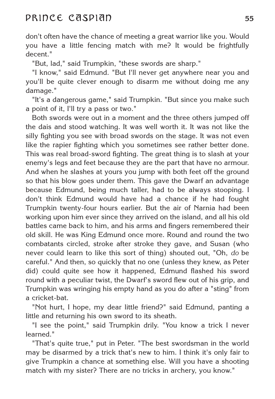don't often have the chance of meeting a great warrior like you. Would you have a little fencing match with me? It would be frightfully decent."

"But, lad," said Trumpkin, "these swords are sharp."

"I know," said Edmund. "But I'll never get anywhere near you and you'll be quite clever enough to disarm me without doing me any damage."

"It's a dangerous game," said Trumpkin. "But since you make such a point of it, I'll try a pass or two."

Both swords were out in a moment and the three others jumped off the dais and stood watching. It was well worth it. It was not like the silly fighting you see with broad swords on the stage. It was not even like the rapier fighting which you sometimes see rather better done. This was real broad-sword fighting. The great thing is to slash at your enemy's legs and feet because they are the part that have no armour. And when he slashes at yours you jump with both feet off the ground so that his blow goes under them. This gave the Dwarf an advantage because Edmund, being much taller, had to be always stooping. I don't think Edmund would have had a chance if he had fought Trumpkin twenty-four hours earlier. But the air of Narnia had been working upon him ever since they arrived on the island, and all his old battles came back to him, and his arms and fingers remembered their old skill. He was King Edmund once more. Round and round the two combatants circled, stroke after stroke they gave, and Susan (who never could learn to like this sort of thing) shouted out, "Oh, *do* be careful." And then, so quickly that no one (unless they knew, as Peter did) could quite see how it happened, Edmund flashed his sword round with a peculiar twist, the Dwarf's sword flew out of his grip, and Trumpkin was wringing his empty hand as you do after a "sting" from a cricket-bat.

"Not hurt, I hope, my dear little friend?" said Edmund, panting a little and returning his own sword to its sheath.

"I see the point," said Trumpkin drily. "You know a trick I never learned."

"That's quite true," put in Peter. "The best swordsman in the world may be disarmed by a trick that's new to him. I think it's only fair to give Trumpkin a chance at something else. Will you have a shooting match with my sister? There are no tricks in archery, you know."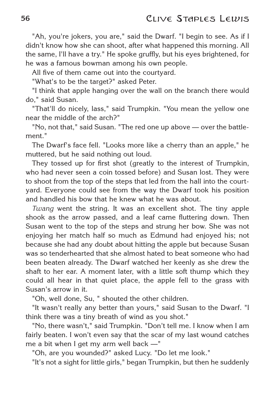"Ah, you're jokers, you are," said the Dwarf. "I begin to see. As if I didn't know how she can shoot, after what happened this morning. All the same, I'll have a try." He spoke gruffly, but his eyes brightened, for he was a famous bowman among his own people.

All five of them came out into the courtyard.

"What's to be the target?" asked Peter.

"I think that apple hanging over the wall on the branch there would do," said Susan.

"That'll do nicely, lass," said Trumpkin. "You mean the yellow one near the middle of the arch?"

"No, not that," said Susan. "The red one up above — over the battlement."

The Dwarf's face fell. "Looks more like a cherry than an apple," he muttered, but he said nothing out loud.

They tossed up for first shot (greatly to the interest of Trumpkin, who had never seen a coin tossed before) and Susan lost. They were to shoot from the top of the steps that led from the hall into the courtyard. Everyone could see from the way the Dwarf took his position and handled his bow that he knew what he was about.

*Twang* went the string. It was an excellent shot. The tiny apple shook as the arrow passed, and a leaf came fluttering down. Then Susan went to the top of the steps and strung her bow. She was not enjoying her match half so much as Edmund had enjoyed his; not because she had any doubt about hitting the apple but because Susan was so tenderhearted that she almost hated to beat someone who had been beaten already. The Dwarf watched her keenly as she drew the shaft to her ear. A moment later, with a little soft thump which they could all hear in that quiet place, the apple fell to the grass with Susan's arrow in it.

"Oh, well done, Su, " shouted the other children.

"It wasn't really any better than yours," said Susan to the Dwarf. "I think there was a tiny breath of wind as you shot."

"No, there wasn't," said Trumpkin. "Don't tell me. I know when I am fairly beaten. I won't even say that the scar of my last wound catches me a bit when I get my arm well back —"

"Oh, are you wounded?" asked Lucy. "Do let me look."

"It's not a sight for little girls," began Trumpkin, but then he suddenly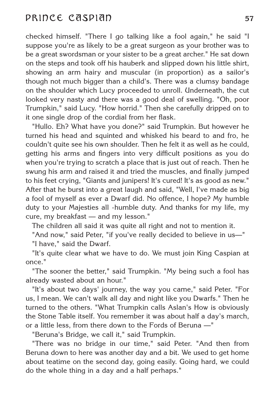checked himself. "There I go talking like a fool again," he said "I suppose you're as likely to be a great surgeon as your brother was to be a great swordsman or your sister to be a great archer." He sat down on the steps and took off his hauberk and slipped down his little shirt, showing an arm hairy and muscular (in proportion) as a sailor's though not much bigger than a child's. There was a clumsy bandage on the shoulder which Lucy proceeded to unroll. Underneath, the cut looked very nasty and there was a good deal of swelling. "Oh, poor Trumpkin," said Lucy. "How horrid." Then she carefully dripped on to it one single drop of the cordial from her flask.

"Hullo. Eh? What have you done?" said Trumpkin. But however he turned his head and squinted and whisked his beard to and fro, he couldn't quite see his own shoulder. Then he felt it as well as he could, getting his arms and fingers into very difficult positions as you do when you're trying to scratch a place that is just out of reach. Then he swung his arm and raised it and tried the muscles, and finally jumped to his feet crying, "Giants and junipers! It's cured! It's as good as new." After that he burst into a great laugh and said, "Well, I've made as big a fool of myself as ever a Dwarf did. No offence, I hope? My humble duty to your Majesties all -humble duty. And thanks for my life, my cure, my breakfast — and my lesson."

The children all said it was quite all right and not to mention it.

"And now," said Peter, "if you've really decided to believe in us-" "I have," said the Dwarf.

"It's quite clear what we have to do. We must join King Caspian at once."

"The sooner the better," said Trumpkin. "My being such a fool has already wasted about an hour."

"It's about two days' journey, the way you came," said Peter. "For us, I mean. We can't walk all day and night like you Dwarfs." Then he turned to the others. "What Trumpkin calls Aslan's How is obviously the Stone Table itself. You remember it was about half a day's march, or a little less, from there down to the Fords of Beruna —"

"Beruna's Bridge, we call it," said Trumpkin.

"There was no bridge in our time," said Peter. "And then from Beruna down to here was another day and a bit. We used to get home about teatime on the second day, going easily. Going hard, we could do the whole thing in a day and a half perhaps."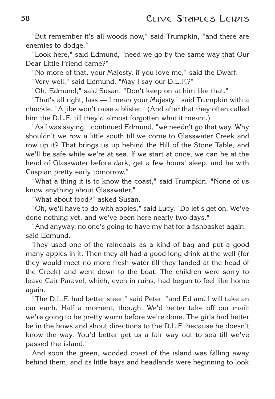"But remember it's all woods now," said Trumpkin, "and there are enemies to dodge."

"Look here," said Edmund, "need we go by the same way that Our Dear Little Friend came?"

"No more of that, your Majesty, if you love me," said the Dwarf.

"Very well," said Edmund. "May I say our D.L.F.?"

"Oh, Edmund," said Susan. "Don't keep on at him like that."

"That's all right, lass — I mean your Majesty," said Trumpkin with a chuckle. "A jibe won't raise a blister." (And after that they often called him the D.L.F. till they'd almost forgotten what it meant.)

"As I was saying," continued Edmund, "we needn't go that way. Why shouldn't we row a little south till we come to Glasswater Creek and row up it? That brings us up behind the Hill of the Stone Table, and we'll be safe while we're at sea. If we start at once, we can be at the head of Glasswater before dark, get a few hours' sleep, and be with Caspian pretty early tomorrow."

"What a thing it is to know the coast," said Trumpkin. "None of us know anything about Glasswater."

"What about food?" asked Susan.

"Oh, we'll have to do with apples," said Lucy. "Do let's get on. We've done nothing yet, and we've been here nearly two days."

"And anyway, no one's going to have my hat for a fishbasket again," said Edmund.

They used one of the raincoats as a kind of bag and put a good many apples in it. Then they all had a good long drink at the well (for they would meet no more fresh water till they landed at the head of the Creek) and went down to the boat. The children were sorry to leave Cair Paravel, which, even in ruins, had begun to feel like home again.

"The D.L.F. had better steer," said Peter, "and Ed and I will take an oar each. Half a moment, though. We'd better take off our mail: we're going to be pretty warm before we're done. The girls had better be in the bows and shout directions to the D.L.F. because he doesn't know the way. You'd better get us a fair way out to sea till we've passed the island."

And soon the green, wooded coast of the island was falling away behind them, and its little bays and headlands were beginning to look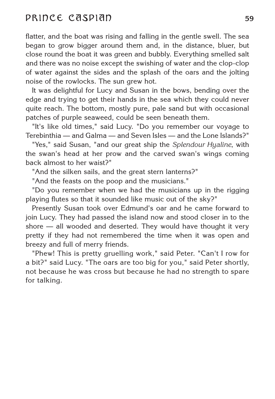flatter, and the boat was rising and falling in the gentle swell. The sea began to grow bigger around them and, in the distance, bluer, but close round the boat it was green and bubbly. Everything smelled salt and there was no noise except the swishing of water and the clop-clop of water against the sides and the splash of the oars and the jolting noise of the rowlocks. The sun grew hot.

It was delightful for Lucy and Susan in the bows, bending over the edge and trying to get their hands in the sea which they could never quite reach. The bottom, mostly pure, pale sand but with occasional patches of purple seaweed, could be seen beneath them.

"It's like old times," said Lucy. "Do you remember our voyage to Terebinthia — and Galma — and Seven Isles — and the Lone Islands?"

"Yes," said Susan, "and our great ship the *Splendour Hyaline*, with the swan's head at her prow and the carved swan's wings coming back almost to her waist?"

"And the silken sails, and the great stern lanterns?"

"And the feasts on the poop and the musicians."

"Do you remember when we had the musicians up in the rigging playing flutes so that it sounded like music out of the sky?"

Presently Susan took over Edmund's oar and he came forward to join Lucy. They had passed the island now and stood closer in to the shore — all wooded and deserted. They would have thought it very pretty if they had not remembered the time when it was open and breezy and full of merry friends.

"Phew! This is pretty gruelling work," said Peter. "Can't I row for a bit?" said Lucy. "The oars are too big for you," said Peter shortly, not because he was cross but because he had no strength to spare for talking.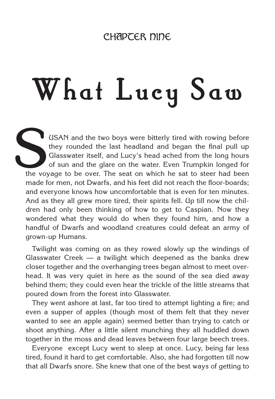# CHAPTER NINE

# What Lucy Saw

 $\overline{S}$  USAN and the two boys were bitterly tired with rowing before they rounded the last headland and began the final pull up Glasswater itself, and Lucy's head ached from the long hours of sun and the glare on the water. Even Trumpkin longed for the voyage to be over. The seat on which he sat to steer had been made for men, not Dwarfs, and his feet did not reach the floor-boards; and everyone knows how uncomfortable that is even for ten minutes. And as they all grew more tired, their spirits fell. Up till now the children had only been thinking of how to get to Caspian. Now they wondered what they would do when they found him, and how a handful of Dwarfs and woodland creatures could defeat an army of grown-up Humans.

Twilight was coming on as they rowed slowly up the windings of Glasswater Creek  $-$  a twilight which deepened as the banks drew closer together and the overhanging trees began almost to meet overhead. It was very quiet in here as the sound of the sea died away behind them; they could even hear the trickle of the little streams that poured down from the forest into Glasswater.

They went ashore at last, far too tired to attempt lighting a fire; and even a supper of apples (though most of them felt that they never wanted to see an apple again) seemed better than trying to catch or shoot anything. After a little silent munching they all huddled down together in the moss and dead leaves between four large beech trees.

Everyone except Lucy went to sleep at once. Lucy, being far less tired, found it hard to get comfortable. Also, she had forgotten till now that all Dwarfs snore. She knew that one of the best ways of getting to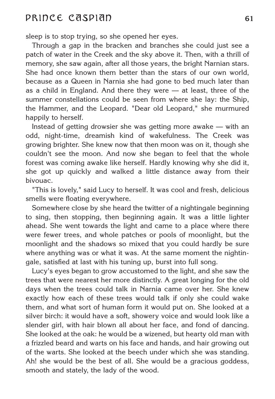sleep is to stop trying, so she opened her eyes.

Through a gap in the bracken and branches she could just see a patch of water in the Creek and the sky above it. Then, with a thrill of memory, she saw again, after all those years, the bright Narnian stars. She had once known them better than the stars of our own world, because as a Queen in Narnia she had gone to bed much later than as a child in England. And there they were — at least, three of the summer constellations could be seen from where she lay: the Ship, the Hammer, and the Leopard. "Dear old Leopard," she murmured happily to herself.

Instead of getting drowsier she was getting more awake — with an odd, night-time, dreamish kind of wakefulness. The Creek was growing brighter. She knew now that then moon was on it, though she couldn't see the moon. And now she began to feel that the whole forest was coming awake like herself. Hardly knowing why she did it, she got up quickly and walked a little distance away from their bivouac.

"This is lovely," said Lucy to herself. It was cool and fresh, delicious smells were floating everywhere.

Somewhere close by she heard the twitter of a nightingale beginning to sing, then stopping, then beginning again. It was a little lighter ahead. She went towards the light and came to a place where there were fewer trees, and whole patches or pools of moonlight, but the moonlight and the shadows so mixed that you could hardly be sure where anything was or what it was. At the same moment the nightingale, satisfied at last with his tuning up, burst into full song.

Lucy's eyes began to grow accustomed to the light, and she saw the trees that were nearest her more distinctly. A great longing for the old days when the trees could talk in Narnia came over her. She knew exactly how each of these trees would talk if only she could wake them, and what sort of human form it would put on. She looked at a silver birch: it would have a soft, showery voice and would look like a slender girl, with hair blown all about her face, and fond of dancing. She looked at the oak: he would be a wizened, but hearty old man with a frizzled beard and warts on his face and hands, and hair growing out of the warts. She looked at the beech under which she was standing. Ah! she would be the best of all. She would be a gracious goddess, smooth and stately, the lady of the wood.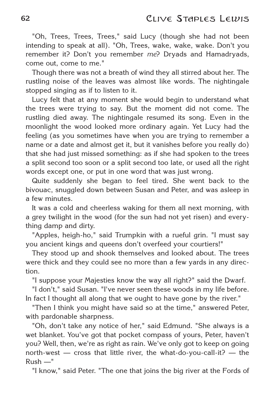#### **62** Clive Staples Lewis

"Oh, Trees, Trees, Trees," said Lucy (though she had not been intending to speak at all). "Oh, Trees, wake, wake, wake. Don't you remember it? Don't you remember *me*? Dryads and Hamadryads, come out, come to me."

Though there was not a breath of wind they all stirred about her. The rustling noise of the leaves was almost like words. The nightingale stopped singing as if to listen to it.

Lucy felt that at any moment she would begin to understand what the trees were trying to say. But the moment did not come. The rustling died away. The nightingale resumed its song. Even in the moonlight the wood looked more ordinary again. Yet Lucy had the feeling (as you sometimes have when you are trying to remember a name or a date and almost get it, but it vanishes before you really do) that she had just missed something: as if she had spoken to the trees a split second too soon or a split second too late, or used all the right words except one, or put in one word that was just wrong.

Quite suddenly she began to feel tired. She went back to the bivouac, snuggled down between Susan and Peter, and was asleep in a few minutes.

It was a cold and cheerless waking for them all next morning, with a grey twilight in the wood (for the sun had not yet risen) and everything damp and dirty.

"Apples, heigh-ho," said Trumpkin with a rueful grin. "I must say you ancient kings and queens don't overfeed your courtiers!"

They stood up and shook themselves and looked about. The trees were thick and they could see no more than a few yards in any direction.

"I suppose your Majesties know the way all right?" said the Dwarf.

"I don't," said Susan. "I've never seen these woods in my life before. In fact I thought all along that we ought to have gone by the river."

"Then I think you might have said so at the time," answered Peter, with pardonable sharpness.

"Oh, don't take any notice of her," said Edmund. "She always is a wet blanket. You've got that pocket compass of yours, Peter, haven't you? Well, then, we're as right as rain. We've only got to keep on going north-west — cross that little river, the what-do-you-call-it? — the Rush —"

"I know," said Peter. "The one that joins the big river at the Fords of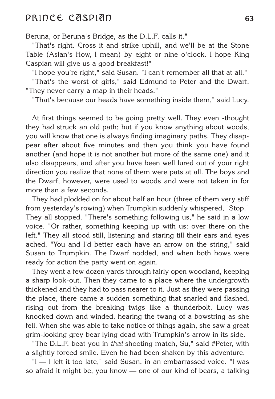Beruna, or Beruna's Bridge, as the D.L.F. calls it."

"That's right. Cross it and strike uphill, and we'll be at the Stone Table (Aslan's How, I mean) by eight or nine o'clock. I hope King Caspian will give us a good breakfast!"

"I hope you're right," said Susan. "I can't remember all that at all."

"That's the worst of girls," said Edmund to Peter and the Dwarf. "They never carry a map in their heads."

"That's because our heads have something inside them," said Lucy.

At first things seemed to be going pretty well. They even -thought they had struck an old path; but if you know anything about woods, you will know that one is always finding imaginary paths. They disappear after about five minutes and then you think you have found another (and hope it is not another but more of the same one) and it also disappears, and after you have been well lured out of your right direction you realize that none of them were pats at all. The boys and the Dwarf, however, were used to woods and were not taken in for more than a few seconds.

They had plodded on for about half an hour (three of them very stiff from yesterday's rowing) when Trumpkin suddenly whispered, "Stop." They all stopped. "There's something following us," he said in a low voice. "Or rather, something keeping up with us: over there on the left." They all stood still, listening and staring till their ears and eyes ached. "You and I'd better each have an arrow on the string," said Susan to Trumpkin. The Dwarf nodded, and when both bows were ready for action the party went on again.

They went a few dozen yards through fairly open woodland, keeping a sharp look-out. Then they came to a place where the undergrowth thickened and they had to pass nearer to it. Just as they were passing the place, there came a sudden something that snarled and flashed, rising out from the breaking twigs like a thunderbolt. Lucy was knocked down and winded, hearing the twang of a bowstring as she fell. When she was able to take notice of things again, she saw a great grim-looking grey bear lying dead with Trumpkin's arrow in its side.

"The D.L.F. beat you in *that* shooting match, Su," said #Peter, with a slightly forced smile. Even he had been shaken by this adventure.

"I — I left it too late," said Susan, in an embarrassed voice. "I was so afraid it might be, you know — one of our kind of bears, a talking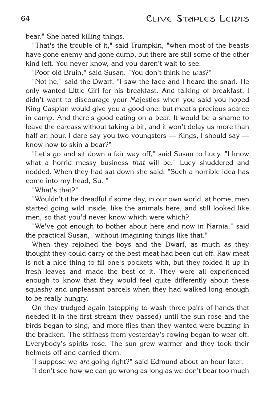bear." She hated killing things.

"That's the trouble of it," said Trumpkin, "when most of the beasts have gone enemy and gone dumb, but there are still some of the other kind left. You never know, and you daren't wait to see."

"Poor old Bruin," said Susan. "You don't think he *was*?"

"Not he," said the Dwarf. "I saw the face and I heard the snarl. He only wanted Little Girl for his breakfast. And talking of breakfast, I didn't want to discourage your Majesties when you said you hoped King Caspian would give you a good one: but meat's precious scarce in camp. And there's good eating on a bear. It would be a shame to leave the carcass without taking a bit, and it won't delay us more than half an hour. I dare say you two youngsters — Kings, I should say know how to skin a bear?"

"Let's go and sit down a fair way off," said Susan to Lucy. "I know what a horrid messy business *that* will be." Lucy shuddered and nodded. When they had sat down she said: "Such a horrible idea has come into my head, Su. "

"What's that?"

"Wouldn't it be dreadful if some day, in our own world, at home, men started going wild inside, like the animals here, and still looked like men, so that you'd never know which were which?"

"We've got enough to bother about here and now in Narnia," said the practical Susan, "without imagining things like that."

When they rejoined the boys and the Dwarf, as much as they thought they could carry of the best meat had been cut off. Raw meat is not a nice thing to fill one's pockets with, but they folded it up in fresh leaves and made the best of it. They were all experienced enough to know that they would feel quite differently about these squashy and unpleasant parcels when they had walked long enough to be really hungry.

On they trudged again (stopping to wash three pairs of hands that needed it in the first stream they passed) until the sun rose and the birds began to sing, and more flies than they wanted were buzzing in the bracken. The stiffness from yesterday's rowing began to wear off. Everybody's spirits rose. The sun grew warmer and they took their helmets off and carried them.

"I suppose we *are* going right?" said Edmund about an hour later.

"I don't see how we can go wrong as long as we don't bear too much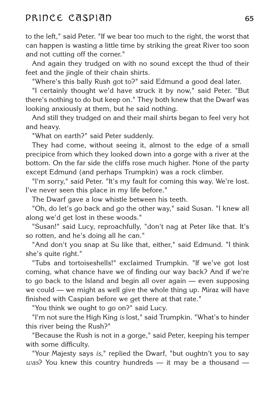to the left," said Peter. "If we bear too much to the right, the worst that can happen is wasting a little time by striking the great River too soon and not cutting off the corner."

And again they trudged on with no sound except the thud of their feet and the jingle of their chain shirts.

"Where's this bally Rush got to?" said Edmund a good deal later.

"I certainly thought we'd have struck it by now," said Peter. "But there's nothing to do but keep on." They both knew that the Dwarf was looking anxiously at them, but he said nothing.

And still they trudged on and their mail shirts began to feel very hot and heavy.

"What on earth?" said Peter suddenly.

They had come, without seeing it, almost to the edge of a small precipice from which they looked down into a gorge with a river at the bottom. On the far side the cliffs rose much higher. None of the party except Edmund (and perhaps Trumpkin) was a rock climber.

"I'm sorry," said Peter. "It's my fault for coming this way. We're lost. I've never seen this place in my life before."

The Dwarf gave a low whistle between his teeth.

"Oh, do let's go back and go the other way," said Susan. "I knew all along we'd get lost in these woods."

"Susan!" said Lucy, reproachfully, "don't nag at Peter like that. It's so rotten, and he's doing all he can."

"And don't you snap at Su like that, either," said Edmund. "I think she's quite right."

"Tubs and tortoiseshells!" exclaimed Trumpkin. "If we've got lost coming, what chance have we of finding our way back? And if we're to go back to the Island and begin all over again — even supposing we could — we might as well give the whole thing up. Miraz will have finished with Caspian before we get there at that rate."

"You think we ought to go on?" said Lucy.

"I'm not sure the High King *is* lost," said Trumpkin. "What's to hinder this river being the Rush?"

"Because the Rush is not in a gorge," said Peter, keeping his temper with some difficulty.

"Your Majesty says *is*," replied the Dwarf, "but oughtn't you to say *was*? You knew this country hundreds — it may be a thousand —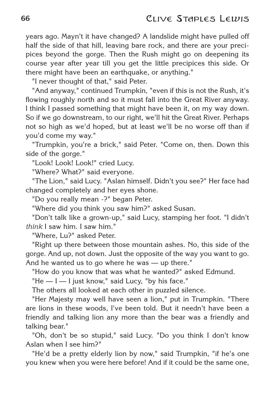years ago. Mayn't it have changed? A landslide might have pulled off half the side of that hill, leaving bare rock, and there are your precipices beyond the gorge. Then the Rush might go on deepening its course year after year till you get the little precipices this side. Or there might have been an earthquake, or anything."

"I never thought of that," said Peter.

"And anyway," continued Trumpkin, "even if this is not the Rush, it's flowing roughly north and so it must fall into the Great River anyway. I think I passed something that might have been it, on my way down. So if we go downstream, to our right, we'll hit the Great River. Perhaps not so high as we'd hoped, but at least we'll be no worse off than if you'd come my way."

"Trumpkin, you're a brick," said Peter. "Come on, then. Down this side of the gorge."

"Look! Look! Look!" cried Lucy.

"Where? What?" said everyone.

"The Lion," said Lucy. "Aslan himself. Didn't you see?" Her face had changed completely and her eyes shone.

"Do you really mean -?" began Peter.

"Where did you think you saw him?" asked Susan.

"Don't talk like a grown-up," said Lucy, stamping her foot. "I didn't *think* I saw him. I saw him."

"Where, Lu?" asked Peter.

"Right up there between those mountain ashes. No, this side of the gorge. And up, not down. Just the opposite of the way you want to go. And he wanted us to go where he was — up there."

"How do you know that was what he wanted?" asked Edmund.

"He  $- I - I$  just know," said Lucy, "by his face."

The others all looked at each other in puzzled silence.

"Her Majesty may well have seen a lion," put in Trumpkin. "There are lions in these woods, I've been told. But it needn't have been a friendly and talking lion any more than the bear was a friendly and talking bear."

"Oh, don't be so stupid," said Lucy. "Do you think I don't know Aslan when I see him?"

"He'd be a pretty elderly lion by now," said Trumpkin, "if he's one you knew when you were here before! And if it could be the same one,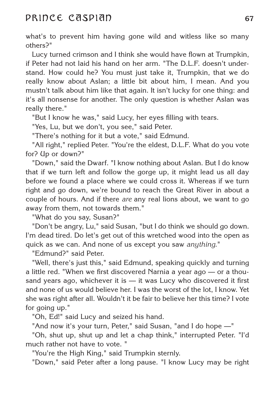what's to prevent him having gone wild and witless like so many others?"

Lucy turned crimson and I think she would have flown at Trumpkin, if Peter had not laid his hand on her arm. "The D.L.F. doesn't understand. How could he? You must just take it, Trumpkin, that we do really know about Aslan; a little bit about him, I mean. And you mustn't talk about him like that again. It isn't lucky for one thing: and it's all nonsense for another. The only question is whether Aslan was really there."

"But I know he was," said Lucy, her eyes filling with tears.

"Yes, Lu, but we don't, you see," said Peter.

"There's nothing for it but a vote," said Edmund.

"All right," replied Peter. "You're the eldest, D.L.F. What do you vote for? Up or down?"

"Down," said the Dwarf. "I know nothing about Aslan. But I do know that if we turn left and follow the gorge up, it might lead us all day before we found a place where we could cross it. Whereas if we turn right and go down, we're bound to reach the Great River in about a couple of hours. And if there *are* any real lions about, we want to go away from them, not towards them."

"What do you say, Susan?"

"Don't be angry, Lu," said Susan, "but I do think we should go down. I'm dead tired. Do let's get out of this wretched wood into the open as quick as we can. And none of us except you saw *anything*."

"Edmund?" said Peter.

"Well, there's just this," said Edmund, speaking quickly and turning a little red. "When we first discovered Narnia a year ago — or a thousand years ago, whichever it is — it was Lucy who discovered it first and none of us would believe her. I was the worst of the lot, I know. Yet she was right after all. Wouldn't it be fair to believe her this time? I vote for going up."

"Oh, Ed!" said Lucy and seized his hand.

"And now it's your turn, Peter," said Susan, "and I do hope —"

"Oh, shut up, shut up and let a chap think," interrupted Peter. "I'd much rather not have to vote. "

"You're the High King," said Trumpkin sternly.

"Down," said Peter after a long pause. "I know Lucy may be right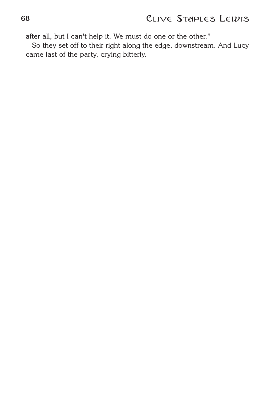after all, but I can't help it. We must do one or the other."

So they set off to their right along the edge, downstream. And Lucy came last of the party, crying bitterly.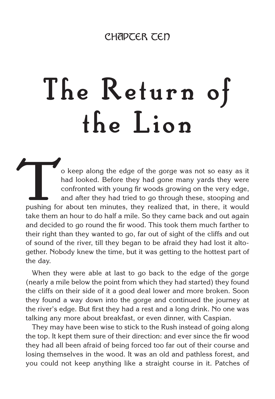### CHAPTER TEN

## The Return of the Lion

o keep along the edge of the gorge was not so easy as it had looked. Before they had gone many yards they were confronted with young fir woods growing on the very edge, and after they had tried to go through these, stoopin had looked. Before they had gone many yards they were confronted with young fir woods growing on the very edge, and after they had tried to go through these, stooping and take them an hour to do half a mile. So they came back and out again and decided to go round the fir wood. This took them much farther to their right than they wanted to go, far out of sight of the cliffs and out of sound of the river, till they began to be afraid they had lost it altogether. Nobody knew the time, but it was getting to the hottest part of the day.

When they were able at last to go back to the edge of the gorge (nearly a mile below the point from which they had started) they found the cliffs on their side of it a good deal lower and more broken. Soon they found a way down into the gorge and continued the journey at the river's edge. But first they had a rest and a long drink. No one was talking any more about breakfast, or even dinner, with Caspian.

They may have been wise to stick to the Rush instead of going along the top. It kept them sure of their direction: and ever since the fir wood they had all been afraid of being forced too far out of their course and losing themselves in the wood. It was an old and pathless forest, and you could not keep anything like a straight course in it. Patches of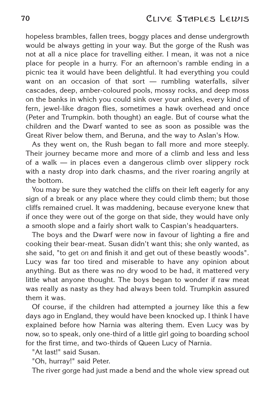hopeless brambles, fallen trees, boggy places and dense undergrowth would be always getting in your way. But the gorge of the Rush was not at all a nice place for travelling either. I mean, it was not a nice place for people in a hurry. For an afternoon's ramble ending in a picnic tea it would have been delightful. It had everything you could want on an occasion of that sort — rumbling waterfalls, silver cascades, deep, amber-coloured pools, mossy rocks, and deep moss on the banks in which you could sink over your ankles, every kind of fern, jewel-like dragon flies, sometimes a hawk overhead and once (Peter and Trumpkin. both thought) an eagle. But of course what the children and the Dwarf wanted to see as soon as possible was the Great River below them, and Beruna, and the way to Aslan's How.

As they went on, the Rush began to fall more and more steeply. Their journey became more and more of a climb and less and less of a walk — in places even a dangerous climb over slippery rock with a nasty drop into dark chasms, and the river roaring angrily at the bottom.

You may be sure they watched the cliffs on their left eagerly for any sign of a break or any place where they could climb them; but those cliffs remained cruel. It was maddening, because everyone knew that if once they were out of the gorge on that side, they would have only a smooth slope and a fairly short walk to Caspian's headquarters.

The boys and the Dwarf were now in favour of lighting a fire and cooking their bear-meat. Susan didn't want this; she only wanted, as she said, "to get *on* and finish it and get out of these beastly woods". Lucy was far too tired and miserable to have any opinion about anything. But as there was no dry wood to be had, it mattered very little what anyone thought. The boys began to wonder if raw meat was really as nasty as they had always been told. Trumpkin assured them it was.

Of course, if the children had attempted a journey like this a few days ago in England, they would have been knocked up. I think I have explained before how Narnia was altering them. Even Lucy was by now, so to speak, only one-third of a little girl going to boarding school for the first time, and two-thirds of Queen Lucy of Narnia.

"At last!" said Susan.

"Oh, hurray!" said Peter.

The river gorge had just made a bend and the whole view spread out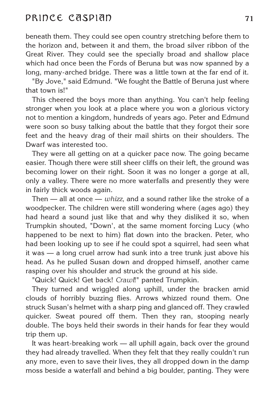beneath them. They could see open country stretching before them to the horizon and, between it and them, the broad silver ribbon of the Great River. They could see the specially broad and shallow place which had once been the Fords of Beruna but was now spanned by a long, many-arched bridge. There was a little town at the far end of it.

"By Jove," said Edmund. "We fought the Battle of Beruna just where that town is!"

This cheered the boys more than anything. You can't help feeling stronger when you look at a place where you won a glorious victory not to mention a kingdom, hundreds of years ago. Peter and Edmund were soon so busy talking about the battle that they forgot their sore feet and the heavy drag of their mail shirts on their shoulders. The Dwarf was interested too.

They were all getting on at a quicker pace now. The going became easier. Though there were still sheer cliffs on their left, the ground was becoming lower on their right. Soon it was no longer a gorge at all, only a valley. There were no more waterfalls and presently they were in fairly thick woods again.

Then — all at once — *whizz*, and a sound rather like the stroke of a woodpecker. The children were still wondering where (ages ago) they had heard a sound just like that and why they disliked it so, when Trumpkin shouted, "Down', at the same moment forcing Lucy (who happened to be next to him) flat down into the bracken. Peter, who had been looking up to see if he could spot a squirrel, had seen what it was — a long cruel arrow had sunk into a tree trunk just above his head. As he pulled Susan down and dropped himself, another came rasping over his shoulder and struck the ground at his side.

"Quick! Quick! Get back! *Crawl*!" panted Trumpkin.

They turned and wriggled along uphill, under the bracken amid clouds of horribly buzzing flies. Arrows whizzed round them. One struck Susan's helmet with a sharp ping and glanced off. They crawled quicker. Sweat poured off them. Then they ran, stooping nearly double. The boys held their swords in their hands for fear they would trip them up.

It was heart-breaking work — all uphill again, back over the ground they had already travelled. When they felt that they really couldn't run any more, even to save their lives, they all dropped down in the damp moss beside a waterfall and behind a big boulder, panting. They were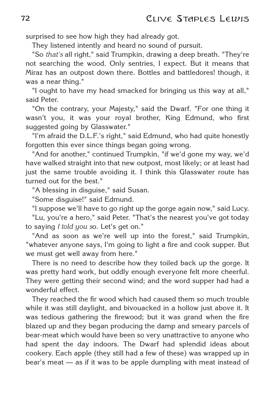surprised to see how high they had already got.

They listened intently and heard no sound of pursuit.

"So *that's* all right," said Trumpkin, drawing a deep breath. "They're not searching the wood. Only sentries, I expect. But it means that Miraz has an outpost down there. Bottles and battledores! though, it was a near thing."

"I ought to have my head smacked for bringing us this way at all," said Peter.

"On the contrary, your Majesty," said the Dwarf. "For one thing it wasn't you, it was your royal brother, King Edmund, who first suggested going by Glasswater."

"I'm afraid the D.L.F.'s right," said Edmund, who had quite honestly forgotten this ever since things began going wrong.

"And for another," continued Trumpkin, "if we'd gone my way, we'd have walked straight into that new outpost, most likely; or at least had just the same trouble avoiding it. I think this Glasswater route has turned out for the best."

"A blessing in disguise," said Susan.

"Some disguise!" said Edmund.

"I suppose we'll have to go right up the gorge again now," said Lucy.

"Lu, you're a hero," said Peter. "That's the nearest you've got today to saying *I told you s*o. Let's get on."

"And as soon as we're well up into the forest," said Trumpkin, "whatever anyone says, I'm going to light a fire and cook supper. But we must get well away from here."

There is no need to describe how they toiled back up the gorge. It was pretty hard work, but oddly enough everyone felt more cheerful. They were getting their second wind; and the word supper had had a wonderful effect.

They reached the fir wood which had caused them so much trouble while it was still daylight, and bivouacked in a hollow just above it. It was tedious gathering the firewood; but it was grand when the fire blazed up and they began producing the damp and smeary parcels of bear-meat which would have been so very unattractive to anyone who had spent the day indoors. The Dwarf had splendid ideas about cookery. Each apple (they still had a few of these) was wrapped up in bear's meat — as if it was to be apple dumpling with meat instead of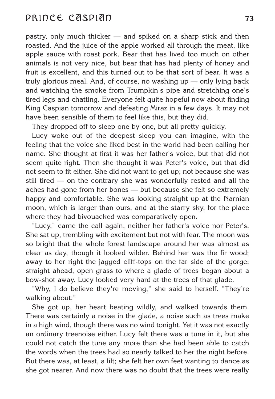pastry, only much thicker — and spiked on a sharp stick and then roasted. And the juice of the apple worked all through the meat, like apple sauce with roast pork. Bear that has lived too much on other animals is not very nice, but bear that has had plenty of honey and fruit is excellent, and this turned out to be that sort of bear. It was a truly glorious meal. And, of course, no washing up — only lying back and watching the smoke from Trumpkin's pipe and stretching one's tired legs and chatting. Everyone felt quite hopeful now about finding King Caspian tomorrow and defeating Miraz in a few days. It may not have been sensible of them to feel like this, but they did.

They dropped off to sleep one by one, but all pretty quickly.

Lucy woke out of the deepest sleep you can imagine, with the feeling that the voice she liked best in the world had been calling her name. She thought at first it was her father's voice, but that did not seem quite right. Then she thought it was Peter's voice, but that did not seem to fit either. She did not want to get up; not because she was still tired — on the contrary she was wonderfully rested and all the aches had gone from her bones — but because she felt so extremely happy and comfortable. She was looking straight up at the Narnian moon, which is larger than ours, and at the starry sky, for the place where they had bivouacked was comparatively open.

"Lucy," came the call again, neither her father's voice nor Peter's. She sat up, trembling with excitement but not with fear. The moon was so bright that the whole forest landscape around her was almost as clear as day, though it looked wilder. Behind her was the fir wood; away to her right the jagged cliff-tops on the far side of the gorge; straight ahead, open grass to where a glade of trees began about a bow-shot away. Lucy looked very hard at the trees of that glade.

"Why, I do believe they're moving," she said to herself. "They're walking about."

She got up, her heart beating wildly, and walked towards them. There was certainly a noise in the glade, a noise such as trees make in a high wind, though there was no wind tonight. Yet it was not exactly an ordinary treenoise either. Lucy felt there was a tune in it, but she could not catch the tune any more than she had been able to catch the words when the trees had so nearly talked to her the night before. But there was, at least, a lilt; she felt her own feet wanting to dance as she got nearer. And now there was no doubt that the trees were really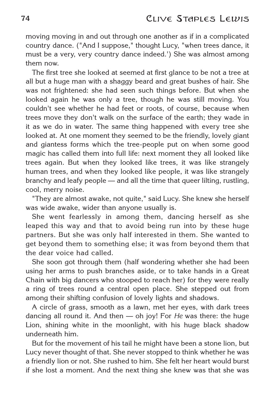moving moving in and out through one another as if in a complicated country dance. ("And I suppose," thought Lucy, "when trees dance, it must be a very, very country dance indeed.') She was almost among them now.

The first tree she looked at seemed at first glance to be not a tree at all but a huge man with a shaggy beard and great bushes of hair. She was not frightened: she had seen such things before. But when she looked again he was only a tree, though he was still moving. You couldn't see whether he had feet or roots, of course, because when trees move they don't walk on the surface of the earth; they wade in it as we do in water. The same thing happened with every tree she looked at. At one moment they seemed to be the friendly, lovely giant and giantess forms which the tree-people put on when some good magic has called them into full life: next moment they all looked like trees again. But when they looked like trees, it was like strangely human trees, and when they looked like people, it was like strangely branchy and leafy people — and all the time that queer lilting, rustling, cool, merry noise.

"They are almost awake, not quite," said Lucy. She knew she herself was wide awake, wider than anyone usually is.

She went fearlessly in among them, dancing herself as she leaped this way and that to avoid being run into by these huge partners. But she was only half interested in them. She wanted to get beyond them to something else; it was from beyond them that the dear voice had called.

She soon got through them (half wondering whether she had been using her arms to push branches aside, or to take hands in a Great Chain with big dancers who stooped to reach her) for they were really a ring of trees round a central open place. She stepped out from among their shifting confusion of lovely lights and shadows.

A circle of grass, smooth as a lawn, met her eyes, with dark trees dancing all round it. And then — oh joy! For *He* was there: the huge Lion, shining white in the moonlight, with his huge black shadow underneath him.

But for the movement of his tail he might have been a stone lion, but Lucy never thought of that. She never stopped to think whether he was a friendly lion or not. She rushed to him. She felt her heart would burst if she lost a moment. And the next thing she knew was that she was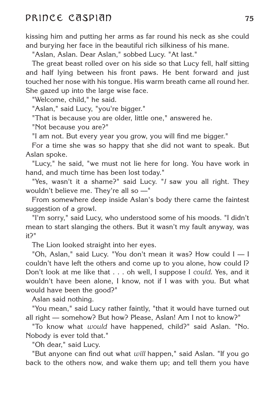kissing him and putting her arms as far round his neck as she could and burying her face in the beautiful rich silkiness of his mane.

"Aslan, Aslan. Dear Aslan," sobbed Lucy. "At last."

The great beast rolled over on his side so that Lucy fell, half sitting and half lying between his front paws. He bent forward and just touched her nose with his tongue. His warm breath came all round her. She gazed up into the large wise face.

"Welcome, child," he said.

"Aslan," said Lucy, "you're bigger."

"That is because you are older, little one," answered he.

"Not because you are?"

"I am not. But every year you grow, you will find me bigger."

For a time she was so happy that she did not want to speak. But Aslan spoke.

"Lucy," he said, "we must not lie here for long. You have work in hand, and much time has been lost today."

"Yes, wasn't it a shame?" said Lucy. "*I* saw you all right. They wouldn't believe me. They're all so —"

From somewhere deep inside Aslan's body there came the faintest suggestion of a growl.

"I'm sorry," said Lucy, who understood some of his moods. "I didn't mean to start slanging the others. But it wasn't my fault anyway, was it?"

The Lion looked straight into her eyes.

"Oh, Aslan," said Lucy. "You don't mean it was? How could I — I couldn't have left the others and come up to you alone, how could I? Don't look at me like that . . . oh well, I suppose I *could*. Yes, and it wouldn't have been alone, I know, not if I was with you. But what would have been the good?"

Aslan said nothing.

"You mean," said Lucy rather faintly, "that it would have turned out all right — somehow? But how? Please, Aslan! Am I not to know?"

"To know what *would* have happened, child?" said Aslan. "No. Nobody is ever told that."

"Oh dear," said Lucy.

"But anyone can find out what *will* happen," said Aslan. "If you go back to the others now, and wake them up; and tell them you have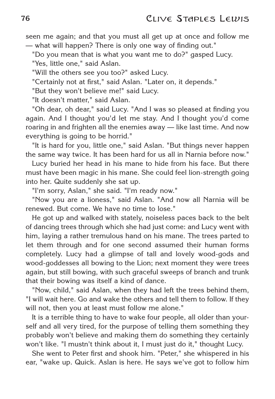seen me again; and that you must all get up at once and follow me — what will happen? There is only one way of finding out."

"Do you mean that is what you want me to do?" gasped Lucy. "Yes, little one," said Aslan.

"Will the others see you too?" asked Lucy.

"Certainly not at first," said Aslan. "Later on, it depends."

"But they won't believe me!" said Lucy.

"It doesn't matter," said Aslan.

"Oh dear, oh dear," said Lucy. "And I was so pleased at finding you again. And I thought you'd let me stay. And I thought you'd come roaring in and frighten all the enemies away — like last time. And now everything is going to be horrid."

"It is hard for you, little one," said Aslan. "But things never happen the same way twice. It has been hard for us all in Narnia before now."

Lucy buried her head in his mane to hide from his face. But there must have been magic in his mane. She could feel lion-strength going into her. Quite suddenly she sat up.

"I'm sorry, Aslan," she said. "I'm ready now."

"Now you are a lioness," said Aslan. "And now all Narnia will be renewed. But come. We have no time to lose."

He got up and walked with stately, noiseless paces back to the belt of dancing trees through which she had just come: and Lucy went with him, laying a rather tremulous hand on his mane. The trees parted to let them through and for one second assumed their human forms completely. Lucy had a glimpse of tall and lovely wood-gods and wood-goddesses all bowing to the Lion; next moment they were trees again, but still bowing, with such graceful sweeps of branch and trunk that their bowing was itself a kind of dance.

"Now, child," said Aslan, when they had left the trees behind them, "I will wait here. Go and wake the others and tell them to follow. If they will not, then you at least must follow me alone."

It is a terrible thing to have to wake four people, all older than yourself and all very tired, for the purpose of telling them something they probably won't believe and making them do something they certainly won't like. "I mustn't think about it, I must just do it," thought Lucy.

She went to Peter first and shook him. "Peter," she whispered in his ear, "wake up. Quick. Aslan is here. He says we've got to follow him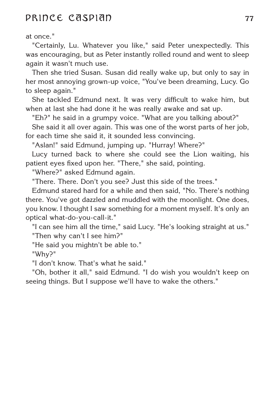at once."

"Certainly, Lu. Whatever you like," said Peter unexpectedly. This was encouraging, but as Peter instantly rolled round and went to sleep again it wasn't much use.

Then she tried Susan. Susan did really wake up, but only to say in her most annoying grown-up voice, "You've been dreaming, Lucy. Go to sleep again."

She tackled Edmund next. It was very difficult to wake him, but when at last she had done it he was really awake and sat up.

"Eh?" he said in a grumpy voice. "What are you talking about?"

She said it all over again. This was one of the worst parts of her job, for each time she said it, it sounded less convincing.

"Aslan!" said Edmund, jumping up. "Hurray! Where?"

Lucy turned back to where she could see the Lion waiting, his patient eyes fixed upon her. "There," she said, pointing.

"Where?" asked Edmund again.

"There. There. Don't you see? Just this side of the trees."

Edmund stared hard for a while and then said, "No. There's nothing there. You've got dazzled and muddled with the moonlight. One does, you know. I thought I saw something for a moment myself. It's only an optical what-do-you-call-it."

"I can see him all the time," said Lucy. "He's looking straight at us." "Then why can't I see him?"

"He said you mightn't be able to."

"Why?"

"I don't know. That's what he said."

"Oh, bother it all," said Edmund. "I do wish you wouldn't keep on seeing things. But I suppose we'll have to wake the others."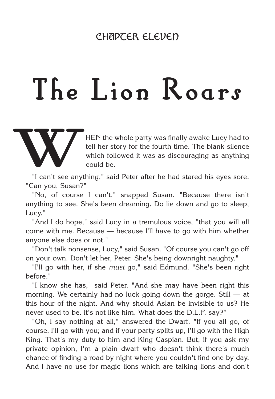### CHAPTER ELEVEN

### The Lion Roars



WHEN the whole party was finally awake Lucy had to tell her story for the fourth time. The blank silence which followed it was as discouraging as anything could be.<br>"I can't see anything," said Peter after he had stared hi tell her story for the fourth time. The blank silence which followed it was as discouraging as anything could be.

"Can you, Susan?"

"No, of course I can't," snapped Susan. "Because there isn't anything to see. She's been dreaming. Do lie down and go to sleep, Lucy."

"And I do hope," said Lucy in a tremulous voice, "that you will all come with me. Because — because I'll have to go with him whether anyone else does or not."

"Don't talk nonsense, Lucy," said Susan. "Of course you can't go off on your own. Don't let her, Peter. She's being downright naughty."

"I'll go with her, if she *must* go," said Edmund. "She's been right before."

"I know she has," said Peter. "And she may have been right this morning. We certainly had no luck going down the gorge. Still — at this hour of the night. And why should Aslan be invisible to us? He never used to be. It's not like him. What does the D.L.F. say?"

"Oh, I say nothing at all," answered the Dwarf. "If you all go, of course, I'll go with you; and if your party splits up, I'll go with the High King. That's my duty to him and King Caspian. But, if you ask my private opinion, I'm a plain dwarf who doesn't think there's much chance of finding a road by night where you couldn't find one by day. And I have no use for magic lions which are talking lions and don't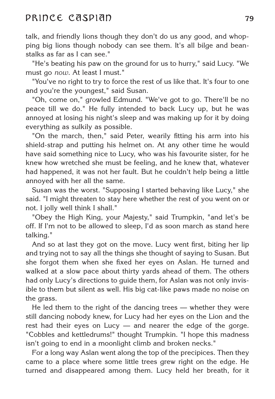talk, and friendly lions though they don't do us any good, and whopping big lions though nobody can see them. It's all bilge and beanstalks as far as I can see."

"He's beating his paw on the ground for us to hurry," said Lucy. "We must go *now*. At least I must."

"You've no right to try to force the rest of us like that. It's four to one and you're the youngest," said Susan.

"Oh, come on," growled Edmund. "We've got to go. There'll be no peace till we do." He fully intended to back Lucy up, but he was annoyed at losing his night's sleep and was making up for it by doing everything as sulkily as possible.

"On the march, then," said Peter, wearily fitting his arm into his shield-strap and putting his helmet on. At any other time he would have said something nice to Lucy, who was his favourite sister, for he knew how wretched she must be feeling, and he knew that, whatever had happened, it was not her fault. But he couldn't help being a little annoyed with her all the same.

Susan was the worst. "Supposing I started behaving like Lucy," she said. "I might threaten to stay here whether the rest of you went on or not. I jolly well think I shall."

"Obey the High King, your Majesty," said Trumpkin, "and let's be off. If I'm not to be allowed to sleep, I'd as soon march as stand here talking."

And so at last they got on the move. Lucy went first, biting her lip and trying not to say all the things she thought of saying to Susan. But she forgot them when she fixed her eyes on Aslan. He turned and walked at a slow pace about thirty yards ahead of them. The others had only Lucy's directions to guide them, for Aslan was not only invisible to them but silent as well. His big cat-like paws made no noise on the grass.

He led them to the right of the dancing trees — whether they were still dancing nobody knew, for Lucy had her eyes on the Lion and the rest had their eyes on Lucy — and nearer the edge of the gorge. "Cobbles and kettledrums!" thought Trumpkin. "I hope this madness isn't going to end in a moonlight climb and broken necks."

For a long way Aslan went along the top of the precipices. Then they came to a place where some little trees grew right on the edge. He turned and disappeared among them. Lucy held her breath, for it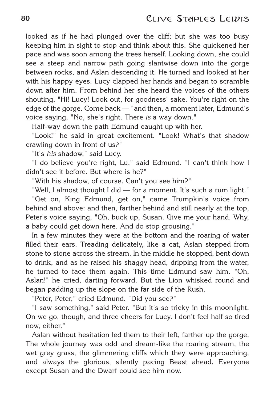looked as if he had plunged over the cliff; but she was too busy keeping him in sight to stop and think about this. She quickened her pace and was soon among the trees herself. Looking down, she could see a steep and narrow path going slantwise down into the gorge between rocks, and Aslan descending it. He turned and looked at her with his happy eyes. Lucy clapped her hands and began to scramble down after him. From behind her she heard the voices of the others shouting, "Hi! Lucy! Look out, for goodness' sake. You're right on the edge of the gorge. Come back — "and then, a moment later, Edmund's voice saying, "No, she's right. There *is* a way down."

Half-way down the path Edmund caught up with her.

"Look!" he said in great excitement. "Look! What's that shadow crawling down in front of us?"

"It's *his* shadow," said Lucy.

"I do believe you're right, Lu," said Edmund. "I can't think how I didn't see it before. But where is he?"

"With his shadow, of course. Can't you see him?"

"Well, I almost thought I did — for a moment. It's such a rum light."

"Get on, King Edmund, get on," came Trumpkin's voice from behind and above: and then, farther behind and still nearly at the top, Peter's voice saying, "Oh, buck up, Susan. Give me your hand. Why, a baby could get down here. And do stop grousing."

In a few minutes they were at the bottom and the roaring of water filled their ears. Treading delicately, like a cat, Aslan stepped from stone to stone across the stream. In the middle he stopped, bent down to drink, and as he raised his shaggy head, dripping from the water, he turned to face them again. This time Edmund saw him. "Oh, Aslan!" he cried, darting forward. But the Lion whisked round and began padding up the slope on the far side of the Rush.

"Peter, Peter," cried Edmund. "Did you see?"

"I saw something," said Peter. "But it's so tricky in this moonlight. On we go, though, and three cheers for Lucy. I don't feel half so tired now, either."

Aslan without hesitation led them to their left, farther up the gorge. The whole journey was odd and dream-like the roaring stream, the wet grey grass, the glimmering cliffs which they were approaching, and always the glorious, silently pacing Beast ahead. Everyone except Susan and the Dwarf could see him now.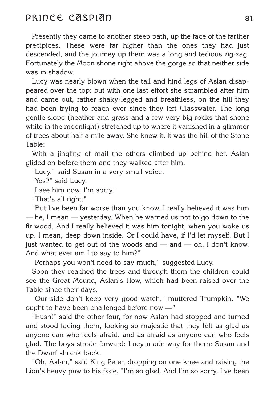Presently they came to another steep path, up the face of the farther precipices. These were far higher than the ones they had just descended, and the journey up them was a long and tedious zig-zag. Fortunately the Moon shone right above the gorge so that neither side was in shadow.

Lucy was nearly blown when the tail and hind legs of Aslan disappeared over the top: but with one last effort she scrambled after him and came out, rather shaky-legged and breathless, on the hill they had been trying to reach ever since they left Glasswater. The long gentle slope (heather and grass and a few very big rocks that shone white in the moonlight) stretched up to where it vanished in a glimmer of trees about half a mile away. She knew it. It was the hill of the Stone Table:

With a jingling of mail the others climbed up behind her. Aslan glided on before them and they walked after him.

"Lucy," said Susan in a very small voice.

"Yes?" said Lucy.

"I see him now. I'm sorry."

"That's all right."

"But I've been far worse than you know. I really believed it was him — he, I mean — yesterday. When he warned us not to go down to the fir wood. And I really believed it was him tonight, when you woke us up. I mean, deep down inside. Or I could have, if I'd let myself. But I just wanted to get out of the woods and — and — oh, I don't know. And what ever am I to say to him?"

"Perhaps you won't need to say much," suggested Lucy.

Soon they reached the trees and through them the children could see the Great Mound, Aslan's How, which had been raised over the Table since their days.

"Our side don't keep very good watch," muttered Trumpkin. "We ought to have been challenged before now —"

"Hush!" said the other four, for now Aslan had stopped and turned and stood facing them, looking so majestic that they felt as glad as anyone can who feels afraid, and as afraid as anyone can who feels glad. The boys strode forward: Lucy made way for them: Susan and the Dwarf shrank back.

"Oh, Aslan," said King Peter, dropping on one knee and raising the Lion's heavy paw to his face, "I'm so glad. And I'm so sorry. I've been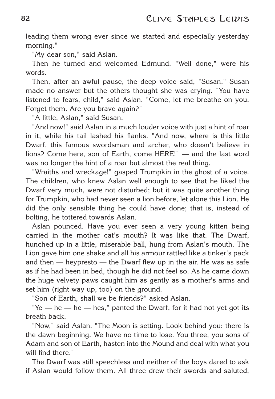leading them wrong ever since we started and especially yesterday morning."

"My dear son," said Aslan.

Then he turned and welcomed Edmund. "Well done," were his words.

Then, after an awful pause, the deep voice said, "Susan." Susan made no answer but the others thought she was crying. "You have listened to fears, child," said Aslan. "Come, let me breathe on you. Forget them. Are you brave again?"

"A little, Aslan," said Susan.

"And now!" said Aslan in a much louder voice with just a hint of roar in it, while his tail lashed his flanks. "And now, where is this little Dwarf, this famous swordsman and archer, who doesn't believe in lions? Come here, son of Earth, come HERE!" — and the last word was no longer the hint of a roar but almost the real thing.

"Wraiths and wreckage!" gasped Trumpkin in the ghost of a voice. The children, who knew Aslan well enough to see that he liked the Dwarf very much, were not disturbed; but it was quite another thing for Trumpkin, who had never seen a lion before, let alone this Lion. He did the only sensible thing he could have done; that is, instead of bolting, he tottered towards Aslan.

Aslan pounced. Have you ever seen a very young kitten being carried in the mother cat's mouth? It was like that. The Dwarf, hunched up in a little, miserable ball, hung from Aslan's mouth. The Lion gave him one shake and all his armour rattled like a tinker's pack and then — heypresto — the Dwarf flew up in the air. He was as safe as if he had been in bed, though he did not feel so. As he came down the huge velvety paws caught him as gently as a mother's arms and set him (right way up, too) on the ground.

"Son of Earth, shall we be friends?" asked Aslan.

"Ye — he — he — hes," panted the Dwarf, for it had not yet got its breath back.

"Now," said Aslan. "The Moon is setting. Look behind you: there is the dawn beginning. We have no time to lose. You three, you sons of Adam and son of Earth, hasten into the Mound and deal with what you will find there."

The Dwarf was still speechless and neither of the boys dared to ask if Aslan would follow them. All three drew their swords and saluted,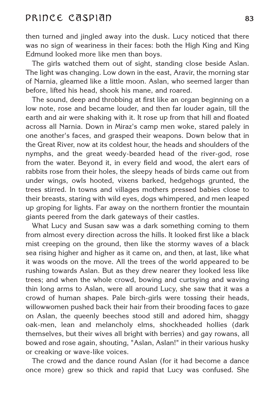then turned and jingled away into the dusk. Lucy noticed that there was no sign of weariness in their faces: both the High King and King Edmund looked more like men than boys.

The girls watched them out of sight, standing close beside Aslan. The light was changing. Low down in the east, Aravir, the morning star of Narnia, gleamed like a little moon. Aslan, who seemed larger than before, lifted his head, shook his mane, and roared.

The sound, deep and throbbing at first like an organ beginning on a low note, rose and became louder, and then far louder again, till the earth and air were shaking with it. It rose up from that hill and floated across all Narnia. Down in Miraz's camp men woke, stared palely in one another's faces, and grasped their weapons. Down below that in the Great River, now at its coldest hour, the heads and shoulders of the nymphs, and the great weedy-bearded head of the river-god, rose from the water. Beyond it, in every field and wood, the alert ears of rabbits rose from their holes, the sleepy heads of birds came out from under wings, owls hooted, vixens barked, hedgehogs grunted, the trees stirred. In towns and villages mothers pressed babies close to their breasts, staring with wild eyes, dogs whimpered, and men leaped up groping for lights. Far away on the northern frontier the mountain giants peered from the dark gateways of their castles.

What Lucy and Susan saw was a dark something coming to them from almost every direction across the hills. It looked first like a black mist creeping on the ground, then like the stormy waves of a black sea rising higher and higher as it came on, and then, at last, like what it was woods on the move. All the trees of the world appeared to be rushing towards Aslan. But as they drew nearer they looked less like trees; and when the whole crowd, bowing and curtsying and waving thin long arms to Aslan, were all around Lucy, she saw that it was a crowd of human shapes. Pale birch-girls were tossing their heads, willowwomen pushed back their hair from their brooding faces to gaze on Aslan, the queenly beeches stood still and adored him, shaggy oak-men, lean and melancholy elms, shockheaded hollies (dark themselves, but their wives all bright with berries) and gay rowans, all bowed and rose again, shouting, "Aslan, Aslan!" in their various husky or creaking or wave-like voices.

The crowd and the dance round Aslan (for it had become a dance once more) grew so thick and rapid that Lucy was confused. She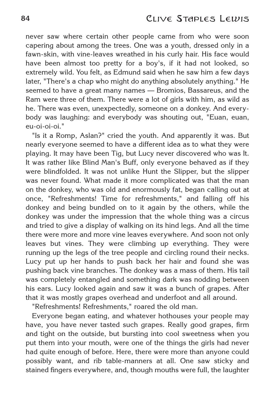never saw where certain other people came from who were soon capering about among the trees. One was a youth, dressed only in a fawn-skin, with vine-leaves wreathed in his curly hair. His face would have been almost too pretty for a boy's, if it had not looked, so extremely wild. You felt, as Edmund said when he saw him a few days later, "There's a chap who might do anything absolutely anything." He seemed to have a great many names — Bromios, Bassareus, and the Ram were three of them. There were a lot of girls with him, as wild as he. There was even, unexpectedly, someone on a donkey. And everybody was laughing: and everybody was shouting out, "Euan, euan, eu-oi-oi-oi."

"Is it a Romp, Aslan?" cried the youth. And apparently it was. But nearly everyone seemed to have a different idea as to what they were playing. It may have been Tig, but Lucy never discovered who was It. It was rather like Blind Man's Buff, only everyone behaved as if they were blindfolded. It was not unlike Hunt the Slipper, but the slipper was never found. What made it more complicated was that the man on the donkey, who was old and enormously fat, began calling out at once, "Refreshments! Time for refreshments," and falling off his donkey and being bundled on to it again by the others, while the donkey was under the impression that the whole thing was a circus and tried to give a display of walking on its hind legs. And all the time there were more and more vine leaves everywhere. And soon not only leaves but vines. They were climbing up everything. They were running up the legs of the tree people and circling round their necks. Lucy put up her hands to push back her hair and found she was pushing back vine branches. The donkey was a mass of them. His tail was completely entangled and something dark was nodding between his ears. Lucy looked again and saw it was a bunch of grapes. After that it was mostly grapes overhead and underfoot and all around.

"Refreshments! Refreshments," roared the old man.

Everyone began eating, and whatever hothouses your people may have, you have never tasted such grapes. Really good grapes, firm and tight on the outside, but bursting into cool sweetness when you put them into your mouth, were one of the things the girls had never had quite enough of before. Here, there were more than anyone could possibly want, and rib table-manners at all. One saw sticky and stained fingers everywhere, and, though mouths were full, the laughter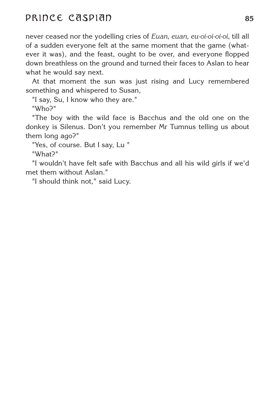never ceased nor the yodelling cries of *Euan, euan, eu-oi-oi-oi-oi*, till all of a sudden everyone felt at the same moment that the game (whatever it was), and the feast, ought to be over, and everyone flopped down breathless on the ground and turned their faces to Aslan to hear what he would say next.

At that moment the sun was just rising and Lucy remembered something and whispered to Susan,

"I say, Su, I know who they are."

"Who?"

"The boy with the wild face is Bacchus and the old one on the donkey is Silenus. Don't you remember Mr Tumnus telling us about them long ago?"

"Yes, of course. But I say, Lu "

"What?"

"I wouldn't have felt safe with Bacchus and all his wild girls if we'd met them without Aslan."

"I should think not," said Lucy.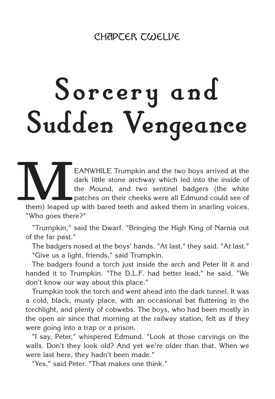### CHAPTER TWELVE

## Sorcery and Sudden Vengeance

EANWHILE Trumpkin and the two boys arrived at the dark little stone archway which led into the inside of the Mound, and two sentinel badgers (the white patches on their cheeks were all Edmund could see of them) leaped up w dark little stone archway which led into the inside of the Mound, and two sentinel badgers (the white patches on their cheeks were all Edmund could see of them) leaped up with bared teeth and asked them in snarling voices, "Who goes there?"

"Trumpkin," said the Dwarf. "Bringing the High King of Narnia out of the far past."

The badgers nosed at the boys' hands. "At last," they said. "At last." "Give us a light, friends," said Trumpkin.

The badgers found a torch just inside the arch and Peter lit it and handed it to Trumpkin. "The D.L.F. had better lead," he said. "We don't know our way about this place."

Trumpkin took the torch and went ahead into the dark tunnel. It was a cold, black, musty place, with an occasional bat fluttering in the torchlight, and plenty of cobwebs. The boys, who had been mostly in the open air since that morning at the railway station, felt as if they were going into a trap or a prison.

"I say, Peter," whispered Edmund. "Look at those carvings on the walls. Don't they look old? And yet we're older than that. When we were last here, they hadn't been made."

"Yes," said Peter. "That makes one think."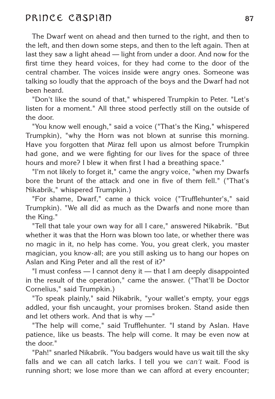The Dwarf went on ahead and then turned to the right, and then to the left, and then down some steps, and then to the left again. Then at last they saw a light ahead — light from under a door. And now for the first time they heard voices, for they had come to the door of the central chamber. The voices inside were angry ones. Someone was talking so loudly that the approach of the boys and the Dwarf had not been heard.

"Don't like the sound of that," whispered Trumpkin to Peter. "Let's listen for a moment." All three stood perfectly still on the outside of the door.

"You know well enough," said a voice ("That's the King," whispered Trumpkin), "why the Horn was not blown at sunrise this morning. Have you forgotten that Miraz fell upon us almost before Trumpkin had gone, and we were fighting for our lives for the space of three hours and more? I blew it when first I had a breathing space."

"I'm not likely to forget it," came the angry voice, "when my Dwarfs bore the brunt of the attack and one in five of them fell." ("That's Nikabrik," whispered Trumpkin.)

"For shame, Dwarf," came a thick voice ("Trufflehunter's," said Trumpkin). "We all did as much as the Dwarfs and none more than the King."

"Tell that tale your own way for all I care," answered Nikabrik. "But whether it was that the Horn was blown too late, or whether there was no magic in it, no help has come. You, you great clerk, you master magician, you know-all; are you still asking us to hang our hopes on Aslan and King Peter and all the rest of it?"

"I must confess — I cannot deny it — that I am deeply disappointed in the result of the operation," came the answer. ("That'll be Doctor Cornelius," said Trumpkin.)

"To speak plainly," said Nikabrik, "your wallet's empty, your eggs addled, your fish uncaught, your promises broken. Stand aside then and let others work. And that is why —"

"The help will come," said Trufflehunter. "I stand by Aslan. Have patience, like us beasts. The help will come. It may be even now at the door."

"Pah!" snarled Nikabrik. "You badgers would have us wait till the sky falls and we can all catch larks. I tell you we *can't* wait. Food is running short; we lose more than we can afford at every encounter;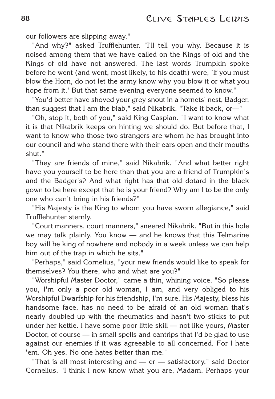our followers are slipping away."

"And why?" asked Trufflehunter. "I'll tell you why. Because it is noised among them that we have called on the Kings of old and the Kings of old have not answered. The last words Trumpkin spoke before he went (and went, most likely, to his death) were, `If you must blow the Horn, do not let the army know why you blow it or what you hope from it.' But that same evening everyone seemed to know."

"You'd better have shoved your grey snout in a hornets' nest, Badger, than suggest that I am the blab," said Nikabrik. "Take it back, or—"

"Oh, stop it, both of you," said King Caspian. "I want to know what it is that Nikabrik keeps on hinting we should do. But before that, I want to know who those two strangers are whom he has brought into our council and who stand there with their ears open and their mouths shut."

"They are friends of mine," said Nikabrik. "And what better right have you yourself to be here than that you are a friend of Trumpkin's and the Badger's? And what right has that old dotard in the black gown to be here except that he is your friend? Why am I to be the only one who can't bring in his friends?"

"His Majesty is the King to whom you have sworn allegiance," said Trufflehunter sternly.

"Court manners, court manners," sneered Nikabrik. "But in this hole we may talk plainly. You know — and he knows that this Telmarine boy will be king of nowhere and nobody in a week unless we can help him out of the trap in which he sits."

"Perhaps," said Cornelius, "your new friends would like to speak for themselves? You there, who and what are you?"

"Worshipful Master Doctor," came a thin, whining voice. "So please you, I'm only a poor old woman, I am, and very obliged to his Worshipful Dwarfship for his friendship, I'm sure. His Majesty, bless his handsome face, has no need to be afraid of an old woman that's nearly doubled up with the rheumatics and hasn't two sticks to put under her kettle. I have some poor little skill — not like yours, Master Doctor, of course — in small spells and cantrips that I'd be glad to use against our enemies if it was agreeable to all concerned. For I hate 'em. Oh yes. No one hates better than me."

"That is all most interesting and  $-$  er  $-$  satisfactory," said Doctor Cornelius. "I think I now know what you are, Madam. Perhaps your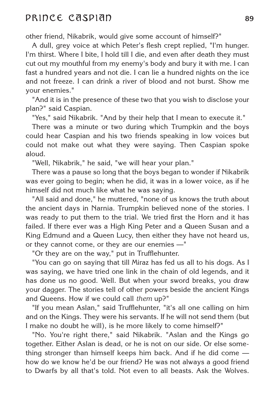other friend, Nikabrik, would give some account of himself?"

A dull, grey voice at which Peter's flesh crept replied, "I'm hunger. I'm thirst. Where I bite, I hold till I die, and even after death they must cut out my mouthful from my enemy's body and bury it with me. I can fast a hundred years and not die. I can lie a hundred nights on the ice and not freeze. I can drink a river of blood and not burst. Show me your enemies."

"And it is in the presence of these two that you wish to disclose your plan?" said Caspian.

"Yes," said Nikabrik. "And by their help that I mean to execute it."

There was a minute or two during which Trumpkin and the boys could hear Caspian and his two friends speaking in low voices but could not make out what they were saying. Then Caspian spoke aloud.

"Well, Nikabrik," he said, "we will hear your plan."

There was a pause so long that the boys began to wonder if Nikabrik was ever going to begin; when he did, it was in a lower voice, as if he himself did not much like what he was saying.

"All said and done," he muttered, "none of us knows the truth about the ancient days in Narnia. Trumpkin believed none of the stories. I was ready to put them to the trial. We tried first the Horn and it has failed. If there ever was a High King Peter and a Queen Susan and a King Edmund and a Queen Lucy, then either they have not heard us, or they cannot come, or they are our enemies —"

"Or they are on the way," put in Trufflehunter.

"You can go on saying that till Miraz has fed us all to his dogs. As I was saying, we have tried one link in the chain of old legends, and it has done us no good. Well. But when your sword breaks, you draw your dagger. The stories tell of other powers beside the ancient Kings and Queens. How if we could call *them* up?"

"If you mean Aslan," said Trufflehunter, "it's all one calling on him and on the Kings. They were his servants. If he will not send them (but I make no doubt he will), is he more likely to come himself?"

"No. You're right there," said Nikabrik. "Aslan and the Kings go together. Either Aslan is dead, or he is not on our side. Or else something stronger than himself keeps him back. And if he did come how do we know he'd be our friend? He was not always a good friend to Dwarfs by all that's told. Not even to all beasts. Ask the Wolves.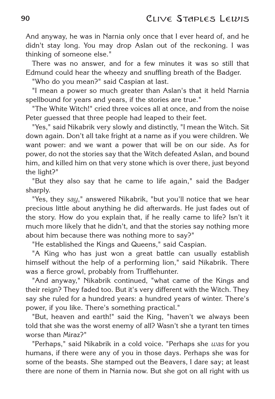And anyway, he was in Narnia only once that I ever heard of, and he didn't stay long. You may drop Aslan out of the reckoning. I was thinking of someone else."

There was no answer, and for a few minutes it was so still that Edmund could hear the wheezy and snuffling breath of the Badger.

"Who do you mean?" said Caspian at last.

"I mean a power so much greater than Aslan's that it held Narnia spellbound for years and years, if the stories are true."

"The White Witch!" cried three voices all at once, and from the noise Peter guessed that three people had leaped to their feet.

"Yes," said Nikabrik very slowly and distinctly, "I mean the Witch. Sit down again. Don't all take fright at a name as if you were children. We want power: and we want a power that will be on our side. As for power, do not the stories say that the Witch defeated Aslan, and bound him, and killed him on that very stone which is over there, just beyond the light?"

"But they also say that he came to life again," said the Badger sharply.

"Yes, they *say*," answered Nikabrik, "but you'll notice that we hear precious little about anything he did afterwards. He just fades out of the story. How do you explain that, if he really came to life? Isn't it much more likely that he didn't, and that the stories say nothing more about him because there was nothing more to say?"

"He established the Kings and Queens," said Caspian.

"A King who has just won a great battle can usually establish himself without the help of a performing lion," said Nikabrik. There was a fierce growl, probably from Trufflehunter.

"And anyway," Nikabrik continued, "what came of the Kings and their reign? They faded too. But it's very different with the Witch. They say she ruled for a hundred years: a hundred years of winter. There's power, if you like. There's something practical."

"But, heaven and earth!" said the King, "haven't we always been told that she was the worst enemy of all? Wasn't she a tyrant ten times worse than Miraz?"

"Perhaps," said Nikabrik in a cold voice. "Perhaps she *was* for you humans, if there were any of you in those days. Perhaps she was for some of the beasts. She stamped out the Beavers, I dare say; at least there are none of them in Narnia now. But she got on all right with us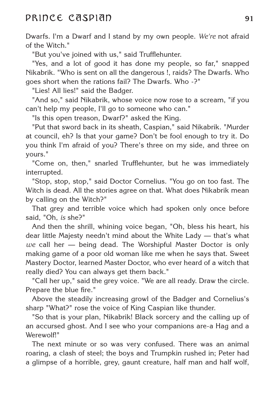Dwarfs. I'm a Dwarf and I stand by my own people. *We're* not afraid of the Witch."

"But you've joined with us," said Trufflehunter.

"Yes, and a lot of good it has done my people, so far," snapped Nikabrik. "Who is sent on all the dangerous !, raids? The Dwarfs. Who goes short when the rations fail? The Dwarfs. Who -?"

"Lies! All lies!" said the Badger.

"And so," said Nikabrik, whose voice now rose to a scream, "if you can't help my people, I'll go to someone who can."

"Is this open treason, Dwarf?" asked the King.

"Put that sword back in its sheath, Caspian," said Nikabrik. "Murder at council, eh? Is that your game? Don't be fool enough to try it. Do you think I'm afraid of you? There's three on my side, and three on yours."

"Come on, then," snarled Trufflehunter, but he was immediately interrupted.

"Stop, stop, stop," said Doctor Cornelius. "You go on too fast. The Witch is dead. All the stories agree on that. What does Nikabrik mean by calling on the Witch?"

That grey and terrible voice which had spoken only once before said, "Oh, *is* she?"

And then the shrill, whining voice began, "Oh, bless his heart, his dear little Majesty needn't mind about the White Lady — that's what *we* call her — being dead. The Worshipful Master Doctor is only making game of a poor old woman like me when he says that. Sweet Mastery Doctor, learned Master Doctor, who ever heard of a witch that really died? You can always get them back."

"Call her up," said the grey voice. "We are all ready. Draw the circle. Prepare the blue fire."

Above the steadily increasing growl of the Badger and Cornelius's sharp "What?" rose the voice of King Caspian like thunder.

"So that is your plan, Nikabrik! Black sorcery and the calling up of an accursed ghost. And I see who your companions are-a Hag and a Werewolf!"

The next minute or so was very confused. There was an animal roaring, a clash of steel; the boys and Trumpkin rushed in; Peter had a glimpse of a horrible, grey, gaunt creature, half man and half wolf,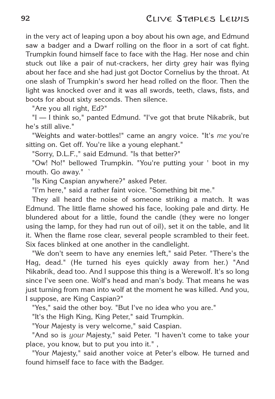in the very act of leaping upon a boy about his own age, and Edmund saw a badger and a Dwarf rolling on the floor in a sort of cat fight. Trumpkin found himself face to face with the Hag. Her nose and chin stuck out like a pair of nut-crackers, her dirty grey hair was flying about her face and she had just got Doctor Cornelius by the throat. At one slash of Trumpkin's sword her head rolled on the floor. Then the light was knocked over and it was all swords, teeth, claws, fists, and boots for about sixty seconds. Then silence.

"Are you all right, Ed?"

"I — I think so," panted Edmund. "I've got that brute Nikabrik, but he's still alive."

"Weights and water-bottles!" came an angry voice. "It's *me* you're sitting on. Get off. You're like a young elephant."

"Sorry, D.L.F.," said Edmund. "Is that better?"

"Ow! No!" bellowed Trumpkin. "You're putting your ' boot in my mouth. Go away."

"Is King Caspian anywhere?" asked Peter.

"I'm here," said a rather faint voice. "Something bit me."

They all heard the noise of someone striking a match. It was Edmund. The little flame showed his face, looking pale and dirty. He blundered about for a little, found the candle (they were no longer using the lamp, for they had run out of oil), set it on the table, and lit it. When the flame rose clear, several people scrambled to their feet. Six faces blinked at one another in the candlelight.

"We don't seem to have any enemies left," said Peter. "There's the Hag, dead." (He turned his eyes quickly away from her.) "And Nikabrik, dead too. And I suppose this thing is a Werewolf. It's so long since I've seen one. Wolf's head and man's body. That means he was just turning from man into wolf at the moment he was killed. And you, I suppose, are King Caspian?"

"Yes," said the other boy. "But I've no idea who you are."

"It's the High King, King Peter," said Trumpkin.

"Your Majesty is very welcome," said Caspian.

"And so is *your* Majesty," said Peter. "I haven't come to take your place, you know, but to put you into it." ,

"Your Majesty," said another voice at Peter's elbow. He turned and found himself face to face with the Badger.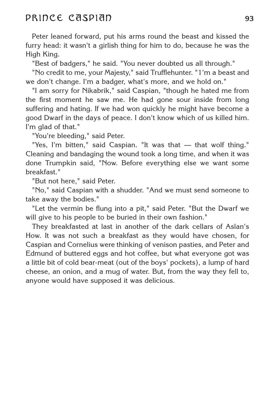Peter leaned forward, put his arms round the beast and kissed the furry head: it wasn't a girlish thing for him to do, because he was the High King.

"Best of badgers," he said. "You never doubted us all through."

"No credit to me, your Majesty," said Trufflehunter. "1'm a beast and we don't change. I'm a badger, what's more, and we hold on."

"I am sorry for Nikabrik," said Caspian, "though he hated me from the first moment he saw me. He had gone sour inside from long suffering and hating. If we had won quickly he might have become a good Dwarf in the days of peace. I don't know which of us killed him. I'm glad of that."

"You're bleeding," said Peter.

"Yes, I'm bitten," said Caspian. "It was that — that wolf thing." Cleaning and bandaging the wound took a long time, and when it was done Trumpkin said, "Now. Before everything else we want some breakfast."

"But not here," said Peter.

"No," said Caspian with a shudder. "And we must send someone to take away the bodies."

"Let the vermin be flung into a pit," said Peter. "But the Dwarf we will give to his people to be buried in their own fashion."

They breakfasted at last in another of the dark cellars of Aslan's How. It was not such a breakfast as they would have chosen, for Caspian and Cornelius were thinking of venison pasties, and Peter and Edmund of buttered eggs and hot coffee, but what everyone got was a little bit of cold bear-meat (out of the boys' pockets), a lump of hard cheese, an onion, and a mug of water. But, from the way they fell to, anyone would have supposed it was delicious.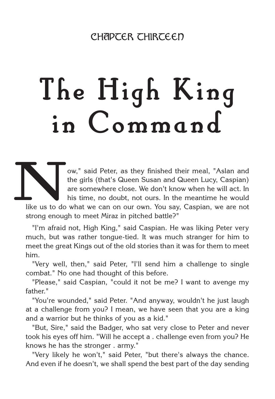### CHAPTER THIRTEEN

## The High King in Command



Now," said Peter, as they finished their meal, "Aslan and the girls (that's Queen Susan and Queen Lucy, Caspian) are somewhere close. We don't know when he will act. In his time, no doubt, not ours. In the meantime he woul the girls (that's Queen Susan and Queen Lucy, Caspian) are somewhere close. We don't know when he will act. In his time, no doubt, not ours. In the meantime he would

strong enough to meet Miraz in pitched battle?"

"I'm afraid not, High King," said Caspian. He was liking Peter very much, but was rather tongue-tied. It was much stranger for him to meet the great Kings out of the old stories than it was for them to meet him.

"Very well, then," said Peter, "I'll send him a challenge to single combat." No one had thought of this before.

"Please," said Caspian, "could it not be me? I want to avenge my father."

"You're wounded," said Peter. "And anyway, wouldn't he just laugh at a challenge from you? I mean, we have seen that you are a king and a warrior but he thinks of you as a kid."

"But, Sire," said the Badger, who sat very close to Peter and never took his eyes off him. "Will he accept a . challenge even from you? He knows he has the stronger . army."

"Very likely he won't," said Peter, "but there's always the chance. And even if he doesn't, we shall spend the best part of the day sending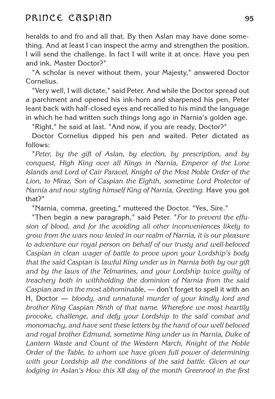heralds to and fro and all that. By then Aslan may have done something. And at least I can inspect the army and strengthen the position. I will send the challenge. In fact I will write it at once. Have you pen and ink, Master Doctor?"

"A scholar is never without them, your Majesty," answered Doctor Cornelius.

"Very well, I will dictate," said Peter. And while the Doctor spread out a parchment and opened his ink-horn and sharpened his pen, Peter leant back with half-closed eyes and recalled to his mind the language in which he had written such things long ago in Narnia's golden age.

"Right," he said at last. "And now, if you are ready, Doctor?"

Doctor Cornelius dipped his pen and waited. Peter dictated as follows:

"*Peter, by the gift of Aslan, by election, by prescription, and by conquest, High King over all Kings in Narnia, Emperor of the Lone Islands and Lord of Cair Paravel, Knight of the Most Noble Order of the Lion, to Miraz, Son of Caspian the Eighth, sometime Lord Protector of Narnia and now styling himself King of Narnia, Greeting*. Have you got that?"

"Narnia, comma, greeting," muttered the Doctor. "Yes, Sire."

"Then begin a new paragraph," said Peter. "*For to prevent the effusion of blood, and for the avoiding all other inconveniences likely to grow from the wars now levied in our realm of Narnia, it is our pleasure to adventure our royal person on behalf of our trusty and well-beloved Caspian in clean wager of battle to prove upon your Lordship's body that the said Caspian is lawful King under us in Narnia both by our gift and by the laws of the Telmarines, and your Lordship twice guilty of treachery both in withholding the dominion of Narnia from the said Caspian and in the most abhominabl*e, — don't forget to spell it with an H, Doctor — *bloody, and unnatural murder of your kindly lord and brother King Caspian Ninth of that name. Wherefore we most heartily provoke, challenge, and defy your Lordship to the said combat and monomachy, and have sent these letters by the hand of our well beloved and royal brother Edmund, sometime King under us in Narnia, Duke of Lantern Waste and Count of the Western March, Knight of the Noble Order of the Table, to whom we have given full power of determining with your Lordship all the conditions of the said battle. Given at our lodging in Aslan's How this XII day of the month Greenroof in the first*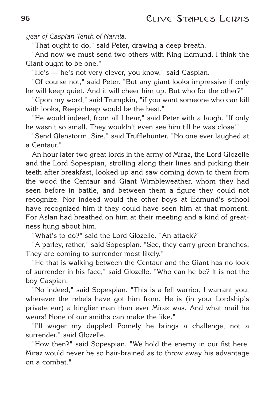#### *year of Caspian Tenth of Narni*a.

"That ought to do," said Peter, drawing a deep breath.

"And now we must send two others with King Edmund. I think the Giant ought to be one."

"He's — he's not very clever, you know," said Caspian.

"Of course not," said Peter. "But any giant looks impressive if only he will keep quiet. And it will cheer him up. But who for the other?"

"Upon my word," said Trumpkin, "if you want someone who can kill with looks, Reepicheep would be the best."

"He would indeed, from all I hear," said Peter with a laugh. "If only he wasn't so small. They wouldn't even see him till he was close!"

"Send Glenstorm, Sire," said Trufflehunter. "No one ever laughed at a Centaur."

An hour later two great lords in the army of Miraz, the Lord Glozelle and the Lord Sopespian, strolling along their lines and picking their teeth after breakfast, looked up and saw coming down to them from the wood the Centaur and Giant Wimbleweather, whom they had seen before in battle, and between them a figure they could not recognize. Nor indeed would the other boys at Edmund's school have recognized him if they could have seen him at that moment. For Aslan had breathed on him at their meeting and a kind of greatness hung about him.

"What's to do?" said the Lord Glozelle. "An attack?"

"A parley, rather," said Sopespian. "See, they carry green branches. They are coming to surrender most likely."

"He that is walking between the Centaur and the Giant has no look of surrender in his face," said Glozelle. "Who can he be? It is not the boy Caspian."

"No indeed," said Sopespian. "This is a fell warrior, I warrant you, wherever the rebels have got him from. He is (in your Lordship's private ear) a kinglier man than ever Miraz was. And what mail he wears! None of our smiths can make the like."

"I'll wager my dappled Pomely he brings a challenge, not a surrender," said Glozelle.

"How then?" said Sopespian. "We hold the enemy in our fist here. Miraz would never be so hair-brained as to throw away his advantage on a combat."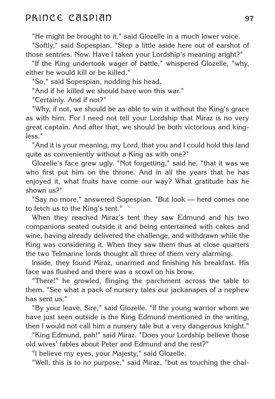"He might be brought to it," said Glozelle in a much lower voice.

"Softly," said Sopespian. "Step a little aside here out of earshot of those sentries. Now. Have I taken your Lordship's meaning aright?"

"If the King undertook wager of battle," whispered Glozelle, "why, either he would kill or be killed."

"So," said Sopespian, nodding his head.

"And if he killed we should have won this war."

"Certainly. And if not?"

"Why, if not, we should be as able to win it without the King's grace as with him. For I need not tell your Lordship that Miraz is no very great captain. And after that, we should be both victorious and kingless."

"And it is your meaning, my Lord, that you and I could hold this land quite as conveniently without a King as with one?"

Glozelle's face grew ugly. "Not forgetting," said he, "that it was we who first put him on the throne. And in all the years that he has enjoyed it, what fruits have come our way? What gratitude has he shown us?"

"Say no more," answered Sopespian. "But look — herd comes one to fetch us to the King's tent." `

When they reached Miraz's tent they saw Edmund and his two companions seated outside it and being entertained with cakes and wine, having already delivered the challenge, and withdrawn while the King was considering it. When they saw them thus at close quarters the two Telmarine lords thought all three of them very alarming.

Inside, they found Miraz, unarmed and finishing his breakfast. His face was flushed and there was a scowl on his brow.

"There!" he growled, flinging the parchment across the table to them. "See what a pack of nursery tales our jackanapes of a nephew has sent us."

"By your leave, Sire," said Glozelle. "If the young warrior whom we have just seen outside is the King Edmund mentioned in the writing, then I would not call him a nursery tale but a very dangerous knight."

"King Edmund, pah!" said Miraz. "Does your Lordship believe those old wives' fables about Peter and Edmund and the rest?"

"I believe my eyes, your Majesty," said Glozelle.

"Well, this is to no purpose," said Miraz, "but as touching the chal-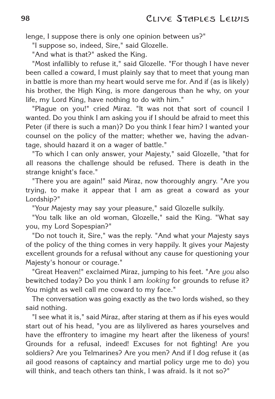lenge, I suppose there is only one opinion between us?"

"I suppose so, indeed, Sire," said Glozelle.

"And what is that?" asked the King.

"Most infallibly to refuse it," said Glozelle. "For though I have never been called a coward, I must plainly say that to meet that young man in battle is more than my heart would serve me for. And if (as is likely) his brother, the High King, is more dangerous than he why, on your life, my Lord King, have nothing to do with him."

"Plague on you!" cried Miraz. "It was not that sort of council I wanted. Do you think I am asking you if I should be afraid to meet this Peter (if there is such a man)? Do you think I fear him? I wanted your counsel on the policy of the matter; whether we, having the advantage, should hazard it on a wager of battle."

"To which I can only answer, your Majesty," said Glozelle, "that for all reasons the challenge should be refused. There is death in the strange knight's face."

"There you are again!" said Miraz, now thoroughly angry. "Are you trying, to make it appear that I am as great a coward as your Lordship?"

"Your Majesty may say your pleasure," said Glozelle sulkily.

"You talk like an old woman, Glozelle," said the King. "What say you, my Lord Sopespian?"

"Do not touch it, Sire," was the reply. "And what your Majesty says of the policy of the thing comes in very happily. It gives your Majesty excellent grounds for a refusal without any cause for questioning your Majesty's honour or courage."

"Great Heaven!" exclaimed Miraz, jumping to his feet. "Are *you* also bewitched today? Do you think I am *looking* for grounds to refuse it? You might as well call me coward to my face."

The conversation was going exactly as the two lords wished, so they said nothing.

"I see what it is," said Miraz, after staring at them as if his eyes would start out of his head, "you are as lilylivered as hares yourselves and have the effrontery to imagine my heart after the likeness of yours! Grounds for a refusal, indeed! Excuses for not fighting! Are you soldiers? Are you Telmarines? Are you men? And if I dog refuse it (as ail good reasons of captaincy and martial policy urge me to do) you will think, and teach others tan think, I was afraid. Is it not so?"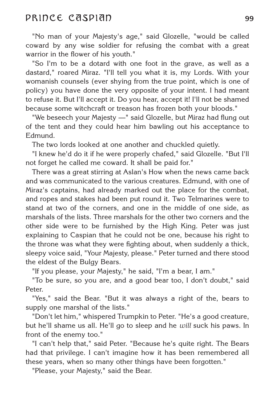"No man of your Majesty's age," said Glozelle, "would be called coward by any wise soldier for refusing the combat with a great warrior in the flower of his youth."

"So I'm to be a dotard with one foot in the grave, as well as a dastard," roared Miraz. "I'll tell you what it is, my Lords. With your womanish counsels (ever shying from the true point, which is one of policy) you have done the very opposite of your intent. I had meant to refuse it. But I'll accept it. Do you hear, accept it! I'll not be shamed because some witchcraft or treason has frozen both your bloods."

"We beseech your Majesty —" said Glozelle, but Miraz had flung out of the tent and they could hear him bawling out his acceptance to Edmund.

The two lords looked at one another and chuckled quietly.

"I knew he'd do it if he were properly chafed," said Glozelle. "But I'll not forget he called me coward. It shall be paid for."

There was a great stirring at Aslan's How when the news came back and was communicated to the various creatures. Edmund, with one of Miraz's captains, had already marked out the place for the combat, and ropes and stakes had been put round it. Two Telmarines were to stand at two of the corners, and one in the middle of one side, as marshals of the lists. Three marshals for the other two corners and the other side were to be furnished by the High King. Peter was just explaining to Caspian that he could not be one, because his right to the throne was what they were fighting about, when suddenly a thick, sleepy voice said, "Your Majesty, please." Peter turned and there stood the eldest of the Bulgy Bears.

"If you please, your Majesty," he said, "I'm a bear, I am."

"To be sure, so you are, and a good bear too, I don't doubt," said Peter.

"Yes," said the Bear. "But it was always a right of the, bears to supply one marshal of the lists."

"Don't let him," whispered Trumpkin to Peter. "He's a good creature, but he'll shame us all. He'll go to sleep and he *will* suck his paws. In front of the enemy too."

"I can't help that," said Peter. "Because he's quite right. The Bears had that privilege. I can't imagine how it has been remembered all these years, when so many other things have been forgotten."

"Please, your Majesty," said the Bear.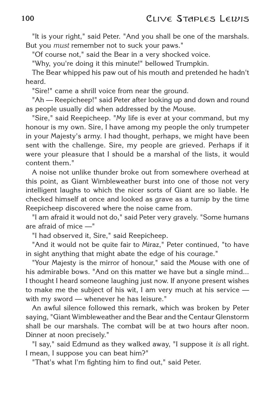"It is your right," said Peter. "And you shall be one of the marshals. But you *must* remember not to suck your paws."

"Of course not," said the Bear in a very shocked voice.

"Why, you're doing it this minute!" bellowed Trumpkin.

The Bear whipped his paw out of his mouth and pretended he hadn't heard.

"Sire!" came a shrill voice from near the ground.

"Ah — Reepicheep!" said Peter after looking up and down and round as people usually did when addressed by the Mouse.

"Sire," said Reepicheep. "My life is ever at your command, but my honour is my own. Sire, I have among my people the only trumpeter in your Majesty's army. I had thought, perhaps, we might have been sent with the challenge. Sire, my people are grieved. Perhaps if it were your pleasure that I should be a marshal of the lists, it would content them."

A noise not unlike thunder broke out from somewhere overhead at this point, as Giant Wimbleweather burst into one of those not very intelligent laughs to which the nicer sorts of Giant are so liable. He checked himself at once and looked as grave as a turnip by the time Reepicheep discovered where the noise came from.

"I am afraid it would not do," said Peter very gravely. "Some humans are afraid of mice —"

"I had observed it, Sire," said Reepicheep.

"And it would not be quite fair to Miraz," Peter continued, "to have in sight anything that might abate the edge of his courage."

"Your Majesty is the mirror of honour," said the Mouse with one of his admirable bows. "And on this matter we have but a single mind... I thought I heard someone laughing just now. If anyone present wishes to make me the subject of his wit, I am very much at his service with my sword — whenever he has leisure."

An awful silence followed this remark, which was broken by Peter saying, "Giant Wimbleweather and the Bear and the Centaur Glenstorm shall be our marshals. The combat will be at two hours after noon. Dinner at noon precisely."

"I say," said Edmund as they walked away, "I suppose it *is* all right. I mean, I suppose you can beat him?"

"That's what I'm fighting him to find out," said Peter.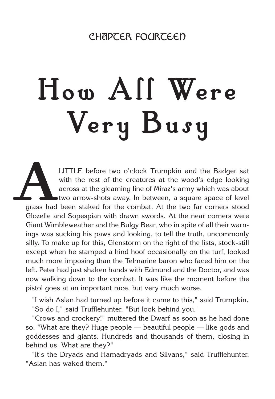### CHAPTER FOCIRTEED

# How All Were Very Busy

LITTLE before two o'clock Trumpkin and the Badger sat with the rest of the creatures at the wood's edge looking across at the gleaming line of Miraz's army which was about two arrow-shots away. In between, a square space o with the rest of the creatures at the wood's edge looking across at the gleaming line of Miraz's army which was about two arrow-shots away. In between, a square space of level

Glozelle and Sopespian with drawn swords. At the near corners were Giant Wimbleweather and the Bulgy Bear, who in spite of all their warnings was sucking his paws and looking, to tell the truth, uncommonly silly. To make up for this, Glenstorm on the right of the lists, stock-still except when he stamped a hind hoof occasionally on the turf, looked much more imposing than the Telmarine baron who faced him on the left. Peter had just shaken hands with Edmund and the Doctor, and was now walking down to the combat. It was like the moment before the pistol goes at an important race, but very much worse.

"I wish Aslan had turned up before it came to this," said Trumpkin. "So do I," said Trufflehunter. "But look behind you."

"Crows and crockery!" muttered the Dwarf as soon as he had done so. "What are they? Huge people — beautiful people — like gods and goddesses and giants. Hundreds and thousands of them, closing in behind us. What are they?"

"It's the Dryads and Hamadryads and Silvans," said Trufflehunter. "Aslan has waked them."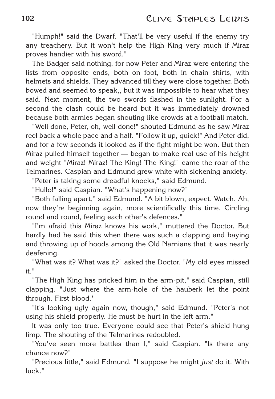"Humph!" said the Dwarf. "That'll be very useful if the enemy try any treachery. But it won't help the High King very much if Miraz proves handier with his sword."

The Badger said nothing, for now Peter and Miraz were entering the lists from opposite ends, both on foot, both in chain shirts, with helmets and shields. They advanced till they were close together. Both bowed and seemed to speak,, but it was impossible to hear what they said. Next moment, the two swords flashed in the sunlight. For a second the clash could be heard but it was immediately drowned because both armies began shouting like crowds at a football match.

"Well done, Peter, oh, well done!" shouted Edmund as he saw Miraz reel back a whole pace and a half. "Follow it up, quick!" And Peter did, and for a few seconds it looked as if the fight might be won. But then Miraz pulled himself together — began to make real use of his height and weight "Miraz! Miraz! The King! The King!" came the roar of the Telmarines. Caspian and Edmund grew white with sickening anxiety.

"Peter is taking some dreadful knocks," said Edmund.

"Hullo!" said Caspian. "What's happening now?"

"Both falling apart," said Edmund. "A bit blown, expect. Watch. Ah, now they're beginning again, more scientifically this time. Circling round and round, feeling each other's defences."

"I'm afraid this Miraz knows his work," muttered the Doctor. But hardly had he said this when there was such a clapping and baying and throwing up of hoods among the Old Narnians that it was nearly deafening.

"What was it? What was it?" asked the Doctor. "My old eyes missed it."

"The High King has pricked him in the arm-pit," said Caspian, still clapping. "Just where the arm-hole of the hauberk let the point through. First blood.'

"It's looking ugly again now, though," said Edmund. "Peter's not using his shield properly. He must be hurt in the left arm."

It was only too true. Everyone could see that Peter's shield hung limp. The shouting of the Telmarines redoubled.

"You've seen more battles than I," said Caspian. "Is there any chance now?"

"Precious little," said Edmund. "I suppose he might *just* do it. With luck."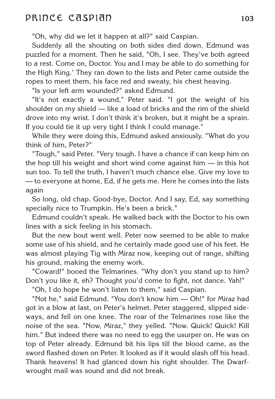"Oh, why did we let it happen at all?" said Caspian.

Suddenly all the shouting on both sides died down. Edmund was puzzled for a moment. Then he said, "Oh, I see. They've both agreed to a rest. Come on, Doctor. You and I may be able to do something for the High King.' They ran down to the lists and Peter came outside the ropes to meet them, his face red and sweaty, his chest heaving.

"Is your left arm wounded?" asked Edmund.

"It's not exactly a wound," Peter said. "I got the weight of his shoulder on my shield — like a load of bricks and the rim of the shield drove into my wrist. I don't think it's broken, but it might be a sprain. If you could tie it up very tight I think I could manage."

While they were doing this, Edmund asked anxiously. "What do you think of him, Peter?"

"Tough," said Peter. "Very tough. I have a chance if can keep him on the hop till his weight and short wind come against him — in this hot sun too. To tell the truth, I haven't much chance else. Give my love to — to everyone at home, Ed, if he gets me. Here he comes into the lists again

So long, old chap. Good-bye, Doctor. And I say, Ed, say something specially nice to Trumpkin. He's been a brick."

Edmund couldn't speak. He walked back with the Doctor to his own lines with a sick feeling in his stomach.

But the new bout went well. Peter now seemed to be able to make some use of his shield, and he certainly made good use of his feet. He was almost playing Tig with Miraz now, keeping out of range, shifting his ground, making the enemy work.

"Coward!" booed the Telmarines. "Why don't you stand up to him? Don't you like it, eh? Thought you'd come to fight, not dance. Yah!"

"Oh, I do hope he won't listen to them," said Caspian.

"Not he," said Edmund. "You don't know him — Oh!" for Miraz had got in a blow at last, on Peter's helmet. Peter staggered, slipped sideways, and fell on one knee. The roar of the Telmarines rose like the noise of the sea. "Now, Miraz," they yelled. "Now. Quick! Quick! Kill him." But indeed there was no need to egg the usurper on. He was on top of Peter already. Edmund bit his lips till the blood came, as the sword flashed down on Peter. It looked as if it would slash off his head. Thank heavens! It had glanced down his right shoulder. The Dwarfwrought mail was sound and did not break.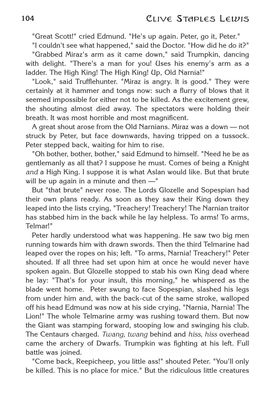"Great Scott!" cried Edmund. "He's up again. Peter, go it, Peter."

"I couldn't see what happened," said the Doctor. "How did he do it?" "Grabbed Miraz's arm as it came down," said Trumpkin, dancing with delight. "There's a man for you! Uses his enemy's arm as a ladder. The High King! The High King! Up, Old Narnia!"

"Look," said Trufflehunter. "Miraz is angry. It is good." They were certainly at it hammer and tongs now: such a flurry of blows that it seemed impossible for either not to be killed. As the excitement grew, the shouting almost died away. The spectators were holding their breath. It was most horrible and most magnificent.

A great shout arose from the Old Narnians. Miraz was a down — not struck by Peter, but face downwards, having tripped on a tussock. Peter stepped back, waiting for him to rise.

"Oh bother, bother, bother," said Edmund to himself. "Need he be as gentlemanly as all that? I suppose he must. Comes of being a Knight *and* a High King. I suppose it is what Aslan would like. But that brute will be up again in a minute and then —"

But "that brute" never rose. The Lords Glozelle and Sopespian had their own plans ready. As soon as they saw their King down they leaped into the lists crying, "Treachery! Treachery! The Narnian traitor has stabbed him in the back while he lay helpless. To arms! To arms, Telmar!"

Peter hardly understood what was happening. He saw two big men running towards him with drawn swords. Then the third Telmarine had leaped over the ropes on his; left. "To arms, Narnia! Treachery!" Peter shouted. If all three had set upon him at once he would never have spoken again. But Glozelle stopped to stab his own King dead where he lay: "That's for your insult, this morning," he whispered as the blade went home. Peter swung to face Sopespian, slashed his legs from under him and, with the back-cut of the same stroke, walloped off his head Edmund was now at his side crying, "Narnia, Narnia! The Lion!" The whole Telmarine army was rushing toward them. But now the Giant was stamping forward, stooping low and swinging his club. The Centaurs charged. *Twang, twang* behind and *hiss, hiss* overhead came the archery of Dwarfs. Trumpkin was fighting at his left. Full battle was joined.

"Come back, Reepicheep, you little ass!" shouted Peter. "You'll only be killed. This is no place for mice." But the ridiculous little creatures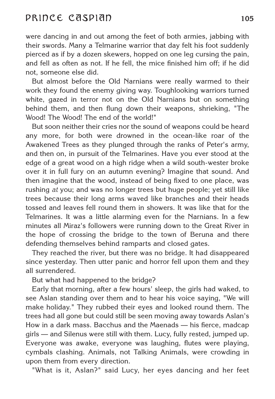were dancing in and out among the feet of both armies, jabbing with their swords. Many a Telmarine warrior that day felt his foot suddenly pierced as if by a dozen skewers, hopped on one leg cursing the pain, and fell as often as not. If he fell, the mice finished him off; if he did not, someone else did.

But almost before the Old Narnians were really warmed to their work they found the enemy giving way. Toughlooking warriors turned white, gazed in terror not on the Old Narnians but on something behind them, and then flung down their weapons, shrieking, "The Wood! The Wood! The end of the world!"

But soon neither their cries nor the sound of weapons could be heard any more, for both were drowned in the ocean-like roar of the Awakened Trees as they plunged through the ranks of Peter's army, and then on, in pursuit of the Telmarines. Have you ever stood at the edge of a great wood on a high ridge when a wild south-wester broke over it in full fury on an autumn evening? Imagine that sound. And then imagine that the wood, instead of being fixed to one place, was rushing *at* you; and was no longer trees but huge people; yet still like trees because their long arms waved like branches and their heads tossed and leaves fell round them in showers. It was like that for the Telmarines. It was a little alarming even for the Narnians. In a few minutes all Miraz's followers were running down to the Great River in the hope of crossing the bridge to the town of Beruna and there defending themselves behind ramparts and closed gates.

They reached the river, but there was no bridge. It had disappeared since yesterday. Then utter panic and horror fell upon them and they all surrendered.

But what had happened to the bridge?

Early that morning, after a few hours' sleep, the girls had waked, to see Aslan standing over them and to hear his voice saying, "We will make holiday." They rubbed their eyes and looked round them. The trees had all gone but could still be seen moving away towards Aslan's How in a dark mass. Bacchus and the Maenads — his fierce, madcap girls — and Silenus were still with them. Lucy, fully rested, jumped up. Everyone was awake, everyone was laughing, flutes were playing, cymbals clashing. Animals, not Talking Animals, were crowding in upon them from every direction.

"What is it, Aslan?" said Lucy, her eyes dancing and her feet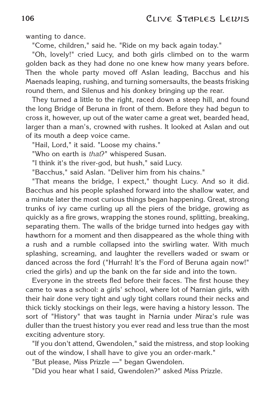wanting to dance.

"Come, children," said he. "Ride on my back again today."

"Oh, lovely!" cried Lucy, and both girls climbed on to the warm golden back as they had done no one knew how many years before. Then the whole party moved off Aslan leading, Bacchus and his Maenads leaping, rushing, and turning somersaults, the beasts frisking round them, and Silenus and his donkey bringing up the rear.

They turned a little to the right, raced down a steep hill, and found the long Bridge of Beruna in front of them. Before they had begun to cross it, however, up out of the water came a great wet, bearded head, larger than a man's, crowned with rushes. It looked at Aslan and out of its mouth a deep voice came.

"Hail, Lord," it said. "Loose my chains."

"Who on earth is *that*?" whispered Susan.

"I think it's the river-god, but hush," said Lucy.

"Bacchus," said Aslan. "Deliver him from his chains."

"That means the bridge, I expect," thought Lucy. And so it did. Bacchus and his people splashed forward into the shallow water, and a minute later the most curious things began happening. Great, strong trunks of ivy came curling up all the piers of the bridge, growing as quickly as a fire grows, wrapping the stones round, splitting, breaking, separating them. The walls of the bridge turned into hedges gay with hawthorn for a moment and then disappeared as the whole thing with a rush and a rumble collapsed into the swirling water. With much splashing, screaming, and laughter the revellers waded or swam or danced across the ford ("Hurrah! It's the Ford of Beruna again now!" cried the girls) and up the bank on the far side and into the town.

Everyone in the streets fled before their faces. The first house they came to was a school: a girls' school, where lot of Narnian girls, with their hair done very tight and ugly tight collars round their necks and thick tickly stockings on their legs, were having a history lesson. The sort of "History" that was taught in Narnia under Miraz's rule was duller than the truest history you ever read and less true than the most exciting adventure story.

"If you don't attend, Gwendolen," said the mistress, and stop looking out of the window, I shall have to give you an order-mark."

"But please, Miss Prizzle —" began Gwendolen.

"Did you hear what I said, Gwendolen?" asked Miss Prizzle.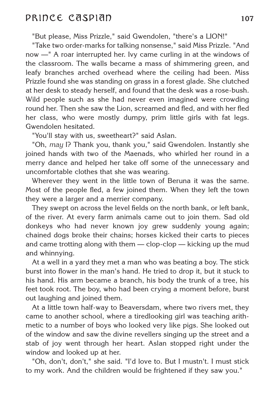"But please, Miss Prizzle," said Gwendolen, "there's a LION!"

"Take two order-marks for talking nonsense," said Miss Prizzle. "And now —" A roar interrupted her. Ivy came curling in at the windows of the classroom. The walls became a mass of shimmering green, and leafy branches arched overhead where the ceiling had been. Miss Prizzle found she was standing on grass in a forest glade. She clutched at her desk to steady herself, and found that the desk was a rose-bush. Wild people such as she had never even imagined were crowding round her. Then she saw the Lion, screamed and fled, and with her fled her class, who were mostly dumpy, prim little girls with fat legs. Gwendolen hesitated.

"You'll stay with us, sweetheart?" said Aslan.

"Oh, *may* I? Thank you, thank you," said Gwendolen. Instantly she joined hands with two of the Maenads, who whirled her round in a merry dance and helped her take off some of the unnecessary and uncomfortable clothes that she was wearing.

Wherever they went in the little town of Beruna it was the same. Most of the people fled, a few joined them. When they left the town they were a larger and a merrier company.

They swept on across the level fields on the north bank, or left bank, of the river. At every farm animals came out to join them. Sad old donkeys who had never known joy grew suddenly young again; chained dogs broke their chains; horses kicked their carts to pieces and came trotting along with them — clop-clop — kicking up the mud and whinnying.

At a well in a yard they met a man who was beating a boy. The stick burst into flower in the man's hand. He tried to drop it, but it stuck to his hand. His arm became a branch, his body the trunk of a tree, his feet took root. The boy, who had been crying a moment before, burst out laughing and joined them.

At a little town half-way to Beaversdam, where two rivers met, they came to another school, where a tiredlooking girl was teaching arithmetic to a number of boys who looked very like pigs. She looked out of the window and saw the divine revellers singing up the street and a stab of joy went through her heart. Aslan stopped right under the window and looked up at her.

"Oh, don't, don't," she said. "I'd love to. But I mustn't. I must stick to my work. And the children would be frightened if they saw you."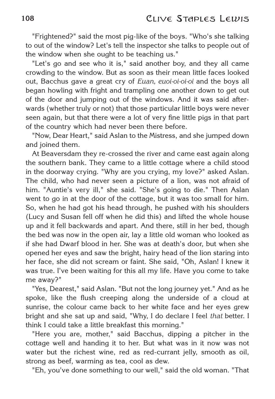"Frightened?" said the most pig-like of the boys. "Who's she talking to out of the window? Let's tell the inspector she talks to people out of the window when she ought to be teaching us."

"Let's go and see who it is," said another boy, and they all came crowding to the window. But as soon as their mean little faces looked out, Bacchus gave a great cry of *Euan, euoi-oi-oi-oi* and the boys all began howling with fright and trampling one another down to get out of the door and jumping out of the windows. And it was said afterwards (whether truly or not) that those particular little boys were never seen again, but that there were a lot of very fine little pigs in that part of the country which had never been there before.

"Now, Dear Heart," said Aslan to the Mistress, and she jumped down and joined them.

At Beaversdam they re-crossed the river and came east again along the southern bank. They came to a little cottage where a child stood in the doorway crying. "Why are you crying, my love?" asked Aslan. The child, who had never seen a picture of a lion, was not afraid of him. "Auntie's very ill," she said. "She's going to die." Then Aslan went to go in at the door of the cottage, but it was too small for him. So, when he had got his head through, he pushed with his shoulders (Lucy and Susan fell off when he did this) and lifted the whole house up and it fell backwards and apart. And there, still in her bed, though the bed was now in the open air, lay a little old woman who looked as if she had Dwarf blood in her. She was at death's door, but when she opened her eyes and saw the bright, hairy head of the lion staring into her face, she did not scream or faint. She said, "Oh, Aslan! I knew it was true. I've been waiting for this all my life. Have you come to take me away?"

"Yes, Dearest," said Aslan. "But not the long journey yet." And as he spoke, like the flush creeping along the underside of a cloud at sunrise, the colour came back to her white face and her eyes grew bright and she sat up and said, "Why, I do declare I feel *that* better. I think I could take a little breakfast this morning."

"Here you are, mother," said Bacchus, dipping a pitcher in the cottage well and handing it to her. But what was in it now was not water but the richest wine, red as red-currant jelly, smooth as oil, strong as beef, warming as tea, cool as dew.

"Eh, you've done something to our well," said the old woman. "That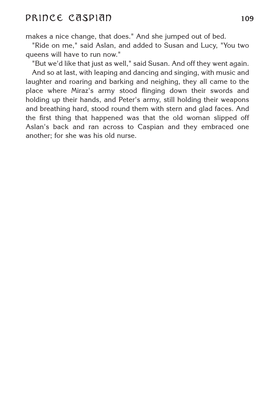makes a nice change, that does." And she jumped out of bed.

"Ride on me," said Aslan, and added to Susan and Lucy, "You two queens will have to run now."

"But we'd like that just as well," said Susan. And off they went again.

And so at last, with leaping and dancing and singing, with music and laughter and roaring and barking and neighing, they all came to the place where Miraz's army stood flinging down their swords and holding up their hands, and Peter's army, still holding their weapons and breathing hard, stood round them with stern and glad faces. And the first thing that happened was that the old woman slipped off Aslan's back and ran across to Caspian and they embraced one another; for she was his old nurse.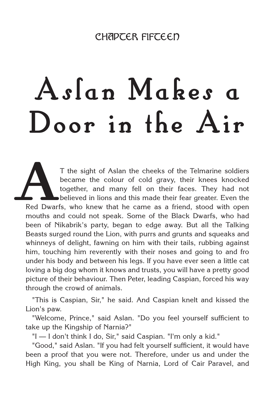#### CHAPTER FIFTEEN

# Aslan Makes a Door in the Air

T the sight of Aslan the cheeks of the Telmarine soldiers<br>became the colour of cold gravy, their knees knocked<br>together, and many fell on their faces. They had not<br>believed in lions and this made their fear greater. Even t became the colour of cold gravy, their knees knocked together, and many fell on their faces. They had not believed in lions and this made their fear greater. Even the Red Dwarfs, who knew that he came as a friend, stood with open mouths and could not speak. Some of the Black Dwarfs, who had been of Nikabrik's party, began to edge away. But all the Talking Beasts surged round the Lion, with purrs and grunts and squeaks and whinneys of delight, fawning on him with their tails, rubbing against him, touching him reverently with their noses and going to and fro under his body and between his legs. If you have ever seen a little cat loving a big dog whom it knows and trusts, you will have a pretty good picture of their behaviour. Then Peter, leading Caspian, forced his way through the crowd of animals.

"This is Caspian, Sir," he said. And Caspian knelt and kissed the Lion's paw.

"Welcome, Prince," said Aslan. "Do you feel yourself sufficient to take up the Kingship of Narnia?"

"I — I don't think I do, Sir," said Caspian. "I'm only a kid."

"Good," said Aslan. "If you had felt yourself sufficient, it would have been a proof that you were not. Therefore, under us and under the High King, you shall be King of Narnia, Lord of Cair Paravel, and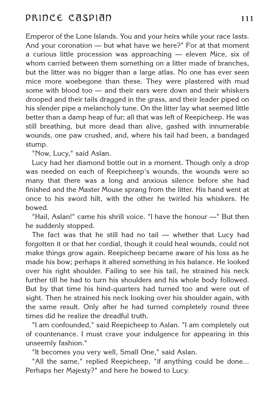Emperor of the Lone Islands. You and your heirs while your race lasts. And your coronation — but what have we here?" For at that moment a curious little procession was approaching — eleven Mice, six of whom carried between them something on a litter made of branches, but the litter was no bigger than a large atlas. No one has ever seen mice more woebegone than these. They were plastered with mud some with blood too — and their ears were down and their whiskers drooped and their tails dragged in the grass, and their leader piped on his slender pipe a melancholy tune. On the litter lay what seemed little better than a damp heap of fur; all that was left of Reepicheep. He was still breathing, but more dead than alive, gashed with innumerable wounds, one paw crushed, and, where his tail had been, a bandaged stump.

"Now, Lucy," said Aslan.

Lucy had her diamond bottle out in a moment. Though only a drop was needed on each of Reepicheep's wounds, the wounds were so many that there was a long and anxious silence before she had finished and the Master Mouse sprang from the litter. His hand went at once to his sword hilt, with the other he twirled his whiskers. He bowed.

"Hail, Aslan!" came his shrill voice. "I have the honour —" But then he suddenly stopped.

The fact was that he still had no tail — whether that Lucy had forgotten it or that her cordial, though it could heal wounds, could not make things grow again. Reepicheep became aware of his loss as he made his bow; perhaps it altered something in his balance. He looked over his right shoulder. Failing to see his tail, he strained his neck further till he had to turn his shoulders and his whole body followed. But by that time his hind-quarters had turned too and were out of sight. Then he strained his neck looking over his shoulder again, with the same result. Only after he had turned completely round three times did he realize the dreadful truth.

"I am confounded," said Reepicheep to Aslan. "I am completely out of countenance. I must crave your indulgence for appearing in this unseemly fashion."

"It becomes you very well, Small One," said Aslan.

"All the same," replied Reepicheep, "if anything could be done... Perhaps her Majesty?" and here he bowed to Lucy.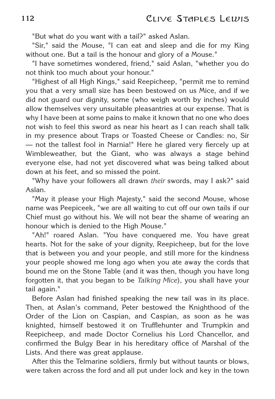"But what do you want with a tail?" asked Aslan.

"Sir," said the Mouse, "I can eat and sleep and die for my King without one. But a tail is the honour and glory of a Mouse."

"I have sometimes wondered, friend," said Aslan, "whether you do not think too much about your honour."

"Highest of all High Kings," said Reepicheep, "permit me to remind you that a very small size has been bestowed on us Mice, and if we did not guard our dignity, some (who weigh worth by inches) would allow themselves very unsuitable pleasantries at our expense. That is why I have been at some pains to make it known that no one who does not wish to feel this sword as near his heart as I can reach shall talk in my presence about Traps or Toasted Cheese or Candles: no, Sir — not the tallest fool in Narnia!" Here he glared very fiercely up at Wimbleweather, but the Giant, who was always a stage behind everyone else, had not yet discovered what was being talked about down at his feet, and so missed the point.

"Why have your followers all drawn *their* swords, may I ask?" said Aslan.

"May it please your High Majesty," said the second Mouse, whose name was Peepiceek, "we are all waiting to cut off our own tails if our Chief must go without his. We will not bear the shame of wearing an honour which is denied to the High Mouse."

"Ah!" roared Aslan. "You have conquered me. You have great hearts. Not for the sake of your dignity, Reepicheep, but for the love that is between you and your people, and still more for the kindness your people showed me long ago when you ate away the cords that bound me on the Stone Table (and it was then, though you have long forgotten it, that you began to be *Talking Mice*), you shall have your tail again."

Before Aslan had finished speaking the new tail was in its place. Then, at Aslan's command, Peter bestowed the Knighthood of the Order of the Lion on Caspian, and Caspian, as soon as he was knighted, himself bestowed it on Trufflehunter and Trumpkin and Reepicheep, and made Doctor Cornelius his Lord Chancellor, and confirmed the Bulgy Bear in his hereditary office of Marshal of the Lists. And there was great applause.

After this the Telmarine soldiers, firmly but without taunts or blows, were taken across the ford and all put under lock and key in the town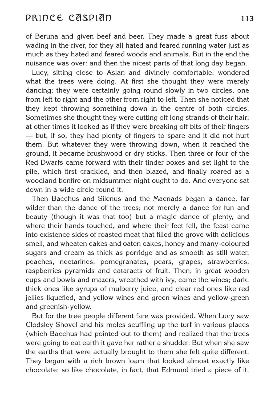of Beruna and given beef and beer. They made a great fuss about wading in the river, for they all hated and feared running water just as much as they hated and feared woods and animals. But in the end the nuisance was over: and then the nicest parts of that long day began.

Lucy, sitting close to Aslan and divinely comfortable, wondered what the trees were doing. At first she thought they were merely dancing; they were certainly going round slowly in two circles, one from left to right and the other from right to left. Then she noticed that they kept throwing something down in the centre of both circles. Sometimes she thought they were cutting off long strands of their hair; at other times it looked as if they were breaking off bits of their fingers — but, if so, they had plenty of fingers to spare and it did not hurt them. But whatever they were throwing down, when it reached the ground, it became brushwood or dry sticks. Then three or four of the Red Dwarfs came forward with their tinder boxes and set light to the pile, which first crackled, and then blazed, and finally roared as a woodland bonfire on midsummer night ought to do. And everyone sat down in a wide circle round it.

Then Bacchus and Silenus and the Maenads began a dance, far wilder than the dance of the trees; not merely a dance for fun and beauty (though it was that too) but a magic dance of plenty, and where their hands touched, and where their feet fell, the feast came into existence sides of roasted meat that filled the grove with delicious smell, and wheaten cakes and oaten cakes, honey and many-coloured sugars and cream as thick as porridge and as smooth as still water, peaches, nectarines, pomegranates, pears, grapes, strawberries, raspberries pyramids and cataracts of fruit. Then, in great wooden cups and bowls and mazers, wreathed with ivy, came the wines; dark, thick ones like syrups of mulberry juice, and clear red ones like red jellies liquefied, and yellow wines and green wines and yellow-green and greenish-yellow.

But for the tree people different fare was provided. When Lucy saw Clodsley Shovel and his moles scuffling up the turf in various places (which Bacchus had pointed out to them) and realized that the trees were going to eat earth it gave her rather a shudder. But when she saw the earths that were actually brought to them she felt quite different. They began with a rich brown loam that looked almost exactly like chocolate; so like chocolate, in fact, that Edmund tried a piece of it,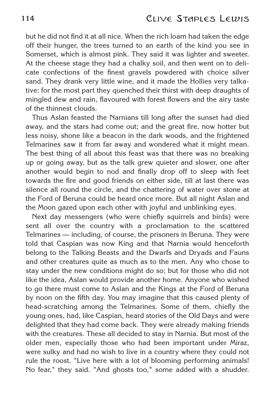but he did not find it at all nice. When the rich loam had taken the edge off their hunger, the trees turned to an earth of the kind you see in Somerset, which is almost pink. They said it was lighter and sweeter. At the cheese stage they had a chalky soil, and then went on to delicate confections of the finest gravels powdered with choice silver sand. They drank very little wine, and it made the Hollies very talkative: for the most part they quenched their thirst with deep draughts of mingled dew and rain, flavoured with forest flowers and the airy taste of the thinnest clouds.

Thus Aslan feasted the Narnians till long after the sunset had died away, and the stars had come out; and the great fire, now hotter but less noisy, shone like a beacon in the dark woods, and the frightened Telmarines saw it from far away and wondered what it might mean. The best thing of all about this feast was that there was no breaking up or going away, but as the talk grew quieter and slower, one after another would begin to nod and finally drop off to sleep with feet towards the fire and good friends on either side, till at last there was silence all round the circle, and the chattering of water over stone at the Ford of Beruna could be heard once more. But all night Aslan and the Moon gazed upon each other with joyful and unblinking eyes.

Next day messengers (who were chiefly squirrels and birds) were sent all over the country with a proclamation to the scattered Telmarines — including, of course, the prisoners in Beruna. They were told that Caspian was now King and that Narnia would henceforth belong to the Talking Beasts and the Dwarfs and Dryads and Fauns and other creatures quite as much as to the men. Any who chose to stay under the new conditions might do so; but for those who did not like the idea, Aslan would provide another home. Anyone who wished to go there must come to Aslan and the Kings at the Ford of Beruna by noon on the fifth day. You may imagine that this caused plenty of head-scratching among the Telmarines. Some of them, chiefly the young ones, had, like Caspian, heard stories of the Old Days and were delighted that they had come back. They were already making friends with the creatures. These all decided to stay in Narnia. But most of the older men, especially those who had been important under Miraz, were sulky and had no wish to live in a country where they could not rule the roost. "Live here with a lot of blooming performing animals! No fear," they said. "And ghosts too," some added with a shudder.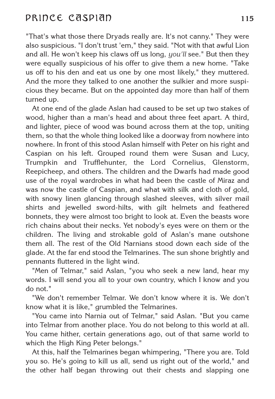"That's what those there Dryads really are. It's not canny." They were also suspicious. "I don't trust 'em," they said. "Not with that awful Lion and all. He won't keep his claws off us long, *you'll* see." But then they were equally suspicious of his offer to give them a new home. "Take us off to his den and eat us one by one most likely," they muttered. And the more they talked to one another the sulkier and more suspicious they became. But on the appointed day more than half of them turned up.

At one end of the glade Aslan had caused to be set up two stakes of wood, higher than a man's head and about three feet apart. A third, and lighter, piece of wood was bound across them at the top, uniting them, so that the whole thing looked like a doorway from nowhere into nowhere. In front of this stood Aslan himself with Peter on his right and Caspian on his left. Grouped round them were Susan and Lucy, Trumpkin and Trufflehunter, the Lord Cornelius, Glenstorm, Reepicheep, and others. The children and the Dwarfs had made good use of the royal wardrobes in what had been the castle of Miraz and was now the castle of Caspian, and what with silk and cloth of gold, with snowy linen glancing through slashed sleeves, with silver mail shirts and jewelled sword-hilts, with gilt helmets and feathered bonnets, they were almost too bright to look at. Even the beasts wore rich chains about their necks. Yet nobody's eyes were on them or the children. The living and strokable gold of Aslan's mane outshone them all. The rest of the Old Narnians stood down each side of the glade. At the far end stood the Telmarines. The sun shone brightly and pennants fluttered in the light wind.

"Men of Telmar," said Aslan, "you who seek a new land, hear my words. I will send you all to your own country, which I know and you do not."

"We don't remember Telmar. We don't know where it is. We don't know what it is like," grumbled the Telmarines.

"You came into Narnia out of Telmar," said Aslan. "But you came into Telmar from another place. You do not belong to this world at all. You came hither, certain generations ago, out of that same world to which the High King Peter belongs."

At this, half the Telmarines began whimpering, "There you are. Told you so. He's going to kill us all, send us right out of the world," and the other half began throwing out their chests and slapping one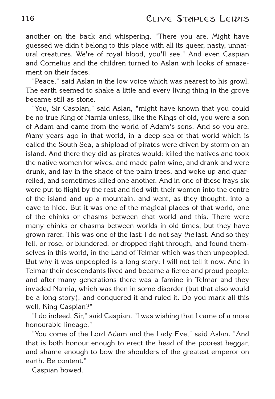another on the back and whispering, "There you are. Might have guessed we didn't belong to this place with all its queer, nasty, unnatural creatures. We're of royal blood, you'll see." And even Caspian and Cornelius and the children turned to Aslan with looks of amazement on their faces.

"Peace," said Aslan in the low voice which was nearest to his growl. The earth seemed to shake a little and every living thing in the grove became still as stone.

"You, Sir Caspian," said Aslan, "might have known that you could be no true King of Narnia unless, like the Kings of old, you were a son of Adam and came from the world of Adam's sons. And so you are. Many years ago in that world, in a deep sea of that world which is called the South Sea, a shipload of pirates were driven by storm on an island. And there they did as pirates would: killed the natives and took the native women for wives, and made palm wine, and drank and were drunk, and lay in the shade of the palm trees, and woke up and quarrelled, and sometimes killed one another. And in one of these frays six were put to flight by the rest and fled with their women into the centre of the island and up a mountain, and went, as they thought, into a cave to hide. But it was one of the magical places of that world, one of the chinks or chasms between chat world and this. There were many chinks or chasms between worlds in old times, but they have grown rarer. This was one of the last: I do not say *the* last. And so they fell, or rose, or blundered, or dropped right through, and found themselves in this world, in the Land of Telmar which was then unpeopled. But why it was unpeopled is a long story: I will not tell it now. And in Telmar their descendants lived and became a fierce and proud people; and after many generations there was a famine in Telmar and they invaded Narnia, which was then in some disorder (but that also would be a long story), and conquered it and ruled it. Do you mark all this well, King Caspian?"

"I do indeed, Sir," said Caspian. "I was wishing that I came of a more honourable lineage."

"You come of the Lord Adam and the Lady Eve," said Aslan. "And that is both honour enough to erect the head of the poorest beggar, and shame enough to bow the shoulders of the greatest emperor on earth. Be content."

Caspian bowed.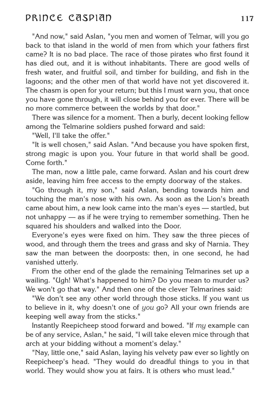"And now," said Aslan, "you men and women of Telmar, will you go back to that island in the world of men from which your fathers first came? It is no bad place. The race of those pirates who first found it has died out, and it is without inhabitants. There are good wells of fresh water, and fruitful soil, and timber for building, and fish in the lagoons; and the other men of that world have not yet discovered it. The chasm is open for your return; but this I must warn you, that once you have gone through, it will close behind you for ever. There will be no more commerce between the worlds by that door."

There was silence for a moment. Then a burly, decent looking fellow among the Telmarine soldiers pushed forward and said:

"Well, I'll take the offer."

"It is well chosen," said Aslan. "And because you have spoken first, strong magic is upon you. Your future in that world shall be good. Come forth."

The man, now a little pale, came forward. Aslan and his court drew aside, leaving him free access to the empty doorway of the stakes.

"Go through it, my son," said Aslan, bending towards him and touching the man's nose with his own. As soon as the Lion's breath came about him, a new look came into the man's eyes — startled, but not unhappy — as if he were trying to remember something. Then he squared his shoulders and walked into the Door.

Everyone's eyes were fixed on him. They saw the three pieces of wood, and through them the trees and grass and sky of Narnia. They saw the man between the doorposts: then, in one second, he had vanished utterly.

From the other end of the glade the remaining Telmarines set up a wailing. "Ugh! What's happened to him? Do you mean to murder us? We won't go that way." And then one of the clever Telmarines said:

"We don't see any other world through those sticks. If you want us to believe in it, why doesn't one of *you* go? All your own friends are keeping well away from the sticks."

Instantly Reepicheep stood forward and bowed. "If *my* example can be of any service, Aslan," he said, "I will take eleven mice through that arch at your bidding without a moment's delay."

"Nay, little one," said Aslan, laying his velvety paw ever so lightly on Reepicheep's head. "They would do dreadful things to you in that world. They would show you at fairs. It is others who must lead."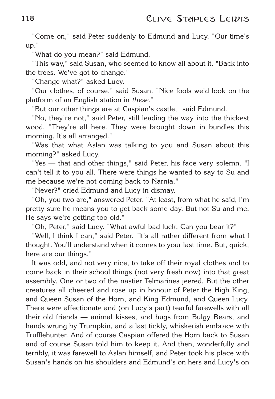"Come on," said Peter suddenly to Edmund and Lucy. "Our time's up."

"What do you mean?" said Edmund.

"This way," said Susan, who seemed to know all about it. "Back into the trees. We've got to change."

"Change what?" asked Lucy.

"Our clothes, of course," said Susan. "Nice fools we'd look on the platform of an English station in *these*."

"But our other things are at Caspian's castle," said Edmund.

"No, they're not," said Peter, still leading the way into the thickest wood. "They're all here. They were brought down in bundles this morning. It's all arranged."

"Was that what Aslan was talking to you and Susan about this morning?" asked Lucy.

"Yes — that and other things," said Peter, his face very solemn. "I can't tell it to you all. There were things he wanted to say to Su and me because we're not coming back to Narnia."

"Never?" cried Edmund and Lucy in dismay.

"Oh, you two are," answered Peter. "At least, from what he said, I'm pretty sure he means you to get back some day. But not Su and me. He says we're getting too old."

"Oh, Peter," said Lucy. "What awful bad luck. Can you bear it?"

"Well, I think I can," said Peter. "It's all rather different from what I thought. You'll understand when it comes to your last time. But, quick, here are our things."

It was odd, and not very nice, to take off their royal clothes and to come back in their school things (not very fresh now) into that great assembly. One or two of the nastier Telmarines jeered. But the other creatures all cheered and rose up in honour of Peter the High King, and Queen Susan of the Horn, and King Edmund, and Queen Lucy. There were affectionate and (on Lucy's part) tearful farewells with all their old friends — animal kisses, and hugs from Bulgy Bears, and hands wrung by Trumpkin, and a last tickly, whiskerish embrace with Trufflehunter. And of course Caspian offered the Horn back to Susan and of course Susan told him to keep it. And then, wonderfully and terribly, it was farewell to Aslan himself, and Peter took his place with Susan's hands on his shoulders and Edmund's on hers and Lucy's on